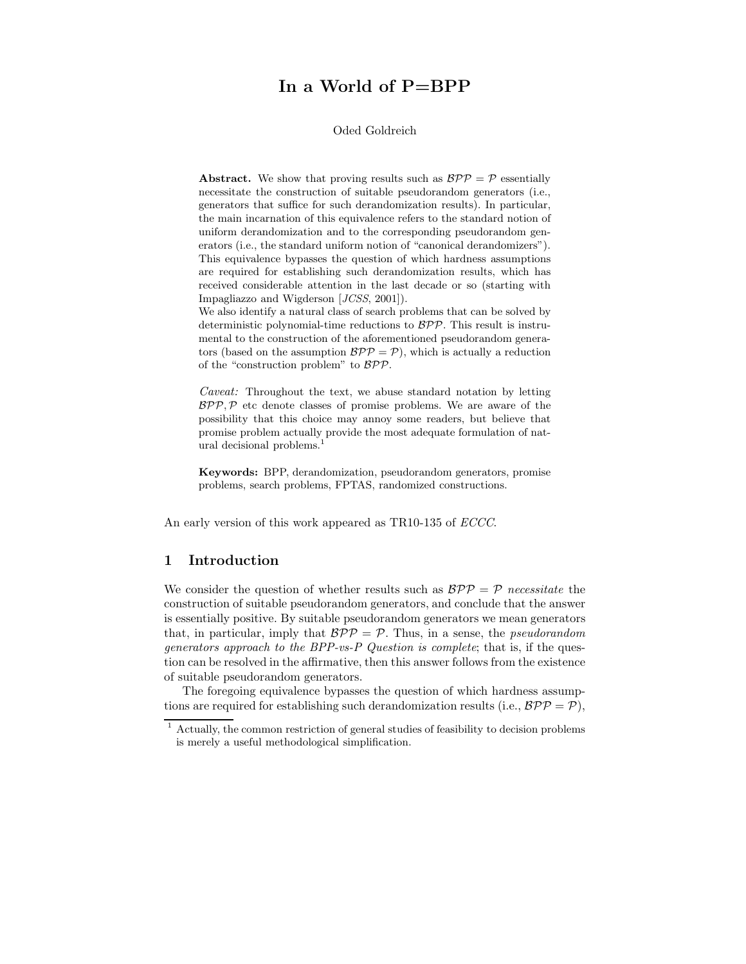# In a World of P=BPP

## Oded Goldreich

**Abstract.** We show that proving results such as  $BPP = P$  essentially necessitate the construction of suitable pseudorandom generators (i.e., generators that suffice for such derandomization results). In particular, the main incarnation of this equivalence refers to the standard notion of uniform derandomization and to the corresponding pseudorandom generators (i.e., the standard uniform notion of "canonical derandomizers"). This equivalence bypasses the question of which hardness assumptions are required for establishing such derandomization results, which has received considerable attention in the last decade or so (starting with Impagliazzo and Wigderson [JCSS, 2001]).

We also identify a natural class of search problems that can be solved by deterministic polynomial-time reductions to  $BPP$ . This result is instrumental to the construction of the aforementioned pseudorandom generators (based on the assumption  $BPP = P$ ), which is actually a reduction of the "construction problem" to BPP.

Caveat: Throughout the text, we abuse standard notation by letting  $BPP, P$  etc denote classes of promise problems. We are aware of the possibility that this choice may annoy some readers, but believe that promise problem actually provide the most adequate formulation of natural decisional problems.<sup>1</sup>

Keywords: BPP, derandomization, pseudorandom generators, promise problems, search problems, FPTAS, randomized constructions.

An early version of this work appeared as TR10-135 of ECCC.

# 1 Introduction

We consider the question of whether results such as  $BPP = P$  necessitate the construction of suitable pseudorandom generators, and conclude that the answer is essentially positive. By suitable pseudorandom generators we mean generators that, in particular, imply that  $BPP = P$ . Thus, in a sense, the *pseudorandom* generators approach to the BPP-vs-P Question is complete; that is, if the question can be resolved in the affirmative, then this answer follows from the existence of suitable pseudorandom generators.

The foregoing equivalence bypasses the question of which hardness assumptions are required for establishing such derandomization results (i.e.,  $BPP = P$ ).

 $1$  Actually, the common restriction of general studies of feasibility to decision problems is merely a useful methodological simplification.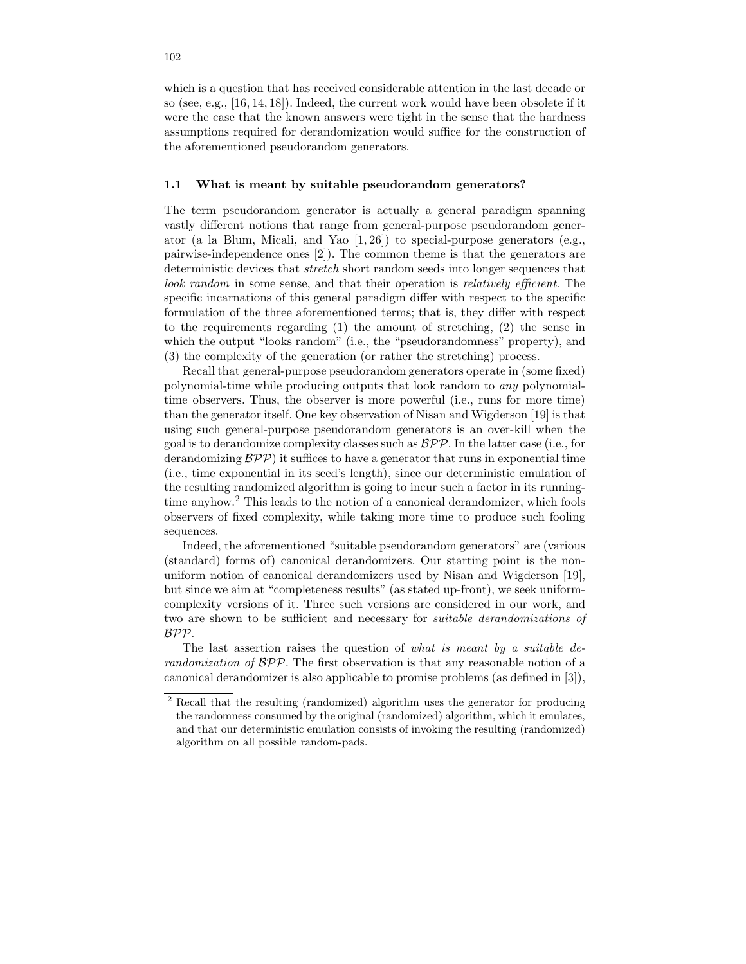which is a question that has received considerable attention in the last decade or so (see, e.g., [16, 14, 18]). Indeed, the current work would have been obsolete if it were the case that the known answers were tight in the sense that the hardness assumptions required for derandomization would suffice for the construction of the aforementioned pseudorandom generators.

#### 1.1 What is meant by suitable pseudorandom generators?

The term pseudorandom generator is actually a general paradigm spanning vastly different notions that range from general-purpose pseudorandom generator (a la Blum, Micali, and Yao [1, 26]) to special-purpose generators (e.g., pairwise-independence ones [2]). The common theme is that the generators are deterministic devices that stretch short random seeds into longer sequences that look random in some sense, and that their operation is relatively efficient. The specific incarnations of this general paradigm differ with respect to the specific formulation of the three aforementioned terms; that is, they differ with respect to the requirements regarding (1) the amount of stretching, (2) the sense in which the output "looks random" (i.e., the "pseudorandomness" property), and (3) the complexity of the generation (or rather the stretching) process.

Recall that general-purpose pseudorandom generators operate in (some fixed) polynomial-time while producing outputs that look random to any polynomialtime observers. Thus, the observer is more powerful (i.e., runs for more time) than the generator itself. One key observation of Nisan and Wigderson [19] is that using such general-purpose pseudorandom generators is an over-kill when the goal is to derandomize complexity classes such as  $BPP$ . In the latter case (i.e., for derandomizing  $\mathcal{BPP}$ ) it suffices to have a generator that runs in exponential time (i.e., time exponential in its seed's length), since our deterministic emulation of the resulting randomized algorithm is going to incur such a factor in its runningtime anyhow.<sup>2</sup> This leads to the notion of a canonical derandomizer, which fools observers of fixed complexity, while taking more time to produce such fooling sequences.

Indeed, the aforementioned "suitable pseudorandom generators" are (various (standard) forms of) canonical derandomizers. Our starting point is the nonuniform notion of canonical derandomizers used by Nisan and Wigderson [19], but since we aim at "completeness results" (as stated up-front), we seek uniformcomplexity versions of it. Three such versions are considered in our work, and two are shown to be sufficient and necessary for suitable derandomizations of BPP.

The last assertion raises the question of what is meant by a suitable derandomization of BPP. The first observation is that any reasonable notion of a canonical derandomizer is also applicable to promise problems (as defined in [3]),

<sup>2</sup> Recall that the resulting (randomized) algorithm uses the generator for producing the randomness consumed by the original (randomized) algorithm, which it emulates, and that our deterministic emulation consists of invoking the resulting (randomized) algorithm on all possible random-pads.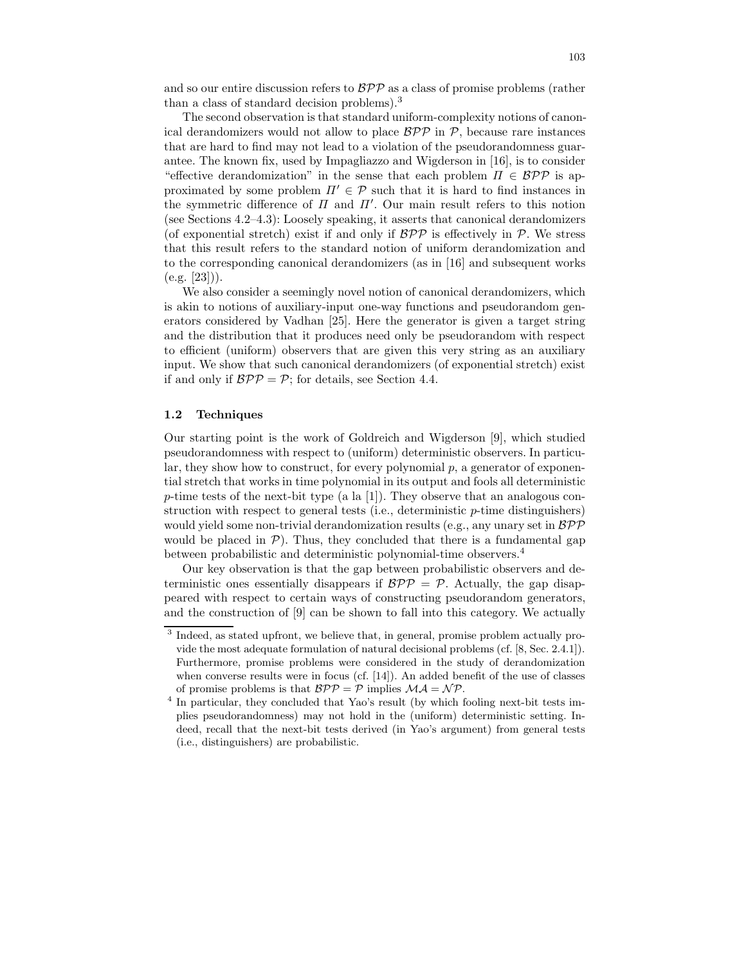and so our entire discussion refers to  $BPP$  as a class of promise problems (rather than a class of standard decision problems).<sup>3</sup>

The second observation is that standard uniform-complexity notions of canonical derandomizers would not allow to place  $BPP$  in  $P$ , because rare instances that are hard to find may not lead to a violation of the pseudorandomness guarantee. The known fix, used by Impagliazzo and Wigderson in [16], is to consider "effective derandomization" in the sense that each problem  $\Pi \in \mathcal{BPP}$  is approximated by some problem  $\Pi' \in \mathcal{P}$  such that it is hard to find instances in the symmetric difference of  $\Pi$  and  $\Pi'$ . Our main result refers to this notion (see Sections 4.2–4.3): Loosely speaking, it asserts that canonical derandomizers (of exponential stretch) exist if and only if  $\mathcal{BPP}$  is effectively in P. We stress that this result refers to the standard notion of uniform derandomization and to the corresponding canonical derandomizers (as in [16] and subsequent works  $(e.g. |23|)$ .

We also consider a seemingly novel notion of canonical derandomizers, which is akin to notions of auxiliary-input one-way functions and pseudorandom generators considered by Vadhan [25]. Here the generator is given a target string and the distribution that it produces need only be pseudorandom with respect to efficient (uniform) observers that are given this very string as an auxiliary input. We show that such canonical derandomizers (of exponential stretch) exist if and only if  $BPP = P$ ; for details, see Section 4.4.

## 1.2 Techniques

Our starting point is the work of Goldreich and Wigderson [9], which studied pseudorandomness with respect to (uniform) deterministic observers. In particular, they show how to construct, for every polynomial  $p$ , a generator of exponential stretch that works in time polynomial in its output and fools all deterministic p-time tests of the next-bit type (a la [1]). They observe that an analogous construction with respect to general tests (i.e., deterministic p-time distinguishers) would yield some non-trivial derandomization results (e.g., any unary set in  $BPP$ would be placed in  $\mathcal{P}$ ). Thus, they concluded that there is a fundamental gap between probabilistic and deterministic polynomial-time observers.<sup>4</sup>

Our key observation is that the gap between probabilistic observers and deterministic ones essentially disappears if  $BPP = P$ . Actually, the gap disappeared with respect to certain ways of constructing pseudorandom generators, and the construction of [9] can be shown to fall into this category. We actually

<sup>&</sup>lt;sup>3</sup> Indeed, as stated upfront, we believe that, in general, promise problem actually provide the most adequate formulation of natural decisional problems (cf. [8, Sec. 2.4.1]). Furthermore, promise problems were considered in the study of derandomization when converse results were in focus (cf. [14]). An added benefit of the use of classes of promise problems is that  $BPP = P$  implies  $\mathcal{MA} = \mathcal{NP}$ .

<sup>&</sup>lt;sup>4</sup> In particular, they concluded that Yao's result (by which fooling next-bit tests implies pseudorandomness) may not hold in the (uniform) deterministic setting. Indeed, recall that the next-bit tests derived (in Yao's argument) from general tests (i.e., distinguishers) are probabilistic.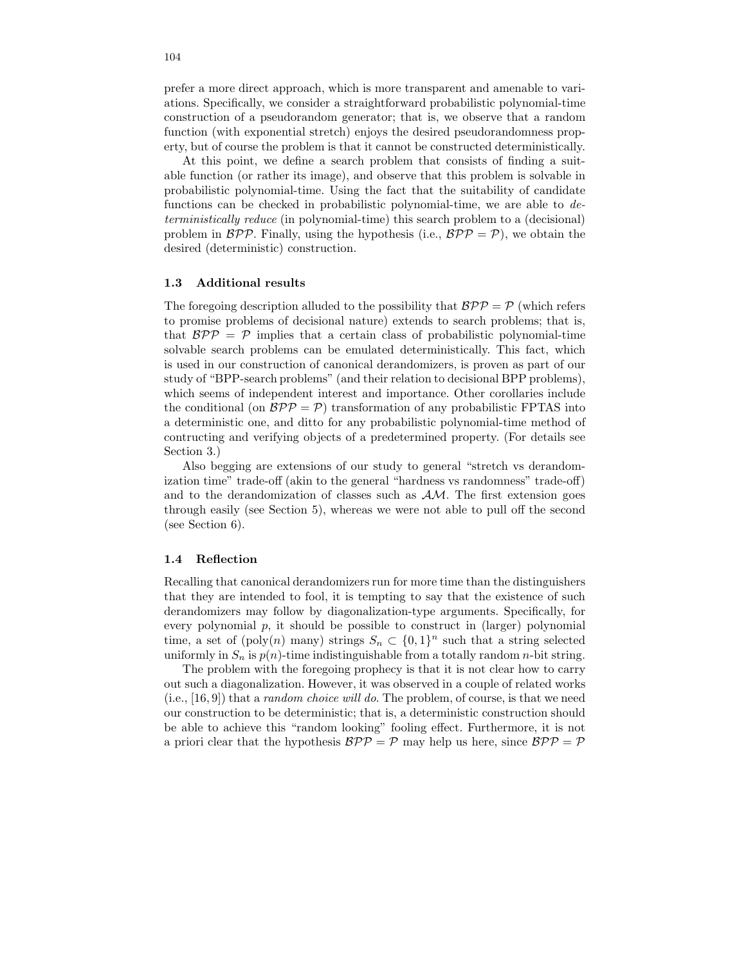prefer a more direct approach, which is more transparent and amenable to variations. Specifically, we consider a straightforward probabilistic polynomial-time construction of a pseudorandom generator; that is, we observe that a random function (with exponential stretch) enjoys the desired pseudorandomness property, but of course the problem is that it cannot be constructed deterministically.

At this point, we define a search problem that consists of finding a suitable function (or rather its image), and observe that this problem is solvable in probabilistic polynomial-time. Using the fact that the suitability of candidate functions can be checked in probabilistic polynomial-time, we are able to deterministically reduce (in polynomial-time) this search problem to a (decisional) problem in  $BPP$ . Finally, using the hypothesis (i.e.,  $BPP = P$ ), we obtain the desired (deterministic) construction.

#### 1.3 Additional results

The foregoing description alluded to the possibility that  $BPP = P$  (which refers to promise problems of decisional nature) extends to search problems; that is, that  $BPP = P$  implies that a certain class of probabilistic polynomial-time solvable search problems can be emulated deterministically. This fact, which is used in our construction of canonical derandomizers, is proven as part of our study of "BPP-search problems" (and their relation to decisional BPP problems), which seems of independent interest and importance. Other corollaries include the conditional (on  $BPP = P$ ) transformation of any probabilistic FPTAS into a deterministic one, and ditto for any probabilistic polynomial-time method of contructing and verifying objects of a predetermined property. (For details see Section 3.)

Also begging are extensions of our study to general "stretch vs derandomization time" trade-off (akin to the general "hardness vs randomness" trade-off) and to the derandomization of classes such as  $AM$ . The first extension goes through easily (see Section 5), whereas we were not able to pull off the second (see Section 6).

## 1.4 Reflection

Recalling that canonical derandomizers run for more time than the distinguishers that they are intended to fool, it is tempting to say that the existence of such derandomizers may follow by diagonalization-type arguments. Specifically, for every polynomial  $p$ , it should be possible to construct in (larger) polynomial time, a set of (poly(n) many) strings  $S_n \subset \{0,1\}^n$  such that a string selected uniformly in  $S_n$  is  $p(n)$ -time indistinguishable from a totally random *n*-bit string.

The problem with the foregoing prophecy is that it is not clear how to carry out such a diagonalization. However, it was observed in a couple of related works (i.e., [16, 9]) that a random choice will do. The problem, of course, is that we need our construction to be deterministic; that is, a deterministic construction should be able to achieve this "random looking" fooling effect. Furthermore, it is not a priori clear that the hypothesis  $\mathcal{BPP} = \mathcal{P}$  may help us here, since  $\mathcal{BPP} = \mathcal{P}$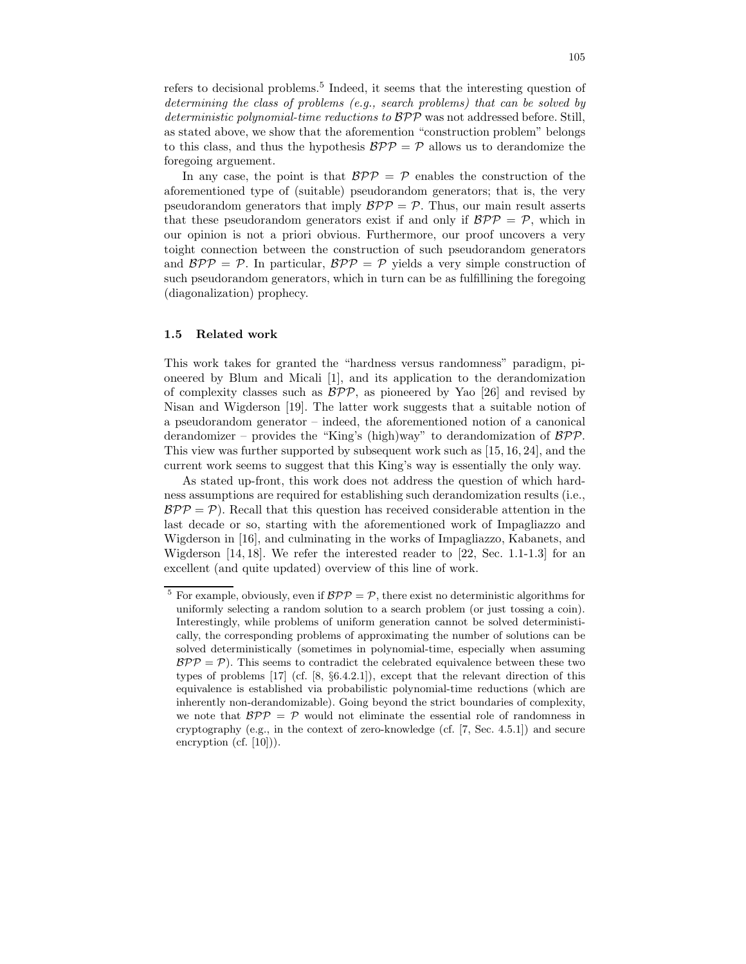refers to decisional problems.<sup>5</sup> Indeed, it seems that the interesting question of determining the class of problems (e.g., search problems) that can be solved by deterministic polynomial-time reductions to  $BPP$  was not addressed before. Still, as stated above, we show that the aforemention "construction problem" belongs to this class, and thus the hypothesis  $BPP = P$  allows us to derandomize the foregoing arguement.

In any case, the point is that  $BPP = P$  enables the construction of the aforementioned type of (suitable) pseudorandom generators; that is, the very pseudorandom generators that imply  $BPP = P$ . Thus, our main result asserts that these pseudorandom generators exist if and only if  $BPP = P$ , which in our opinion is not a priori obvious. Furthermore, our proof uncovers a very toight connection between the construction of such pseudorandom generators and  $BPP = P$ . In particular,  $BPP = P$  yields a very simple construction of such pseudorandom generators, which in turn can be as fulfillining the foregoing (diagonalization) prophecy.

#### 1.5 Related work

This work takes for granted the "hardness versus randomness" paradigm, pioneered by Blum and Micali [1], and its application to the derandomization of complexity classes such as  $\mathcal{BPP}$ , as pioneered by Yao [26] and revised by Nisan and Wigderson [19]. The latter work suggests that a suitable notion of a pseudorandom generator – indeed, the aforementioned notion of a canonical derandomizer – provides the "King's (high)way" to derandomization of BPP. This view was further supported by subsequent work such as [15, 16, 24], and the current work seems to suggest that this King's way is essentially the only way.

As stated up-front, this work does not address the question of which hardness assumptions are required for establishing such derandomization results (i.e.,  $BPP = P$ ). Recall that this question has received considerable attention in the last decade or so, starting with the aforementioned work of Impagliazzo and Wigderson in [16], and culminating in the works of Impagliazzo, Kabanets, and Wigderson [14, 18]. We refer the interested reader to [22, Sec. 1.1-1.3] for an excellent (and quite updated) overview of this line of work.

<sup>&</sup>lt;sup>5</sup> For example, obviously, even if  $BPP = P$ , there exist no deterministic algorithms for uniformly selecting a random solution to a search problem (or just tossing a coin). Interestingly, while problems of uniform generation cannot be solved deterministically, the corresponding problems of approximating the number of solutions can be solved deterministically (sometimes in polynomial-time, especially when assuming  $BPP = P$ ). This seems to contradict the celebrated equivalence between these two types of problems [17] (cf. [8, §6.4.2.1]), except that the relevant direction of this equivalence is established via probabilistic polynomial-time reductions (which are inherently non-derandomizable). Going beyond the strict boundaries of complexity, we note that  $BPP = P$  would not eliminate the essential role of randomness in cryptography (e.g., in the context of zero-knowledge (cf. [7, Sec. 4.5.1]) and secure encryption (cf. [10])).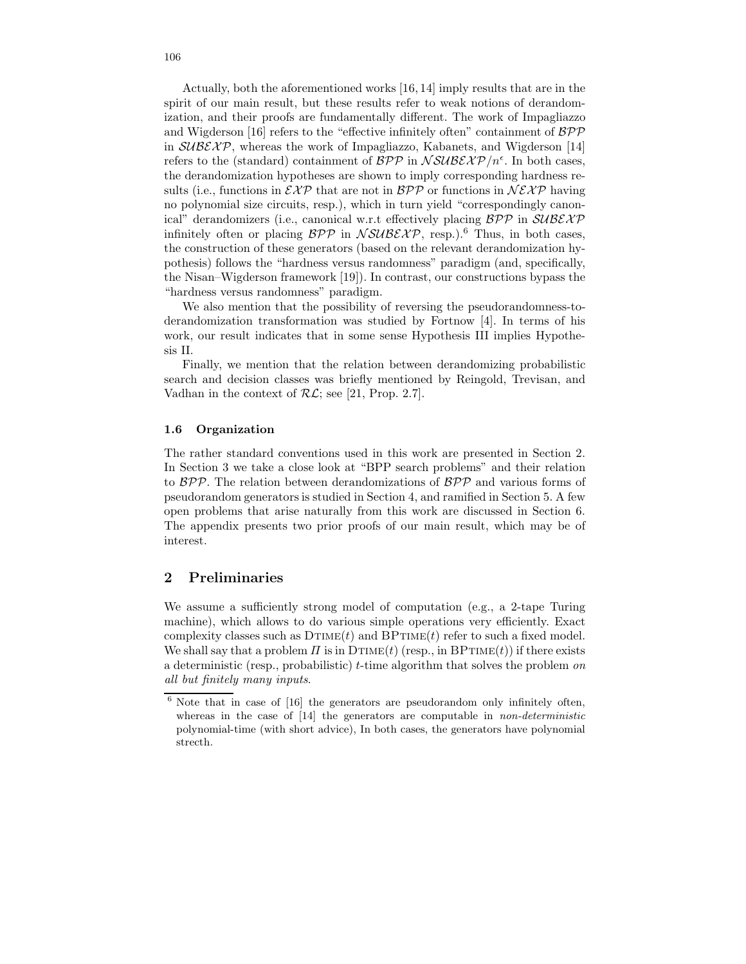Actually, both the aforementioned works [16, 14] imply results that are in the spirit of our main result, but these results refer to weak notions of derandomization, and their proofs are fundamentally different. The work of Impagliazzo and Wigderson [16] refers to the "effective infinitely often" containment of  $B\mathcal{PP}$ in  $\mathcal{SUBEXP}$ , whereas the work of Impagliazzo, Kabanets, and Wigderson [14] refers to the (standard) containment of  $BPP$  in  $NSUBEXP/n<sup>\epsilon</sup>$ . In both cases, the derandomization hypotheses are shown to imply corresponding hardness results (i.e., functions in  $\mathcal{EXP}$  that are not in  $\mathcal{BPP}$  or functions in  $\mathcal{NEXP}$  having no polynomial size circuits, resp.), which in turn yield "correspondingly canonical" derandomizers (i.e., canonical w.r.t effectively placing  $BPP$  in  $\mathcal{SUBEXP}$ infinitely often or placing  $BPP$  in  $NSUBEXP$ , resp.).<sup>6</sup> Thus, in both cases, the construction of these generators (based on the relevant derandomization hypothesis) follows the "hardness versus randomness" paradigm (and, specifically, the Nisan–Wigderson framework [19]). In contrast, our constructions bypass the "hardness versus randomness" paradigm.

We also mention that the possibility of reversing the pseudorandomness-toderandomization transformation was studied by Fortnow [4]. In terms of his work, our result indicates that in some sense Hypothesis III implies Hypothesis II.

Finally, we mention that the relation between derandomizing probabilistic search and decision classes was briefly mentioned by Reingold, Trevisan, and Vadhan in the context of  $\mathcal{RL}$ ; see [21, Prop. 2.7].

#### 1.6 Organization

The rather standard conventions used in this work are presented in Section 2. In Section 3 we take a close look at "BPP search problems" and their relation to BPP. The relation between derandomizations of BPP and various forms of pseudorandom generators is studied in Section 4, and ramified in Section 5. A few open problems that arise naturally from this work are discussed in Section 6. The appendix presents two prior proofs of our main result, which may be of interest.

# 2 Preliminaries

We assume a sufficiently strong model of computation (e.g., a 2-tape Turing machine), which allows to do various simple operations very efficiently. Exact complexity classes such as  $DTIME(t)$  and  $BPTIME(t)$  refer to such a fixed model. We shall say that a problem  $\Pi$  is in  $DTIME(t)$  (resp., in  $BPTIME(t)$ ) if there exists a deterministic (resp., probabilistic)  $t$ -time algorithm that solves the problem on all but finitely many inputs.

 $6$  Note that in case of  $[16]$  the generators are pseudorandom only infinitely often, whereas in the case of  $[14]$  the generators are computable in *non-deterministic* polynomial-time (with short advice), In both cases, the generators have polynomial strecth.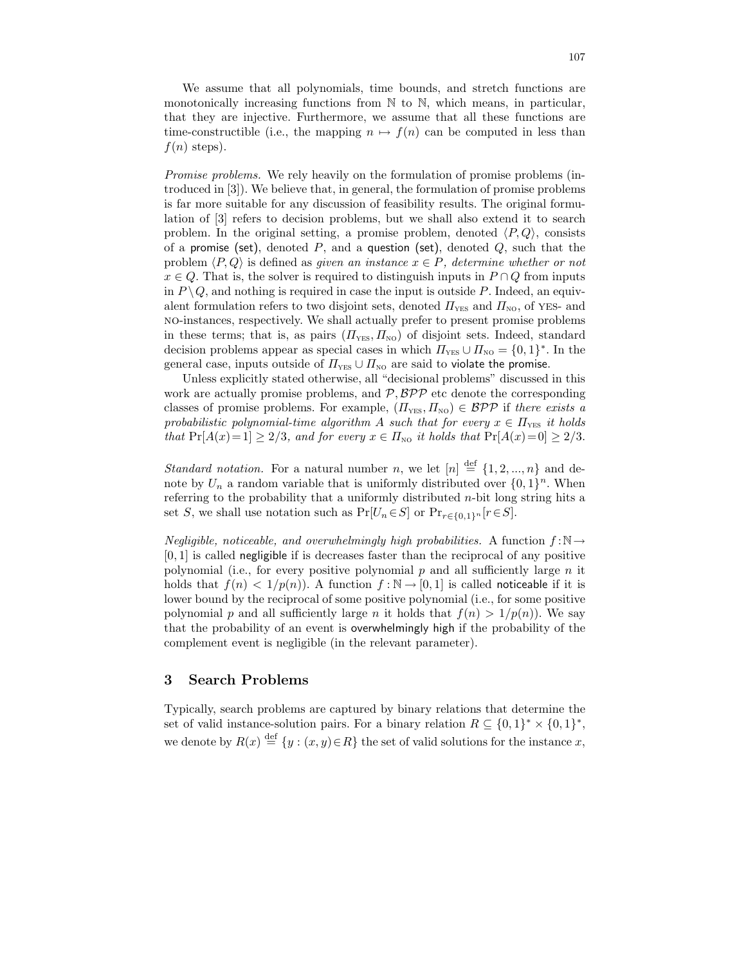We assume that all polynomials, time bounds, and stretch functions are monotonically increasing functions from  $\mathbb N$  to  $\mathbb N$ , which means, in particular, that they are injective. Furthermore, we assume that all these functions are time-constructible (i.e., the mapping  $n \mapsto f(n)$  can be computed in less than  $f(n)$  steps).

Promise problems. We rely heavily on the formulation of promise problems (introduced in [3]). We believe that, in general, the formulation of promise problems is far more suitable for any discussion of feasibility results. The original formulation of [3] refers to decision problems, but we shall also extend it to search problem. In the original setting, a promise problem, denoted  $\langle P, Q \rangle$ , consists of a promise (set), denoted  $P$ , and a question (set), denoted  $Q$ , such that the problem  $\langle P, Q \rangle$  is defined as given an instance  $x \in P$ , determine whether or not  $x \in Q$ . That is, the solver is required to distinguish inputs in  $P \cap Q$  from inputs in  $P \setminus Q$ , and nothing is required in case the input is outside P. Indeed, an equivalent formulation refers to two disjoint sets, denoted  $\Pi_{\text{YES}}$  and  $\Pi_{\text{NO}}$ , of YES- and no-instances, respectively. We shall actually prefer to present promise problems in these terms; that is, as pairs  $(\Pi_{\text{YES}}, \Pi_{\text{NO}})$  of disjoint sets. Indeed, standard decision problems appear as special cases in which  $\Pi_{\text{YES}} \cup \Pi_{\text{NO}} = \{0, 1\}^*$ . In the general case, inputs outside of  $\Pi_{\text{YES}} \cup \Pi_{\text{NO}}$  are said to violate the promise.

Unless explicitly stated otherwise, all "decisional problems" discussed in this work are actually promise problems, and  $P$ ,  $BPP$  etc denote the corresponding classes of promise problems. For example,  $(\Pi_{\text{YES}}, \Pi_{\text{NO}}) \in \mathcal{BPP}$  if there exists a probabilistic polynomial-time algorithm A such that for every  $x \in \Pi_{\text{YES}}$  it holds that  $Pr[A(x)=1] \geq 2/3$ , and for every  $x \in \Pi_{NQ}$  it holds that  $Pr[A(x)=0] \geq 2/3$ .

*Standard notation*. For a natural number *n*, we let  $[n] \stackrel{\text{def}}{=} \{1, 2, ..., n\}$  and denote by  $U_n$  a random variable that is uniformly distributed over  $\{0,1\}^n$ . When referring to the probability that a uniformly distributed  $n$ -bit long string hits a set S, we shall use notation such as  $Pr[U_n \in S]$  or  $Pr_{r \in \{0,1\}^n}[r \in S]$ .

Negligible, noticeable, and overwhelmingly high probabilities. A function  $f : \mathbb{N} \rightarrow$  $[0, 1]$  is called negligible if is decreases faster than the reciprocal of any positive polynomial (i.e., for every positive polynomial  $p$  and all sufficiently large  $n$  it holds that  $f(n) < 1/p(n)$ . A function  $f : \mathbb{N} \to [0, 1]$  is called noticeable if it is lower bound by the reciprocal of some positive polynomial (i.e., for some positive polynomial p and all sufficiently large n it holds that  $f(n) > 1/p(n)$ . We say that the probability of an event is overwhelmingly high if the probability of the complement event is negligible (in the relevant parameter).

# 3 Search Problems

Typically, search problems are captured by binary relations that determine the set of valid instance-solution pairs. For a binary relation  $R \subseteq \{0,1\}^* \times \{0,1\}^*$ , we denote by  $R(x) \stackrel{\text{def}}{=} \{y : (x, y) \in R\}$  the set of valid solutions for the instance x,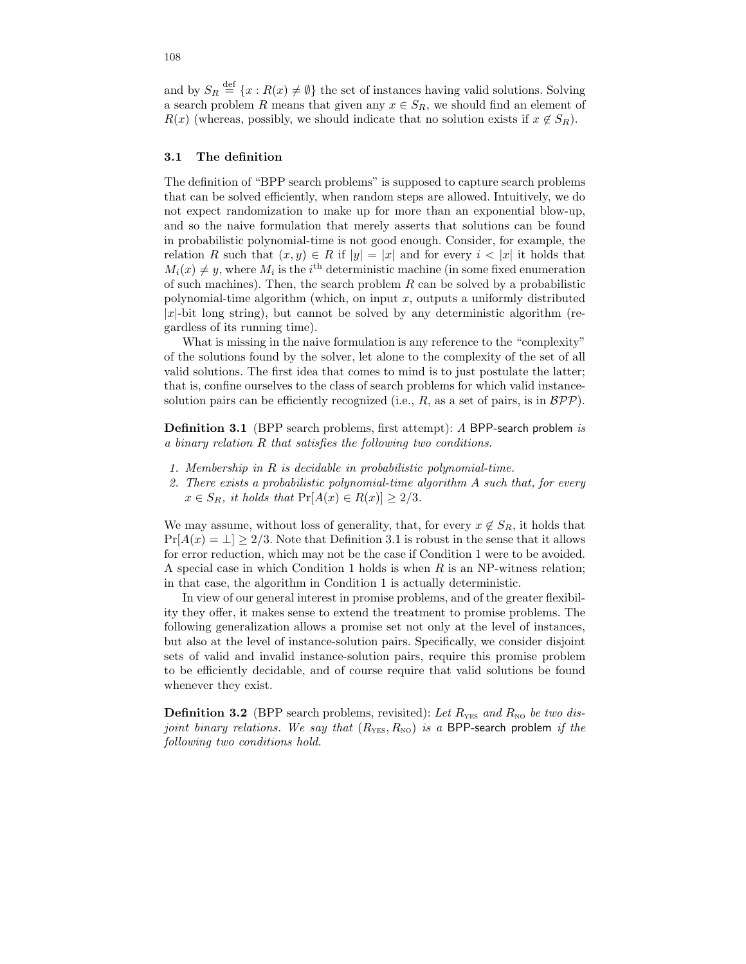and by  $S_R \stackrel{\text{def}}{=} \{x : R(x) \neq \emptyset\}$  the set of instances having valid solutions. Solving a search problem R means that given any  $x \in S_R$ , we should find an element of  $R(x)$  (whereas, possibly, we should indicate that no solution exists if  $x \notin S_R$ ).

#### 3.1 The definition

The definition of "BPP search problems" is supposed to capture search problems that can be solved efficiently, when random steps are allowed. Intuitively, we do not expect randomization to make up for more than an exponential blow-up, and so the naive formulation that merely asserts that solutions can be found in probabilistic polynomial-time is not good enough. Consider, for example, the relation R such that  $(x, y) \in R$  if  $|y| = |x|$  and for every  $i < |x|$  it holds that  $M_i(x) \neq y$ , where  $M_i$  is the i<sup>th</sup> deterministic machine (in some fixed enumeration of such machines). Then, the search problem  $R$  can be solved by a probabilistic polynomial-time algorithm (which, on input x, outputs a uniformly distributed  $|x|$ -bit long string), but cannot be solved by any deterministic algorithm (regardless of its running time).

What is missing in the naive formulation is any reference to the "complexity" of the solutions found by the solver, let alone to the complexity of the set of all valid solutions. The first idea that comes to mind is to just postulate the latter; that is, confine ourselves to the class of search problems for which valid instancesolution pairs can be efficiently recognized (i.e.,  $R$ , as a set of pairs, is in  $\mathcal{BPP}$ ).

Definition 3.1 (BPP search problems, first attempt): A BPP-search problem is a binary relation R that satisfies the following two conditions.

- 1. Membership in R is decidable in probabilistic polynomial-time.
- 2. There exists a probabilistic polynomial-time algorithm A such that, for every  $x \in S_R$ , it holds that  $Pr[A(x) \in R(x)] \geq 2/3$ .

We may assume, without loss of generality, that, for every  $x \notin S_R$ , it holds that  $Pr[A(x) = \perp] > 2/3$ . Note that Definition 3.1 is robust in the sense that it allows for error reduction, which may not be the case if Condition 1 were to be avoided. A special case in which Condition 1 holds is when  $R$  is an NP-witness relation; in that case, the algorithm in Condition 1 is actually deterministic.

In view of our general interest in promise problems, and of the greater flexibility they offer, it makes sense to extend the treatment to promise problems. The following generalization allows a promise set not only at the level of instances, but also at the level of instance-solution pairs. Specifically, we consider disjoint sets of valid and invalid instance-solution pairs, require this promise problem to be efficiently decidable, and of course require that valid solutions be found whenever they exist.

**Definition 3.2** (BPP search problems, revisited): Let  $R_{\text{YES}}$  and  $R_{\text{NO}}$  be two disjoint binary relations. We say that  $(R_{\text{YES}}, R_{\text{NO}})$  is a BPP-search problem if the following two conditions hold.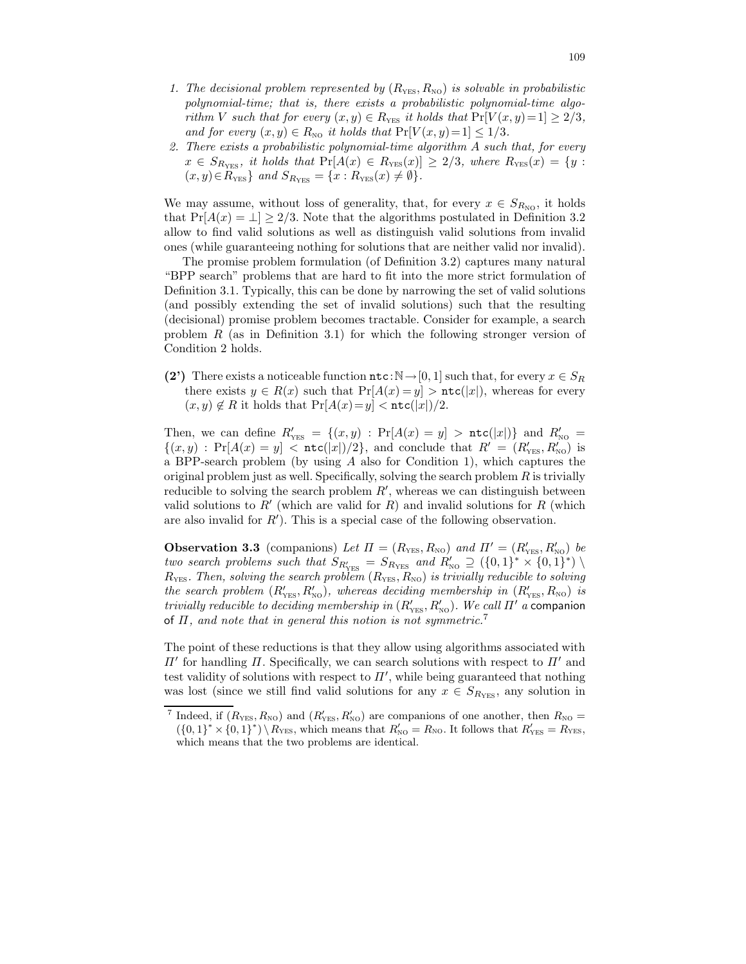- 1. The decisional problem represented by  $(R_{\text{YES}}, R_{\text{NO}})$  is solvable in probabilistic polynomial-time; that is, there exists a probabilistic polynomial-time algorithm V such that for every  $(x, y) \in R_{\text{YES}}$  it holds that  $\Pr[V(x, y)=1] \geq 2/3$ , and for every  $(x, y) \in R_{\text{NO}}$  it holds that  $Pr[V(x, y)=1] \leq 1/3$ .
- 2. There exists a probabilistic polynomial-time algorithm A such that, for every  $x \in S_{R_{\text{YES}}},$  it holds that  $\Pr[A(x) \in R_{\text{YES}}(x)] \geq 2/3$ , where  $R_{\text{YES}}(x) = \{y :$  $(x, y) \in R_{\text{YES}}$  and  $S_{R_{\text{YES}}} = \{x : R_{\text{YES}}(x) \neq \emptyset\}.$

We may assume, without loss of generality, that, for every  $x \in S_{R_{NQ}}$ , it holds that  $Pr[A(x) = \perp] \geq 2/3$ . Note that the algorithms postulated in Definition 3.2 allow to find valid solutions as well as distinguish valid solutions from invalid ones (while guaranteeing nothing for solutions that are neither valid nor invalid).

The promise problem formulation (of Definition 3.2) captures many natural "BPP search" problems that are hard to fit into the more strict formulation of Definition 3.1. Typically, this can be done by narrowing the set of valid solutions (and possibly extending the set of invalid solutions) such that the resulting (decisional) promise problem becomes tractable. Consider for example, a search problem  $R$  (as in Definition 3.1) for which the following stronger version of Condition 2 holds.

(2') There exists a noticeable function  $\texttt{ntc}: \mathbb{N} \to [0, 1]$  such that, for every  $x \in S_R$ there exists  $y \in R(x)$  such that  $Pr[A(x) = y] > \text{ntc}(|x|)$ , whereas for every  $(x, y) \notin R$  it holds that  $Pr[A(x) = y] < \texttt{ntc}(|x|)/2$ .

Then, we can define  $R'_{\text{YES}} = \{(x, y) : \Pr[A(x) = y] > \text{ntc}(|x|)\}\$  and  $R'_{\text{NO}} =$  ${(x,y) : Pr[A(x) = y] < \texttt{ntc}(|x|)/2},$  and conclude that  $R' = (R'_{\text{YES}}, R'_{\text{NO}})$  is a BPP-search problem (by using A also for Condition 1), which captures the original problem just as well. Specifically, solving the search problem  $R$  is trivially reducible to solving the search problem  $R'$ , whereas we can distinguish between valid solutions to  $R'$  (which are valid for  $R$ ) and invalid solutions for  $R$  (which are also invalid for  $R'$ ). This is a special case of the following observation.

**Observation 3.3** (companions) Let  $\Pi = (R_{\text{YES}}, R_{\text{NO}})$  and  $\Pi' = (R'_{\text{YES}}, R'_{\text{NO}})$  be two search problems such that  $S_{R'_{\text{YES}}} = S_{R_{\text{YES}}}$  and  $R'_{\text{NO}} \supseteq (\{0,1\}^* \times \{0,1\}^*)$  $R_{\text{YES}}$ . Then, solving the search problem  $(R_{\text{YES}}, R_{\text{NO}})$  is trivially reducible to solving the search problem  $(R'_{\text{YES}}, R'_{\text{NO}})$ , whereas deciding membership in  $(R'_{\text{YES}}, R_{\text{NO}})$  is trivially reducible to deciding membership in  $(R'_{\text{YES}}, R'_{\text{NO}})$ . We call  $\Pi'$  a companion of  $\Pi$ , and note that in general this notion is not symmetric.<sup>7</sup>

The point of these reductions is that they allow using algorithms associated with  $\Pi'$  for handling  $\Pi$ . Specifically, we can search solutions with respect to  $\Pi'$  and test validity of solutions with respect to  $\Pi'$ , while being guaranteed that nothing was lost (since we still find valid solutions for any  $x \in S_{R_{\text{VFS}}}$ , any solution in

<sup>&</sup>lt;sup>7</sup> Indeed, if  $(R_{\text{YES}}, R_{\text{NO}})$  and  $(R'_{\text{YES}}, R'_{\text{NO}})$  are companions of one another, then  $R_{\text{NO}} =$  $({0,1}^* \times {0,1}^*) \setminus R_{\text{YES}}$ , which means that  $R'_{\text{NO}} = R_{\text{NO}}$ . It follows that  $R'_{\text{YES}} = R_{\text{YES}}$ , which means that the two problems are identical.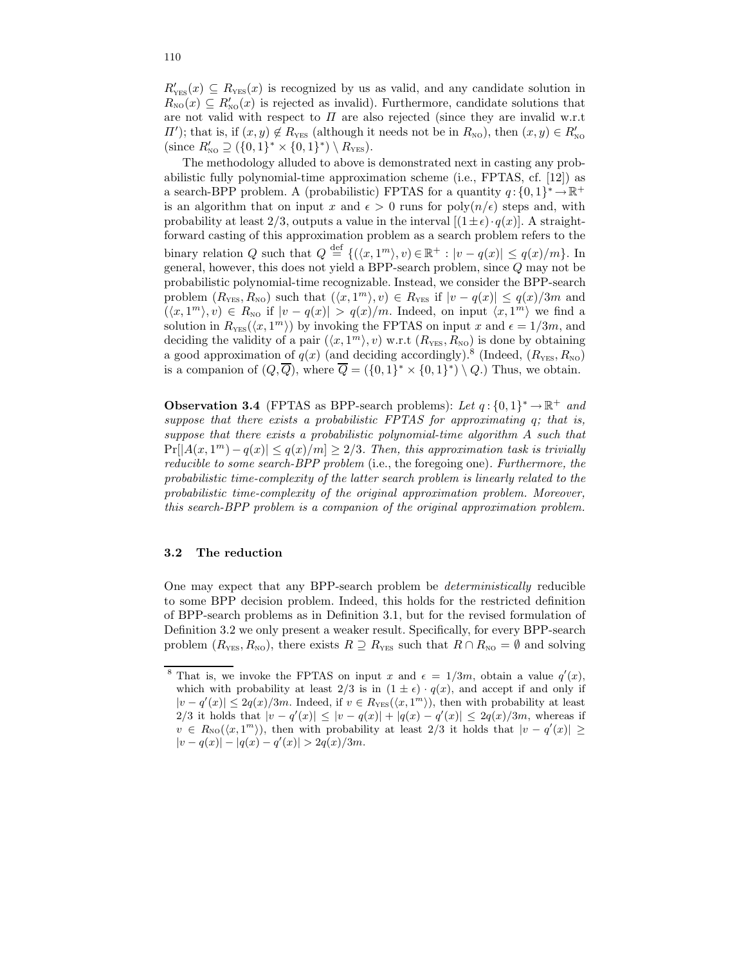$R'_{\text{YES}}(x) \subseteq R_{\text{YES}}(x)$  is recognized by us as valid, and any candidate solution in  $R_{\text{NO}}(x) \subseteq R'_{\text{NO}}(x)$  is rejected as invalid). Furthermore, candidate solutions that are not valid with respect to  $\Pi$  are also rejected (since they are invalid w.r.t  $\Pi'$ ); that is, if  $(x, y) \notin R_{\text{YES}}$  (although it needs not be in  $R_{\text{NO}}$ ), then  $(x, y) \in R'_{\text{NO}}$ (since  $R'_{\text{NO}} \supseteq (\{0, 1\}^* \times \{0, 1\}^*) \setminus R_{\text{YES}}).$ 

The methodology alluded to above is demonstrated next in casting any probabilistic fully polynomial-time approximation scheme (i.e., FPTAS, cf. [12]) as a search-BPP problem. A (probabilistic) FPTAS for a quantity  $q: \{0, 1\}^* \to \mathbb{R}^+$ is an algorithm that on input x and  $\epsilon > 0$  runs for  $poly(n/\epsilon)$  steps and, with probability at least 2/3, outputs a value in the interval  $[(1 \pm \epsilon) \cdot q(x)]$ . A straightforward casting of this approximation problem as a search problem refers to the binary relation Q such that  $Q \stackrel{\text{def}}{=} \{(\langle x, 1^m \rangle, v) \in \mathbb{R}^+ : |v - q(x)| \leq q(x)/m\}$ . In general, however, this does not yield a BPP-search problem, since Q may not be probabilistic polynomial-time recognizable. Instead, we consider the BPP-search problem  $(R_{\text{YES}}, R_{\text{NO}})$  such that  $(\langle x, 1^m \rangle, v) \in R_{\text{YES}}$  if  $|v - q(x)| \leq q(x)/3m$  and  $(\langle x, 1^m \rangle, v) \in R_{\text{NO}}$  if  $|v - q(x)| > q(x)/m$ . Indeed, on input  $\langle x, 1^m \rangle$  we find a solution in  $R_{\text{YES}}(\langle x, 1^m \rangle)$  by invoking the FPTAS on input x and  $\epsilon = 1/3m$ , and deciding the validity of a pair  $(\langle x, 1^m \rangle, v)$  w.r.t  $(R_{\text{YES}}, R_{\text{NO}})$  is done by obtaining a good approximation of  $q(x)$  (and deciding accordingly).<sup>8</sup> (Indeed,  $(R_{\text{YES}}, R_{\text{NO}})$ ) is a companion of  $(Q, \overline{Q})$ , where  $\overline{Q} = (\{0,1\}^* \times \{0,1\}^*) \setminus Q$ .) Thus, we obtain.

**Observation 3.4** (FPTAS as BPP-search problems): Let  $q: \{0, 1\}^* \to \mathbb{R}^+$  and suppose that there exists a probabilistic FPTAS for approximating q; that is, suppose that there exists a probabilistic polynomial-time algorithm A such that  $Pr[|A(x,1^m)-q(x)| \leq q(x)/m] \geq 2/3$ . Then, this approximation task is trivially reducible to some search-BPP problem (i.e., the foregoing one). Furthermore, the probabilistic time-complexity of the latter search problem is linearly related to the probabilistic time-complexity of the original approximation problem. Moreover, this search-BPP problem is a companion of the original approximation problem.

#### 3.2 The reduction

One may expect that any BPP-search problem be deterministically reducible to some BPP decision problem. Indeed, this holds for the restricted definition of BPP-search problems as in Definition 3.1, but for the revised formulation of Definition 3.2 we only present a weaker result. Specifically, for every BPP-search problem  $(R_{\text{YES}}, R_{\text{NO}})$ , there exists  $R \supseteq R_{\text{YES}}$  such that  $R \cap R_{\text{NO}} = \emptyset$  and solving

<sup>&</sup>lt;sup>8</sup> That is, we invoke the FPTAS on input x and  $\epsilon = 1/3m$ , obtain a value  $q'(x)$ , which with probability at least  $2/3$  is in  $(1 \pm \epsilon) \cdot q(x)$ , and accept if and only if  $|v-q'(x)| \leq 2q(x)/3m$ . Indeed, if  $v \in R_{\text{YES}}(\langle x, 1^m \rangle)$ , then with probability at least 2/3 it holds that  $|v - q'(x)| \le |v - q(x)| + |q(x) - q'(x)| \le 2q(x)/3m$ , whereas if  $v \in R_{\text{NO}}(\langle x, 1^m \rangle)$ , then with probability at least 2/3 it holds that  $|v - q'(x)| \ge$  $|v - q(x)| - |q(x) - q'(x)| > 2q(x)/3m.$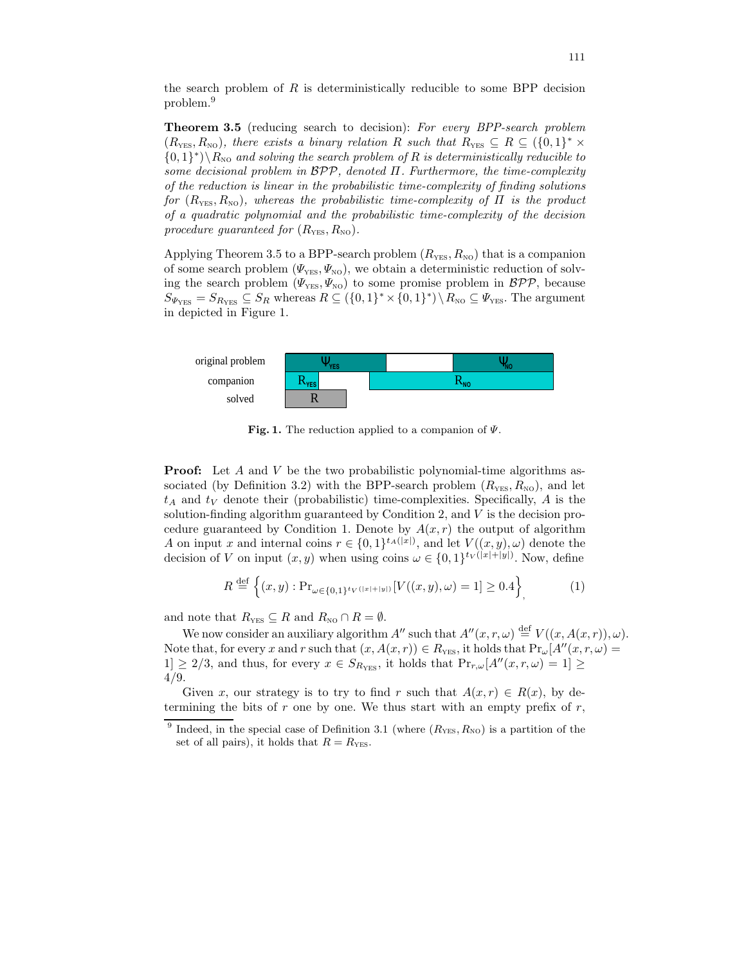the search problem of  $R$  is deterministically reducible to some BPP decision problem.<sup>9</sup>

Theorem 3.5 (reducing search to decision): For every BPP-search problem  $(R_{\text{YES}}, R_{\text{NO}})$ , there exists a binary relation R such that  $R_{\text{YES}} \subseteq R \subseteq \{0, 1\}^* \times$  $\{0,1\}^*\setminus R_{\text{NO}}$  and solving the search problem of R is deterministically reducible to some decisional problem in  $BPP$ , denoted  $\Pi$ . Furthermore, the time-complexity of the reduction is linear in the probabilistic time-complexity of finding solutions for  $(R_{\text{YES}}, R_{\text{NO}})$ , whereas the probabilistic time-complexity of  $\Pi$  is the product of a quadratic polynomial and the probabilistic time-complexity of the decision procedure guaranteed for  $(R_{\text{YES}}, R_{\text{NO}})$ .

Applying Theorem 3.5 to a BPP-search problem  $(R_{\text{YES}}, R_{\text{NO}})$  that is a companion of some search problem  $(\Psi_{\text{YES}}, \Psi_{\text{NO}})$ , we obtain a deterministic reduction of solving the search problem  $(\varPsi_{\text{YES}}, \varPsi_{\text{NO}})$  to some promise problem in  $\mathcal{BPP}$ , because  $S_{\Psi_{\text{YES}}} = S_{R_{\text{YES}}} \subseteq S_R$  whereas  $R \subseteq (\{0,1\}^* \times \{0,1\}^*) \setminus R_{\text{NO}} \subseteq \Psi_{\text{YES}}$ . The argument in depicted in Figure 1.



Fig. 1. The reduction applied to a companion of  $\Psi$ .

**Proof:** Let A and V be the two probabilistic polynomial-time algorithms associated (by Definition 3.2) with the BPP-search problem  $(R_{\text{YES}}, R_{\text{NO}})$ , and let  $t_A$  and  $t_V$  denote their (probabilistic) time-complexities. Specifically, A is the solution-finding algorithm guaranteed by Condition 2, and  $V$  is the decision procedure guaranteed by Condition 1. Denote by  $A(x, r)$  the output of algorithm A on input x and internal coins  $r \in \{0,1\}^{t_A(|x|)}$ , and let  $V((x,y),\omega)$  denote the decision of V on input  $(x, y)$  when using coins  $\omega \in \{0, 1\}^{tv(|x|+|y|)}$ . Now, define

$$
R \stackrel{\text{def}}{=} \left\{ (x, y) : \Pr_{\omega \in \{0, 1\}^t V^{(|x| + |y|)}} [V((x, y), \omega) = 1] \ge 0.4 \right\},\tag{1}
$$

and note that  $R_{\text{YES}} \subseteq R$  and  $R_{\text{NO}} \cap R = \emptyset$ .

We now consider an auxiliary algorithm  $A''$  such that  $A''(x, r, \omega) \stackrel{\text{def}}{=} V((x, A(x, r)), \omega)$ . Note that, for every x and r such that  $(x, A(x, r)) \in R_{\text{YES}}$ , it holds that  $Pr_{\omega}[A''(x, r, \omega)]$  $1] \geq 2/3$ , and thus, for every  $x \in S_{R_{\text{YES}}}$ , it holds that  $\Pr_{r,\omega}[A''(x,r,\omega) = 1] \geq$ 4/9.

Given x, our strategy is to try to find r such that  $A(x, r) \in R(x)$ , by determining the bits of r one by one. We thus start with an empty prefix of  $r$ ,

<sup>9</sup> Indeed, in the special case of Definition 3.1 (where  $(R_{\text{YES}}, R_{\text{NO}})$  is a partition of the set of all pairs), it holds that  $R = R_{\text{YES}}$ .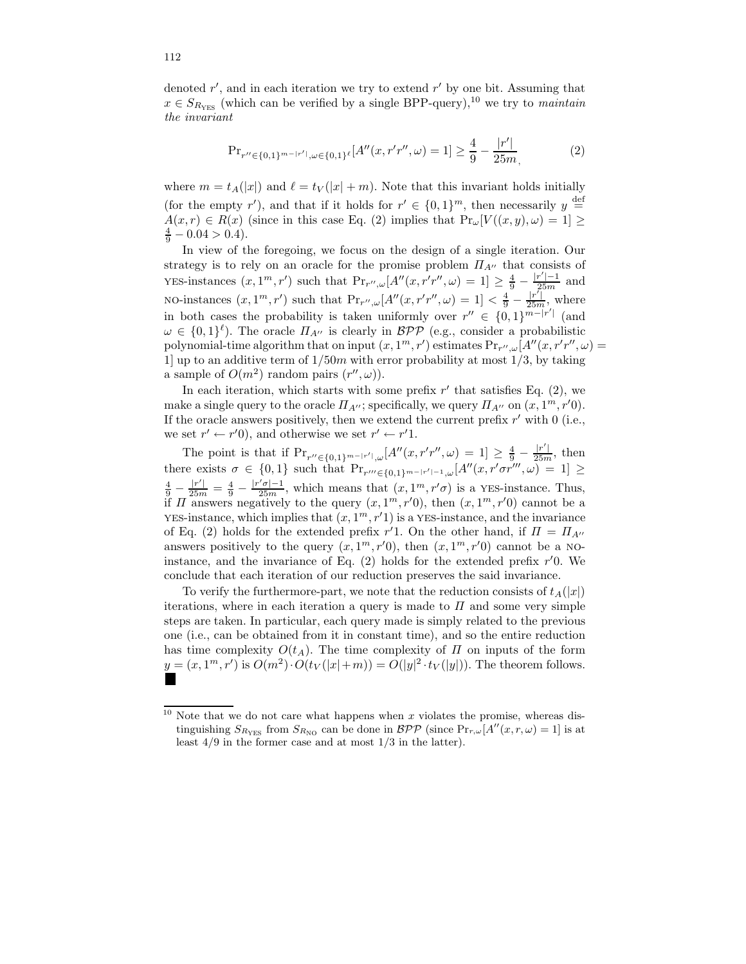denoted  $r'$ , and in each iteration we try to extend  $r'$  by one bit. Assuming that  $x \in S_{R_{\text{YES}}}$  (which can be verified by a single BPP-query),<sup>10</sup> we try to *maintain* the invariant

$$
\Pr_{r'' \in \{0,1\}^{m-|r'|}, \omega \in \{0,1\}^{\ell}}[A''(x, r'r'', \omega) = 1] \ge \frac{4}{9} - \frac{|r'|}{25m},\tag{2}
$$

where  $m = t_A(|x|)$  and  $\ell = t_V(|x| + m)$ . Note that this invariant holds initially (for the empty r'), and that if it holds for  $r' \in \{0,1\}^m$ , then necessarily  $y \stackrel{\text{def}}{=}$  $A(x, r) \in R(x)$  (since in this case Eq. (2) implies that  $Pr_{\omega}[V((x, y), \omega) = 1] \ge$  $\frac{4}{9} - 0.04 > 0.4$ ).

In view of the foregoing, we focus on the design of a single iteration. Our strategy is to rely on an oracle for the promise problem  $\Pi_{A^{\prime\prime}}$  that consists of YES-instances  $(x, 1^m, r')$  such that  $Pr_{r'', \omega}[A''(x, r'r'', \omega) = 1] \ge \frac{4}{9} - \frac{|r'| - 1}{25m}$  and NO-instances  $(x, 1^m, r')$  such that  $Pr_{r'', \omega}[A''(x, r'r'', \omega)] = 1 < \frac{4}{9} - \frac{|r'|}{25m}$ , where in both cases the probability is taken uniformly over  $r'' \in \{0,1\}^{m-|r'|}$  (and  $\omega \in \{0,1\}^{\ell}$ ). The oracle  $\Pi_{A''}$  is clearly in  $\mathcal{BPP}$  (e.g., consider a probabilistic polynomial-time algorithm that on input  $(x, 1^m, r')$  estimates  $Pr_{r'', \omega}[A''(x, r'r'', \omega)]$ 1] up to an additive term of  $1/50m$  with error probability at most  $1/3$ , by taking a sample of  $O(m^2)$  random pairs  $(r'', \omega)$ ).

In each iteration, which starts with some prefix  $r'$  that satisfies Eq. (2), we make a single query to the oracle  $\Pi_{A''}$ ; specifically, we query  $\Pi_{A''}$  on  $(x, 1^m, r'0)$ . If the oracle answers positively, then we extend the current prefix  $r'$  with 0 (i.e., we set  $r' \leftarrow r'0$ , and otherwise we set  $r' \leftarrow r'1$ .

The point is that if  $Pr_{r'' \in \{0,1\}^{m-|r'|},\omega}[A''(x,r'r'',\omega) = 1] \ge \frac{4}{9} - \frac{|r'|}{25m}$ , then there exists  $\sigma \in \{0,1\}$  such that  $Pr_{r''' \in \{0,1\}^{m-|r'|-1},\omega}[A''(x,r'\sigma r''',\omega)] = 1 \geq$  $\frac{4}{9} - \frac{|r'|}{25m} = \frac{4}{9} - \frac{|r' \sigma| - 1}{25m}$ , which means that  $(x, 1^m, r' \sigma)$  is a YES-instance. Thus, if  $\Pi$  answers negatively to the query  $(x, 1^m, r^{\prime}0)$ , then  $(x, 1^m, r^{\prime}0)$  cannot be a YES-instance, which implies that  $(x, 1^m, r'1)$  is a YES-instance, and the invariance of Eq. (2) holds for the extended prefix  $r'$ 1. On the other hand, if  $\Pi = \Pi_{A''}$ answers positively to the query  $(x, 1^m, r'0)$ , then  $(x, 1^m, r'0)$  cannot be a NOinstance, and the invariance of Eq.  $(2)$  holds for the extended prefix  $r'0$ . We conclude that each iteration of our reduction preserves the said invariance.

To verify the furthermore-part, we note that the reduction consists of  $t_A(|x|)$ iterations, where in each iteration a query is made to  $\Pi$  and some very simple steps are taken. In particular, each query made is simply related to the previous one (i.e., can be obtained from it in constant time), and so the entire reduction has time complexity  $O(t_A)$ . The time complexity of  $\Pi$  on inputs of the form  $\underline{y} = (x, 1^m, r')$  is  $O(m^2) \cdot O(t_V(|x|+m)) = O(|y|^2 \cdot t_V(|y|))$ . The theorem follows.

<sup>&</sup>lt;sup>10</sup> Note that we do not care what happens when x violates the promise, whereas distinguishing  $S_{R_{\text{YES}}}$  from  $S_{R_{\text{NO}}}$  can be done in  $\mathcal{BPP}$  (since  $\Pr_{r,\omega}[A''(x,r,\omega)=1]$  is at least  $4/9$  in the former case and at most  $1/3$  in the latter).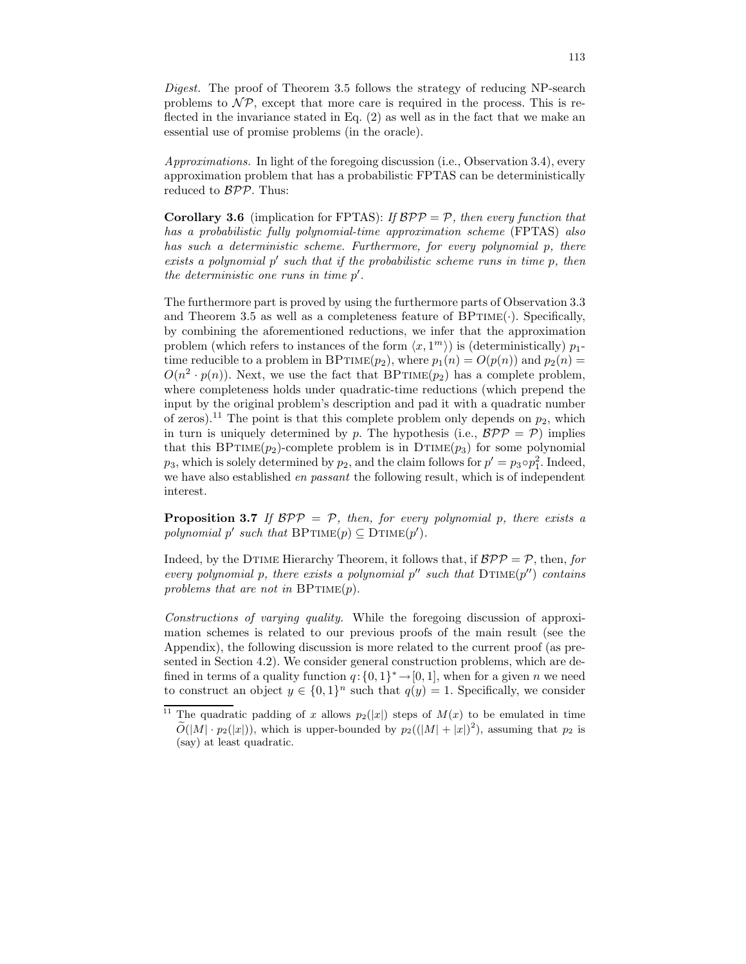Digest. The proof of Theorem 3.5 follows the strategy of reducing NP-search problems to  $\mathcal{NP}$ , except that more care is required in the process. This is reflected in the invariance stated in Eq. (2) as well as in the fact that we make an essential use of promise problems (in the oracle).

Approximations. In light of the foregoing discussion (i.e., Observation 3.4), every approximation problem that has a probabilistic FPTAS can be deterministically reduced to BPP. Thus:

**Corollary 3.6** (implication for FPTAS): If  $BPP = P$ , then every function that has a probabilistic fully polynomial-time approximation scheme (FPTAS) also has such a deterministic scheme. Furthermore, for every polynomial p, there exists a polynomial p' such that if the probabilistic scheme runs in time p, then the deterministic one runs in time  $p'$ .

The furthermore part is proved by using the furthermore parts of Observation 3.3 and Theorem 3.5 as well as a completeness feature of  $BPTIME(\cdot)$ . Specifically, by combining the aforementioned reductions, we infer that the approximation problem (which refers to instances of the form  $\langle x, 1^m \rangle$ ) is (deterministically)  $p_1$ time reducible to a problem in BPTIME $(p_2)$ , where  $p_1(n) = O(p(n))$  and  $p_2(n) =$  $O(n^2 \cdot p(n))$ . Next, we use the fact that BPTIME $(p_2)$  has a complete problem, where completeness holds under quadratic-time reductions (which prepend the input by the original problem's description and pad it with a quadratic number of zeros).<sup>11</sup> The point is that this complete problem only depends on  $p_2$ , which in turn is uniquely determined by p. The hypothesis (i.e.,  $BPP = P$ ) implies that this BPTIME( $p_2$ )-complete problem is in DTIME( $p_3$ ) for some polynomial  $p_3$ , which is solely determined by  $p_2$ , and the claim follows for  $p' = p_3 \circ p_1^2$ . Indeed, we have also established *en passant* the following result, which is of independent interest.

**Proposition 3.7** If  $BPP = P$ , then, for every polynomial p, there exists a polynomial  $p'$  such that  $\text{BPTIME}(p) \subseteq \text{DTIME}(p')$ .

Indeed, by the DTIME Hierarchy Theorem, it follows that, if  $BPP = P$ , then, for every polynomial p, there exists a polynomial  $p''$  such that  $DTIME(p'')$  contains problems that are not in  $BPTIME(p)$ .

Constructions of varying quality. While the foregoing discussion of approximation schemes is related to our previous proofs of the main result (see the Appendix), the following discussion is more related to the current proof (as presented in Section 4.2). We consider general construction problems, which are defined in terms of a quality function  $q: \{0, 1\}^* \to [0, 1]$ , when for a given n we need to construct an object  $y \in \{0,1\}^n$  such that  $q(y) = 1$ . Specifically, we consider

<sup>&</sup>lt;sup>11</sup> The quadratic padding of x allows  $p_2(|x|)$  steps of  $M(x)$  to be emulated in time  $\widetilde{O}(|M| \cdot p_2(|x|))$ , which is upper-bounded by  $p_2((|M|+|x|)^2)$ , assuming that  $p_2$  is (say) at least quadratic.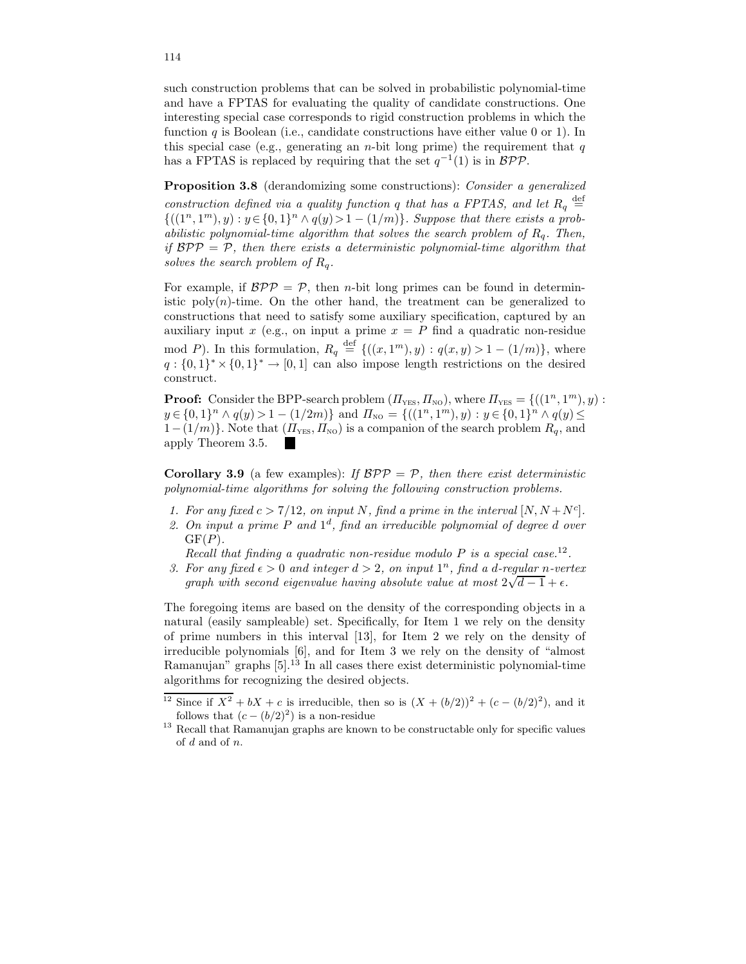such construction problems that can be solved in probabilistic polynomial-time and have a FPTAS for evaluating the quality of candidate constructions. One interesting special case corresponds to rigid construction problems in which the function q is Boolean (i.e., candidate constructions have either value 0 or 1). In this special case (e.g., generating an *n*-bit long prime) the requirement that  $q$ has a FPTAS is replaced by requiring that the set  $q^{-1}(1)$  is in  $BPP$ .

Proposition 3.8 (derandomizing some constructions): Consider a generalized construction defined via a quality function q that has a FPTAS, and let  $R_q \stackrel{\text{def}}{=}$  ${((1^n, 1^m), y) : y \in {0, 1}^n \wedge q(y) > 1 - (1/m)}$ . Suppose that there exists a probabilistic polynomial-time algorithm that solves the search problem of  $R_q$ . Then, if  $BPP = P$ , then there exists a deterministic polynomial-time algorithm that solves the search problem of  $R_q$ .

For example, if  $BPP = P$ , then *n*-bit long primes can be found in deterministic  $poly(n)$ -time. On the other hand, the treatment can be generalized to constructions that need to satisfy some auxiliary specification, captured by an auxiliary input x (e.g., on input a prime  $x = P$  find a quadratic non-residue mod P). In this formulation,  $R_q \stackrel{\text{def}}{=} \{((x,1^m), y) : q(x,y) > 1 - (1/m)\}\,$ , where  $q: \{0,1\}^* \times \{0,1\}^* \to [0,1]$  can also impose length restrictions on the desired construct.

**Proof:** Consider the BPP-search problem  $(\Pi_{\text{YES}}, \Pi_{\text{NO}})$ , where  $\Pi_{\text{YES}} = \{((1^n, 1^m), y) :$  $y \in \{0,1\}^n \wedge q(y) > 1 - (1/2m)\}\$ and  $\Pi_{\text{NO}} = \{((1^n, 1^m), y) : y \in \{0,1\}^n \wedge q(y) \leq$  $1-(1/m)$ . Note that  $(\Pi_{\text{YES}}, \Pi_{\text{NO}})$  is a companion of the search problem  $R_q$ , and apply Theorem 3.5.

**Corollary 3.9** (a few examples): If  $BPP = P$ , then there exist deterministic polynomial-time algorithms for solving the following construction problems.

- 1. For any fixed  $c > 7/12$ , on input N, find a prime in the interval  $[N, N+N<sup>c</sup>]$ .
- 2. On input a prime  $P$  and  $1<sup>d</sup>$ , find an irreducible polynomial of degree d over  $GF(P)$ .

Recall that finding a quadratic non-residue modulo  $P$  is a special case.<sup>12</sup>.

3. For any fixed  $\epsilon > 0$  and integer  $d > 2$ , on input  $1^n$ , find a d-regular n-vertex graph with second eigenvalue having absolute value at most  $2\sqrt{d-1} + \epsilon$ .

The foregoing items are based on the density of the corresponding objects in a natural (easily sampleable) set. Specifically, for Item 1 we rely on the density of prime numbers in this interval [13], for Item 2 we rely on the density of irreducible polynomials [6], and for Item 3 we rely on the density of "almost Ramanujan" graphs [5].<sup>13</sup> In all cases there exist deterministic polynomial-time algorithms for recognizing the desired objects.

<sup>&</sup>lt;sup>12</sup> Since if  $X^2 + bX + c$  is irreducible, then so is  $(X + (b/2))^2 + (c - (b/2)^2)$ , and it follows that  $(c - (b/2)^2)$  is a non-residue

<sup>&</sup>lt;sup>13</sup> Recall that Ramanujan graphs are known to be constructable only for specific values of d and of n.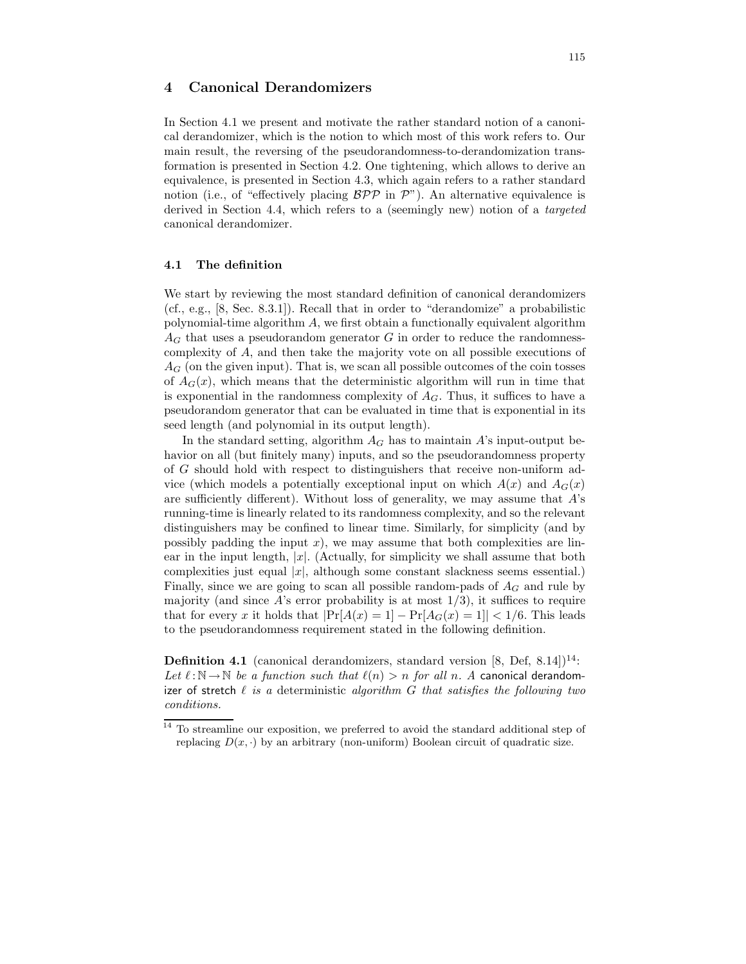# 4 Canonical Derandomizers

In Section 4.1 we present and motivate the rather standard notion of a canonical derandomizer, which is the notion to which most of this work refers to. Our main result, the reversing of the pseudorandomness-to-derandomization transformation is presented in Section 4.2. One tightening, which allows to derive an equivalence, is presented in Section 4.3, which again refers to a rather standard notion (i.e., of "effectively placing  $BPP$  in  $\mathcal{P}$ "). An alternative equivalence is derived in Section 4.4, which refers to a (seemingly new) notion of a targeted canonical derandomizer.

# 4.1 The definition

We start by reviewing the most standard definition of canonical derandomizers (cf., e.g., [8, Sec. 8.3.1]). Recall that in order to "derandomize" a probabilistic polynomial-time algorithm  $A$ , we first obtain a functionally equivalent algorithm  $A_G$  that uses a pseudorandom generator G in order to reduce the randomnesscomplexity of A, and then take the majority vote on all possible executions of  $A_G$  (on the given input). That is, we scan all possible outcomes of the coin tosses of  $A_G(x)$ , which means that the deterministic algorithm will run in time that is exponential in the randomness complexity of  $A_G$ . Thus, it suffices to have a pseudorandom generator that can be evaluated in time that is exponential in its seed length (and polynomial in its output length).

In the standard setting, algorithm  $A_G$  has to maintain A's input-output behavior on all (but finitely many) inputs, and so the pseudorandomness property of G should hold with respect to distinguishers that receive non-uniform advice (which models a potentially exceptional input on which  $A(x)$  and  $A_G(x)$ are sufficiently different). Without loss of generality, we may assume that A's running-time is linearly related to its randomness complexity, and so the relevant distinguishers may be confined to linear time. Similarly, for simplicity (and by possibly padding the input  $x$ ), we may assume that both complexities are linear in the input length,  $|x|$ . (Actually, for simplicity we shall assume that both complexities just equal  $|x|$ , although some constant slackness seems essential.) Finally, since we are going to scan all possible random-pads of  $A_G$  and rule by majority (and since  $A$ 's error probability is at most  $1/3$ ), it suffices to require that for every x it holds that  $|\Pr[A(x) = 1] - \Pr[A_G(x) = 1]| < 1/6$ . This leads to the pseudorandomness requirement stated in the following definition.

**Definition 4.1** (canonical derandomizers, standard version  $[8,$  Def,  $8.14]$ )<sup>14</sup>: Let  $\ell : \mathbb{N} \to \mathbb{N}$  be a function such that  $\ell(n) > n$  for all n. A canonical derandomizer of stretch  $\ell$  is a deterministic algorithm G that satisfies the following two conditions.

 $\frac{14}{14}$  To streamline our exposition, we preferred to avoid the standard additional step of replacing  $D(x, \cdot)$  by an arbitrary (non-uniform) Boolean circuit of quadratic size.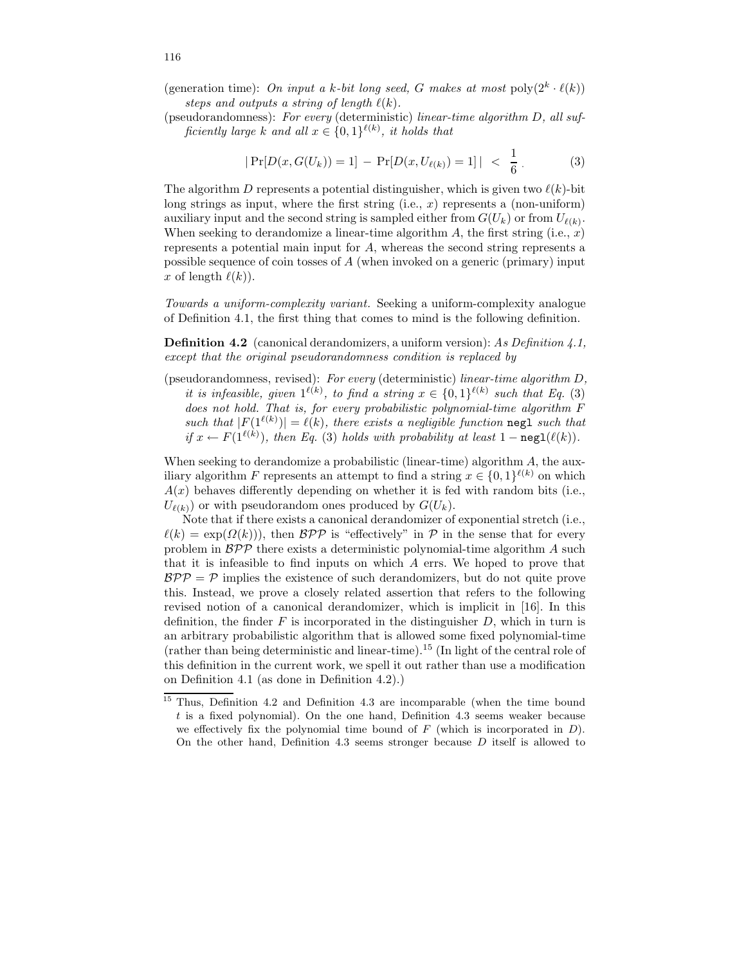(generation time): On input a k-bit long seed, G makes at most  $\text{poly}(2^k \cdot \ell(k))$ steps and outputs a string of length  $\ell(k)$ .

(pseudorandomness): For every (deterministic) linear-time algorithm D, all sufficiently large k and all  $x \in \{0,1\}^{\ell(k)}$ , it holds that

$$
|\Pr[D(x, G(U_k)) = 1] - \Pr[D(x, U_{\ell(k)}) = 1]| < \frac{1}{6}.
$$
 (3)

The algorithm D represents a potential distinguisher, which is given two  $\ell(k)$ -bit long strings as input, where the first string  $(i.e., x)$  represents a (non-uniform) auxiliary input and the second string is sampled either from  $G(U_k)$  or from  $U_{\ell(k)}$ . When seeking to derandomize a linear-time algorithm  $A$ , the first string (i.e.,  $x$ ) represents a potential main input for A, whereas the second string represents a possible sequence of coin tosses of A (when invoked on a generic (primary) input x of length  $\ell(k)$ ).

Towards a uniform-complexity variant. Seeking a uniform-complexity analogue of Definition 4.1, the first thing that comes to mind is the following definition.

**Definition 4.2** (canonical derandomizers, a uniform version): As Definition 4.1, except that the original pseudorandomness condition is replaced by

(pseudorandomness, revised): For every (deterministic) linear-time algorithm D, it is infeasible, given  $1^{\ell(k)}$ , to find a string  $x \in \{0,1\}^{\ell(k)}$  such that Eq. (3) does not hold. That is, for every probabilistic polynomial-time algorithm F such that  $|F(1^{\ell(k)})| = \ell(k)$ , there exists a negligible function negl such that if  $x \leftarrow F(1^{\ell(k)})$ , then Eq. (3) holds with probability at least  $1 - \text{negl}(\ell(k))$ .

When seeking to derandomize a probabilistic (linear-time) algorithm  $A$ , the auxiliary algorithm F represents an attempt to find a string  $x \in \{0,1\}^{\ell(k)}$  on which  $A(x)$  behaves differently depending on whether it is fed with random bits (i.e.,  $U_{\ell(k)}$ ) or with pseudorandom ones produced by  $G(U_k)$ .

Note that if there exists a canonical derandomizer of exponential stretch (i.e.,  $\ell(k) = \exp(\Omega(k))$ , then  $\mathcal{BPP}$  is "effectively" in P in the sense that for every problem in  $BPP$  there exists a deterministic polynomial-time algorithm A such that it is infeasible to find inputs on which A errs. We hoped to prove that  $BPP = P$  implies the existence of such derandomizers, but do not quite prove this. Instead, we prove a closely related assertion that refers to the following revised notion of a canonical derandomizer, which is implicit in [16]. In this definition, the finder  $F$  is incorporated in the distinguisher  $D$ , which in turn is an arbitrary probabilistic algorithm that is allowed some fixed polynomial-time (rather than being deterministic and linear-time).<sup>15</sup> (In light of the central role of this definition in the current work, we spell it out rather than use a modification on Definition 4.1 (as done in Definition 4.2).)

<sup>&</sup>lt;sup>15</sup> Thus, Definition 4.2 and Definition 4.3 are incomparable (when the time bound t is a fixed polynomial). On the one hand, Definition 4.3 seems weaker because we effectively fix the polynomial time bound of  $F$  (which is incorporated in  $D$ ). On the other hand, Definition 4.3 seems stronger because D itself is allowed to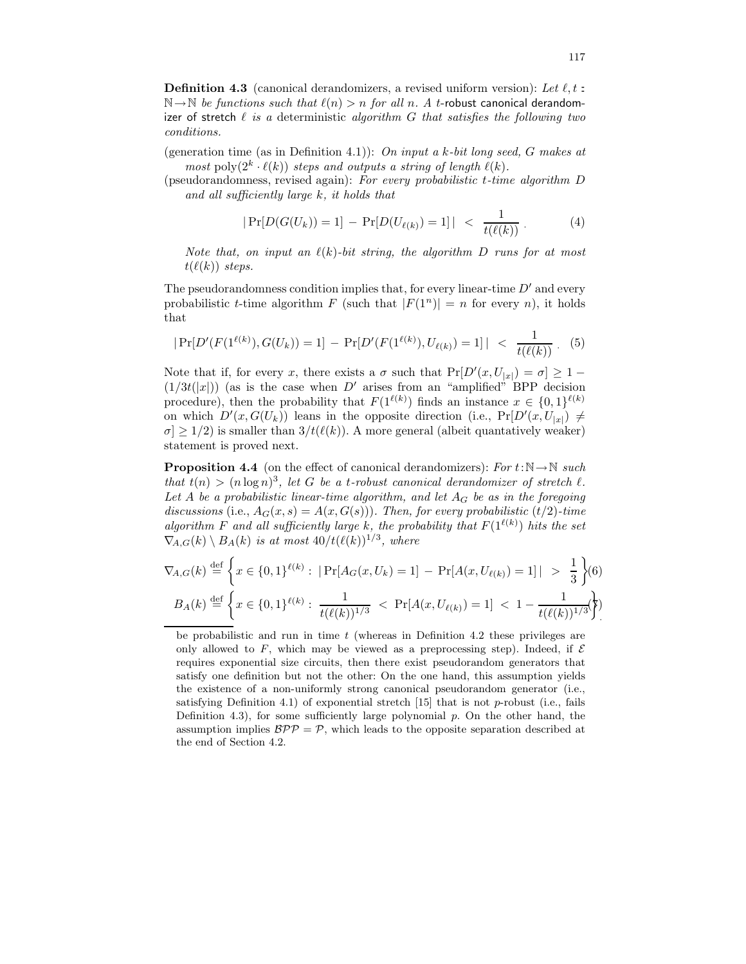**Definition 4.3** (canonical derandomizers, a revised uniform version): Let  $\ell$ , t:  $\mathbb{N} \to \mathbb{N}$  be functions such that  $\ell(n) > n$  for all n. A t-robust canonical derandomizer of stretch  $\ell$  is a deterministic algorithm G that satisfies the following two conditions.

(generation time (as in Definition 4.1)): On input a k-bit long seed, G makes at most poly $(2^k \cdot \ell(k))$  steps and outputs a string of length  $\ell(k)$ .

(pseudorandomness, revised again): For every probabilistic t-time algorithm D and all sufficiently large k, it holds that

$$
|\Pr[D(G(U_k)) = 1] - \Pr[D(U_{\ell(k)}) = 1]| < \frac{1}{t(\ell(k))} \,. \tag{4}
$$

Note that, on input an  $\ell(k)$ -bit string, the algorithm D runs for at most  $t(\ell(k))$  steps.

The pseudorandomness condition implies that, for every linear-time  $D'$  and every probabilistic *t*-time algorithm  $F$  (such that  $|F(1^n)| = n$  for every *n*), it holds that

$$
|\Pr[D'(F(1^{\ell(k)}), G(U_k)) = 1] - \Pr[D'(F(1^{\ell(k)}), U_{\ell(k)}) = 1]| < \frac{1}{t(\ell(k))} \tag{5}
$$

Note that if, for every x, there exists a  $\sigma$  such that  $Pr[D'(x, U_{|x|}) = \sigma] \ge 1 (1/3t(|x|))$  (as is the case when D' arises from an "amplified" BPP decision procedure), then the probability that  $F(1^{\ell(k)})$  finds an instance  $x \in \{0,1\}^{\ell(k)}$ on which  $D'(x, G(U_k))$  leans in the opposite direction (i.e.,  $Pr[D'(x, U_{|x|}) \neq$  $\sigma$  > 1/2) is smaller than  $3/t(\ell(k))$ . A more general (albeit quantatively weaker) statement is proved next.

**Proposition 4.4** (on the effect of canonical derandomizers): For  $t:\mathbb{N} \to \mathbb{N}$  such that  $t(n) > (n \log n)^3$ , let G be a t-robust canonical derandomizer of stretch  $\ell$ . Let A be a probabilistic linear-time algorithm, and let  $A_G$  be as in the foregoing discussions (i.e.,  $A_G(x, s) = A(x, G(s))$ ). Then, for every probabilistic (t/2)-time algorithm F and all sufficiently large k, the probability that  $F(1^{\ell(k)})$  hits the set  $\nabla_{A,G}(k) \setminus B_A(k)$  is at most  $40/t(\ell(k))^{1/3}$ , where

$$
\nabla_{A,G}(k) \stackrel{\text{def}}{=} \left\{ x \in \{0,1\}^{\ell(k)} : \left| \Pr[A_G(x, U_k) = 1] - \Pr[A(x, U_{\ell(k)}) = 1] \right| > \frac{1}{3} \right\} (6)
$$
  

$$
B_A(k) \stackrel{\text{def}}{=} \left\{ x \in \{0,1\}^{\ell(k)} : \frac{1}{t(\ell(k))^{1/3}} < \Pr[A(x, U_{\ell(k)}) = 1] < 1 - \frac{1}{t(\ell(k))^{1/3}} \right\}
$$

be probabilistic and run in time  $t$  (whereas in Definition 4.2 these privileges are only allowed to F, which may be viewed as a preprocessing step). Indeed, if  $\mathcal E$ requires exponential size circuits, then there exist pseudorandom generators that satisfy one definition but not the other: On the one hand, this assumption yields the existence of a non-uniformly strong canonical pseudorandom generator (i.e., satisfying Definition 4.1) of exponential stretch  $[15]$  that is not p-robust (i.e., fails Definition 4.3), for some sufficiently large polynomial  $p$ . On the other hand, the assumption implies  $BPP = P$ , which leads to the opposite separation described at the end of Section 4.2.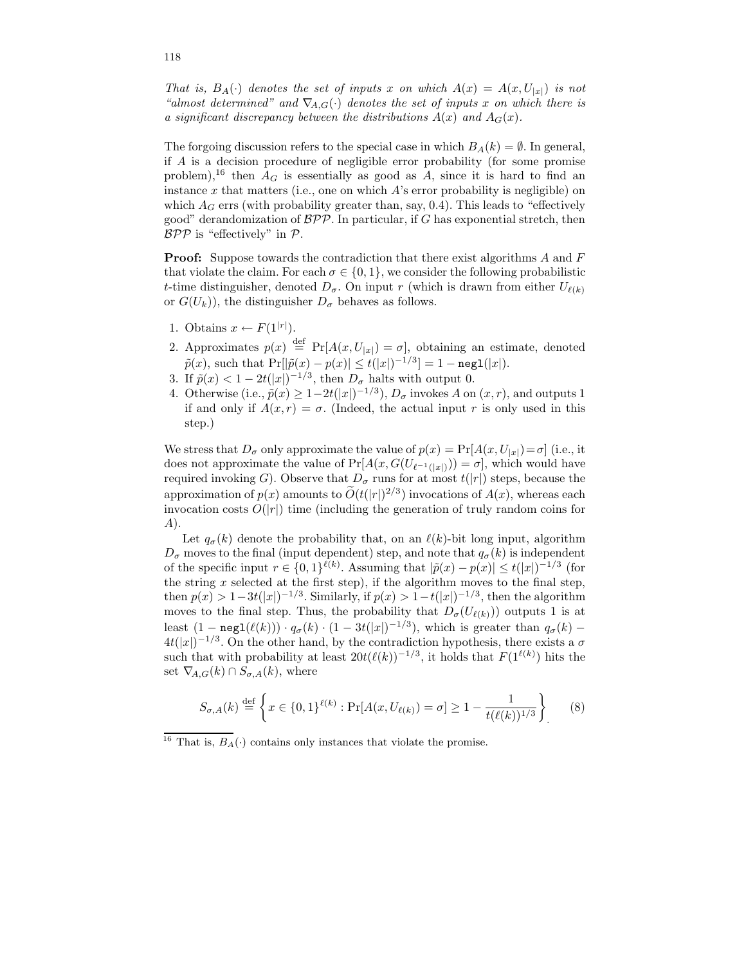That is,  $B_A(\cdot)$  denotes the set of inputs x on which  $A(x) = A(x, U_{|x|})$  is not "almost determined" and  $\nabla_{A,G}(\cdot)$  denotes the set of inputs x on which there is a significant discrepancy between the distributions  $A(x)$  and  $A_G(x)$ .

The forgoing discussion refers to the special case in which  $B_A(k) = \emptyset$ . In general, if A is a decision procedure of negligible error probability (for some promise problem),<sup>16</sup> then  $A_G$  is essentially as good as A, since it is hard to find an instance  $x$  that matters (i.e., one on which  $A$ 's error probability is negligible) on which  $A_G$  errs (with probability greater than, say, 0.4). This leads to "effectively good" derandomization of  $BPP$ . In particular, if G has exponential stretch, then  $BPP$  is "effectively" in  $P$ .

**Proof:** Suppose towards the contradiction that there exist algorithms  $A$  and  $F$ that violate the claim. For each  $\sigma \in \{0,1\}$ , we consider the following probabilistic t-time distinguisher, denoted  $D_{\sigma}$ . On input r (which is drawn from either  $U_{\ell(k)}$ ) or  $G(U_k)$ , the distinguisher  $D_{\sigma}$  behaves as follows.

- 1. Obtains  $x \leftarrow F(1^{|r|})$ .
- 2. Approximates  $p(x) \stackrel{\text{def}}{=} \Pr[A(x, U_{|x|}) = \sigma]$ , obtaining an estimate, denoted  $\tilde{p}(x)$ , such that  $\Pr[|\tilde{p}(x) - p(x)| \le t(|x|)^{-1/3}] = 1 - \texttt{negl}(|x|).$
- 3. If  $\tilde{p}(x) < 1 2t(|x|)^{-1/3}$ , then  $D_{\sigma}$  halts with output 0.
- 4. Otherwise (i.e.,  $\tilde{p}(x) \ge 1-2t(|x|)^{-1/3}$ ),  $D_{\sigma}$  invokes A on  $(x, r)$ , and outputs 1 if and only if  $A(x, r) = \sigma$ . (Indeed, the actual input r is only used in this step.)

We stress that  $D_{\sigma}$  only approximate the value of  $p(x) = Pr[A(x, U_{|x|}) = \sigma]$  (i.e., it does not approximate the value of  $Pr[A(x, G(U_{\ell^{-1}(|x|)})) = \sigma]$ , which would have required invoking G). Observe that  $D_{\sigma}$  runs for at most  $t(|r|)$  steps, because the approximation of  $p(x)$  amounts to  $O(t(|r|)^{2/3})$  invocations of  $A(x)$ , whereas each invocation costs  $O(|r|)$  time (including the generation of truly random coins for A).

Let  $q_{\sigma}(k)$  denote the probability that, on an  $\ell(k)$ -bit long input, algorithm  $D_{\sigma}$  moves to the final (input dependent) step, and note that  $q_{\sigma}(k)$  is independent of the specific input  $r \in \{0,1\}^{\ell(k)}$ . Assuming that  $|\tilde{p}(x) - p(x)| \le t(|x|)^{-1/3}$  (for the string  $x$  selected at the first step), if the algorithm moves to the final step, then  $p(x) > 1-3t(|x|)^{-1/3}$ . Similarly, if  $p(x) > 1-t(|x|)^{-1/3}$ , then the algorithm moves to the final step. Thus, the probability that  $D_{\sigma}(U_{\ell(k)}))$  outputs 1 is at least  $(1-\text{negl}(\ell(k))) \cdot q_{\sigma}(k) \cdot (1-3t(|x|)^{-1/3})$ , which is greater than  $q_{\sigma}(k)$  –  $4t(|x|)^{-1/3}$ . On the other hand, by the contradiction hypothesis, there exists a  $\sigma$ such that with probability at least  $20t(\ell(k))^{-1/3}$ , it holds that  $F(1^{\ell(k)})$  hits the set  $\nabla_{A,G}(k) \cap S_{\sigma,A}(k)$ , where

$$
S_{\sigma,A}(k) \stackrel{\text{def}}{=} \left\{ x \in \{0,1\}^{\ell(k)} : \Pr[A(x, U_{\ell(k)}) = \sigma] \ge 1 - \frac{1}{t(\ell(k))^{1/3}} \right\} \tag{8}
$$

<sup>&</sup>lt;sup>16</sup> That is,  $B_A(\cdot)$  contains only instances that violate the promise.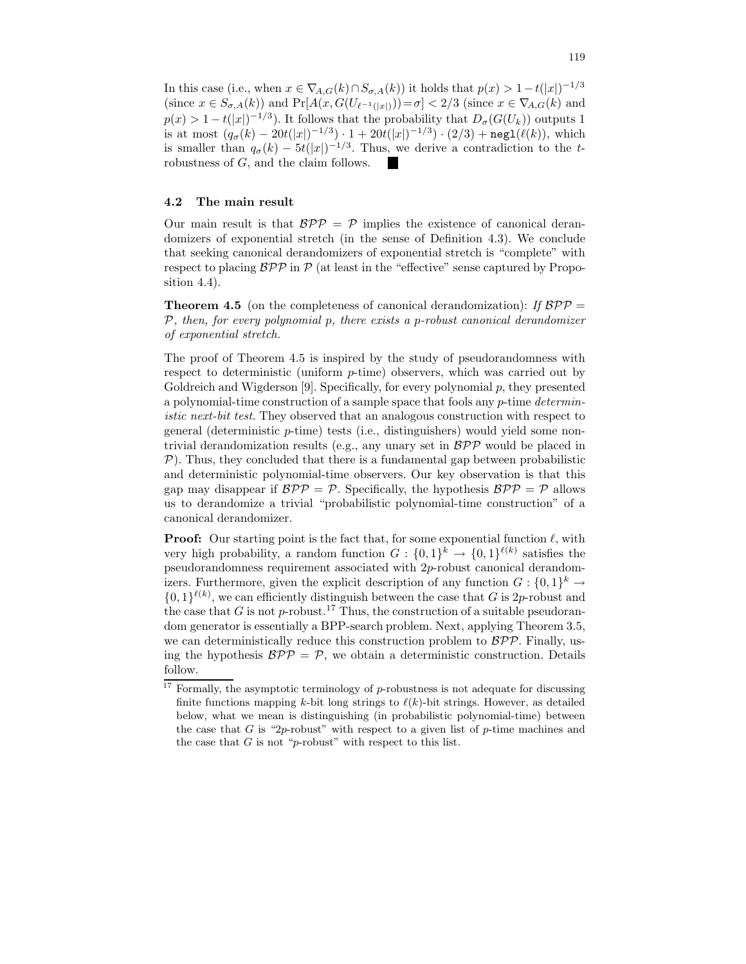In this case (i.e., when  $x \in \nabla_{A,G}(k) \cap S_{\sigma,A}(k)$ ) it holds that  $p(x) > 1-t(|x|)^{-1/3}$ (since  $x \in S_{\sigma,A}(k)$ ) and  $Pr[A(x, G(U_{\ell^{-1}(|x|)})) = \sigma] < 2/3$  (since  $x \in \nabla_{A,G}(k)$ ) and  $p(x) > 1 - t(|x|)^{-1/3}$ . It follows that the probability that  $D_{\sigma}(G(U_k))$  outputs 1 is at most  $(q_{\sigma}(k) - 20t(|x|)^{-1/3}) \cdot 1 + 20t(|x|)^{-1/3}) \cdot (2/3) + \text{negl}(\ell(k)),$  which is smaller than  $q_{\sigma}(k) - 5t(|x|)^{-1/3}$ . Thus, we derive a contradiction to the trobustness of G, and the claim follows.

#### 4.2 The main result

Our main result is that  $BPP = P$  implies the existence of canonical derandomizers of exponential stretch (in the sense of Definition 4.3). We conclude that seeking canonical derandomizers of exponential stretch is "complete" with respect to placing  $BPP$  in  $P$  (at least in the "effective" sense captured by Proposition 4.4).

**Theorem 4.5** (on the completeness of canonical derandomization): If  $BPP =$  $P$ , then, for every polynomial  $p$ , there exists a  $p$ -robust canonical derandomizer of exponential stretch.

The proof of Theorem 4.5 is inspired by the study of pseudorandomness with respect to deterministic (uniform  $p$ -time) observers, which was carried out by Goldreich and Wigderson [9]. Specifically, for every polynomial  $p$ , they presented a polynomial-time construction of a sample space that fools any  $p$ -time deterministic next-bit test. They observed that an analogous construction with respect to general (deterministic p-time) tests (i.e., distinguishers) would yield some nontrivial derandomization results (e.g., any unary set in  $BPP$  would be placed in  $P$ ). Thus, they concluded that there is a fundamental gap between probabilistic and deterministic polynomial-time observers. Our key observation is that this gap may disappear if  $BPP = P$ . Specifically, the hypothesis  $BPP = P$  allows us to derandomize a trivial "probabilistic polynomial-time construction" of a canonical derandomizer.

**Proof:** Our starting point is the fact that, for some exponential function  $\ell$ , with very high probability, a random function  $G: \{0,1\}^k \to \{0,1\}^{\ell(k)}$  satisfies the pseudorandomness requirement associated with 2p-robust canonical derandomizers. Furthermore, given the explicit description of any function  $G: \{0,1\}^k \to$  $\{0,1\}^{\ell(k)}$ , we can efficiently distinguish between the case that G is 2p-robust and the case that G is not p-robust.<sup>17</sup> Thus, the construction of a suitable pseudorandom generator is essentially a BPP-search problem. Next, applying Theorem 3.5, we can deterministically reduce this construction problem to  $BPP$ . Finally, using the hypothesis  $\mathcal{BPP} = \mathcal{P}$ , we obtain a deterministic construction. Details follow.

 $17$  Formally, the asymptotic terminology of p-robustness is not adequate for discussing finite functions mapping k-bit long strings to  $\ell(k)$ -bit strings. However, as detailed below, what we mean is distinguishing (in probabilistic polynomial-time) between the case that G is "2p-robust" with respect to a given list of p-time machines and the case that  $G$  is not "p-robust" with respect to this list.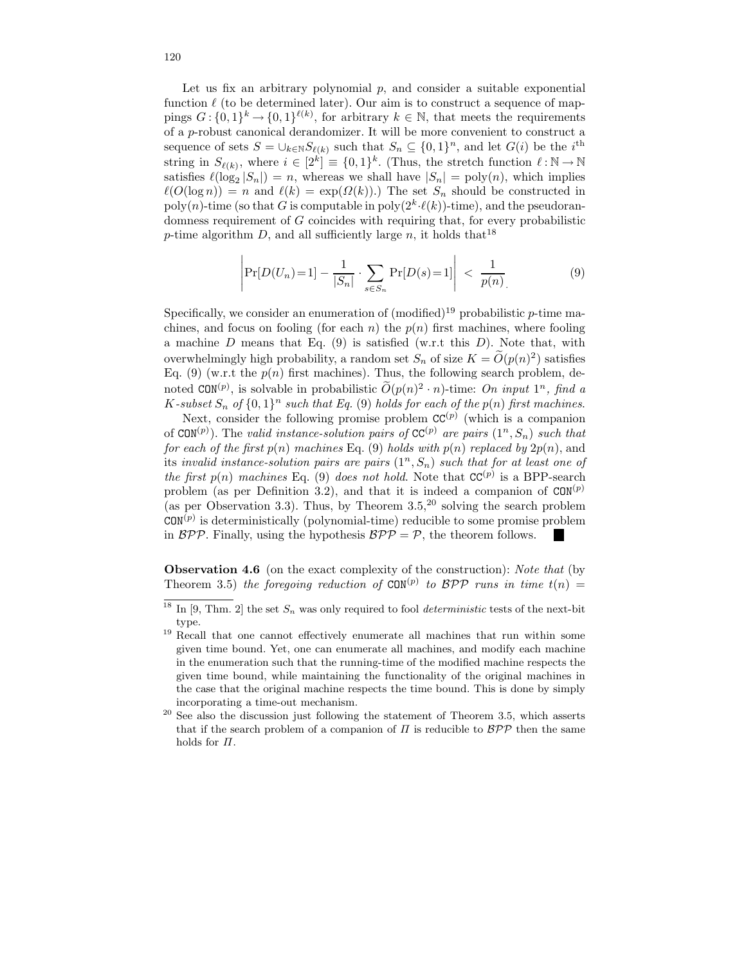Let us fix an arbitrary polynomial  $p$ , and consider a suitable exponential function  $\ell$  (to be determined later). Our aim is to construct a sequence of mappings  $G: \{0,1\}^k \to \{0,1\}^{\ell(k)}$ , for arbitrary  $k \in \mathbb{N}$ , that meets the requirements of a p-robust canonical derandomizer. It will be more convenient to construct a sequence of sets  $S = \bigcup_{k \in \mathbb{N}} S_{\ell(k)}$  such that  $S_n \subseteq \{0,1\}^n$ , and let  $G(i)$  be the  $i^{\text{th}}$ string in  $S_{\ell(k)}$ , where  $i \in [2^k] \equiv \{0,1\}^k$ . (Thus, the stretch function  $\ell : \mathbb{N} \to \mathbb{N}$ satisfies  $\ell(\log_2 |S_n|) = n$ , whereas we shall have  $|S_n| = \text{poly}(n)$ , which implies  $\ell(O(\log n)) = n$  and  $\ell(k) = \exp(\Omega(k))$ .) The set  $S_n$  should be constructed in  $poly(n)$ -time (so that G is computable in  $poly(2<sup>k</sup>·\ell(k))$ -time), and the pseudorandomness requirement of G coincides with requiring that, for every probabilistic p-time algorithm D, and all sufficiently large n, it holds that  $18$ 

$$
\left| \Pr[D(U_n) = 1] - \frac{1}{|S_n|} \cdot \sum_{s \in S_n} \Pr[D(s) = 1] \right| < \frac{1}{p(n)} \tag{9}
$$

Specifically, we consider an enumeration of  $(modified)^{19}$  probabilistic p-time machines, and focus on fooling (for each n) the  $p(n)$  first machines, where fooling a machine D means that Eq.  $(9)$  is satisfied (w.r.t this D). Note that, with overwhelmingly high probability, a random set  $S_n$  of size  $K = \tilde{O}(p(n)^2)$  satisfies Eq. (9) (w.r.t the  $p(n)$  first machines). Thus, the following search problem, denoted  $CON^{(p)}$ , is solvable in probabilistic  $O(p(n)^2 \cdot n)$ -time: On input 1<sup>n</sup>, find a  $K$ -subset  $S_n$  of  $\{0,1\}^n$  such that Eq. (9) holds for each of the  $p(n)$  first machines.

Next, consider the following promise problem  $CC^{(p)}$  (which is a companion of CON<sup>(p)</sup>). The valid instance-solution pairs of CC<sup>(p)</sup> are pairs  $(1^n, S_n)$  such that for each of the first  $p(n)$  machines Eq. (9) holds with  $p(n)$  replaced by  $2p(n)$ , and its invalid instance-solution pairs are pairs  $(1^n, S_n)$  such that for at least one of the first  $p(n)$  machines Eq. (9) does not hold. Note that  $CC^{(p)}$  is a BPP-search problem (as per Definition 3.2), and that it is indeed a companion of  $COM^{(p)}$ (as per Observation 3.3). Thus, by Theorem  $3.5<sup>20</sup>$  solving the search problem  $CON^{(p)}$  is deterministically (polynomial-time) reducible to some promise problem in  $BPP$ . Finally, using the hypothesis  $BPP = P$ , the theorem follows. **Inches** 

Observation 4.6 (on the exact complexity of the construction): Note that (by Theorem 3.5) the foregoing reduction of CON<sup>(p)</sup> to  $\mathcal{BPP}$  runs in time  $t(n) =$ 

<sup>&</sup>lt;sup>18</sup> In [9, Thm. 2] the set  $S_n$  was only required to fool *deterministic* tests of the next-bit type.

 $19$  Recall that one cannot effectively enumerate all machines that run within some given time bound. Yet, one can enumerate all machines, and modify each machine in the enumeration such that the running-time of the modified machine respects the given time bound, while maintaining the functionality of the original machines in the case that the original machine respects the time bound. This is done by simply incorporating a time-out mechanism.

<sup>20</sup> See also the discussion just following the statement of Theorem 3.5, which asserts that if the search problem of a companion of  $\Pi$  is reducible to  $\mathcal{BPP}$  then the same holds for Π.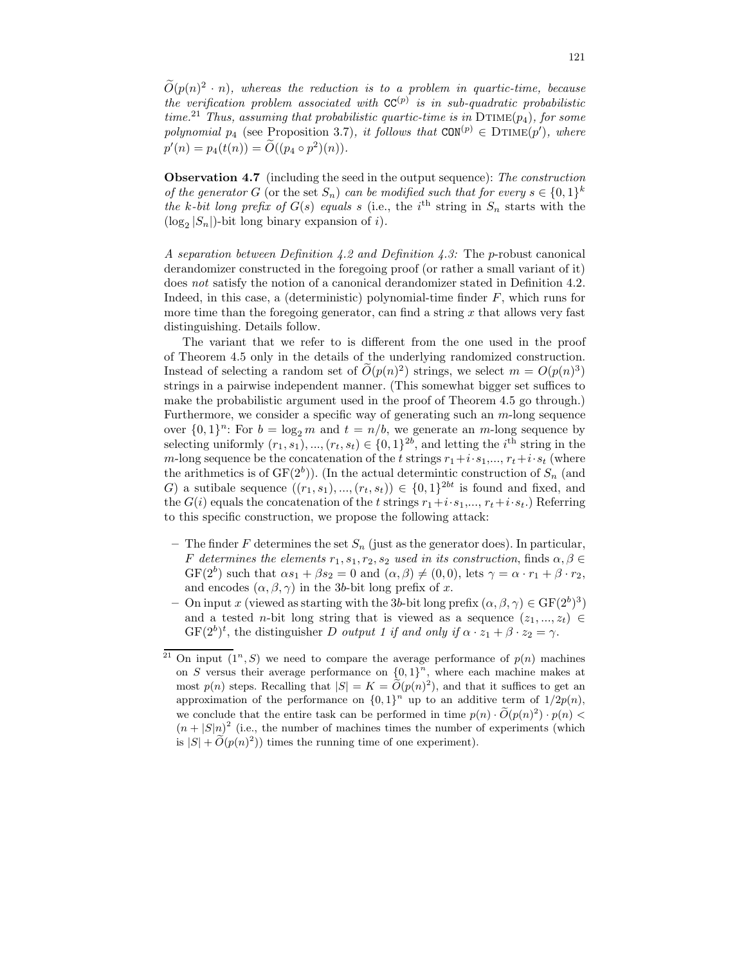$O(p(n)^2 \cdot n)$ , whereas the reduction is to a problem in quartic-time, because the verification problem associated with  $CC^{(p)}$  is in sub-quadratic probabilistic time.<sup>21</sup> Thus, assuming that probabilistic quartic-time is in  $DTIME(p_4)$ , for some polynomial  $p_4$  (see Proposition 3.7), it follows that  $CON^{(p)} \in DTIME(p')$ , where  $p'(n) = p_4(t(n)) = \tilde{O}((p_4 \circ p^2)(n)).$ 

Observation 4.7 (including the seed in the output sequence): The construction of the generator G (or the set  $S_n$ ) can be modified such that for every  $s \in \{0,1\}^k$ the k-bit long prefix of  $G(s)$  equals s (i.e., the i<sup>th</sup> string in  $S_n$  starts with the  $(\log_2 |S_n|)$ -bit long binary expansion of *i*).

A separation between Definition 4.2 and Definition 4.3: The p-robust canonical derandomizer constructed in the foregoing proof (or rather a small variant of it) does not satisfy the notion of a canonical derandomizer stated in Definition 4.2. Indeed, in this case, a (deterministic) polynomial-time finder  $F$ , which runs for more time than the foregoing generator, can find a string  $x$  that allows very fast distinguishing. Details follow.

The variant that we refer to is different from the one used in the proof of Theorem 4.5 only in the details of the underlying randomized construction. Instead of selecting a random set of  $\tilde{O}(p(n)^2)$  strings, we select  $m = O(p(n)^3)$ strings in a pairwise independent manner. (This somewhat bigger set suffices to make the probabilistic argument used in the proof of Theorem 4.5 go through.) Furthermore, we consider a specific way of generating such an  $m$ -long sequence over  $\{0,1\}^n$ : For  $b = \log_2 m$  and  $t = n/b$ , we generate an m-long sequence by selecting uniformly  $(r_1, s_1), ..., (r_t, s_t) \in \{0, 1\}^{2b}$ , and letting the *i*<sup>th</sup> string in the m-long sequence be the concatenation of the t strings  $r_1+i\cdot s_1,\ldots, r_t+i\cdot s_t$  (where the arithmetics is of  $GF(2<sup>b</sup>)$ ). (In the actual determintic construction of  $S_n$  (and G) a sutibale sequence  $((r_1, s_1), ..., (r_t, s_t)) \in \{0, 1\}^{2bt}$  is found and fixed, and the  $G(i)$  equals the concatenation of the t strings  $r_1+i\cdot s_1,\ldots,r_t+i\cdot s_t$ .) Referring to this specific construction, we propose the following attack:

- The finder F determines the set  $S_n$  (just as the generator does). In particular, F determines the elements  $r_1, s_1, r_2, s_2$  used in its construction, finds  $\alpha, \beta \in$  $GF(2^b)$  such that  $\alpha s_1 + \beta s_2 = 0$  and  $(\alpha, \beta) \neq (0, 0)$ , lets  $\gamma = \alpha \cdot r_1 + \beta \cdot r_2$ , and encodes  $(\alpha, \beta, \gamma)$  in the 3b-bit long prefix of x.
- On input x (viewed as starting with the 3b-bit long prefix  $(\alpha, \beta, \gamma) \in \text{GF}(2^b)^3$ ) and a tested n-bit long string that is viewed as a sequence  $(z_1, ..., z_t) \in$  $GF(2^b)^t$ , the distinguisher D output 1 if and only if  $\alpha \cdot z_1 + \beta \cdot z_2 = \gamma$ .

<sup>&</sup>lt;sup>21</sup> On input  $(1^n, S)$  we need to compare the average performance of  $p(n)$  machines on S versus their average performance on  $\{0,1\}^n$ , where each machine makes at most  $p(n)$  steps. Recalling that  $|S| = K = \tilde{O}(p(n)^2)$ , and that it suffices to get an approximation of the performance on  $\{0,1\}^n$  up to an additive term of  $1/2p(n)$ , we conclude that the entire task can be performed in time  $p(n) \cdot \widetilde{O}(p(n)^2) \cdot p(n)$  $(n+|S|n)^2$  (i.e., the number of machines times the number of experiments (which is  $|S| + \widetilde{O}(p(n)^2)$  times the running time of one experiment).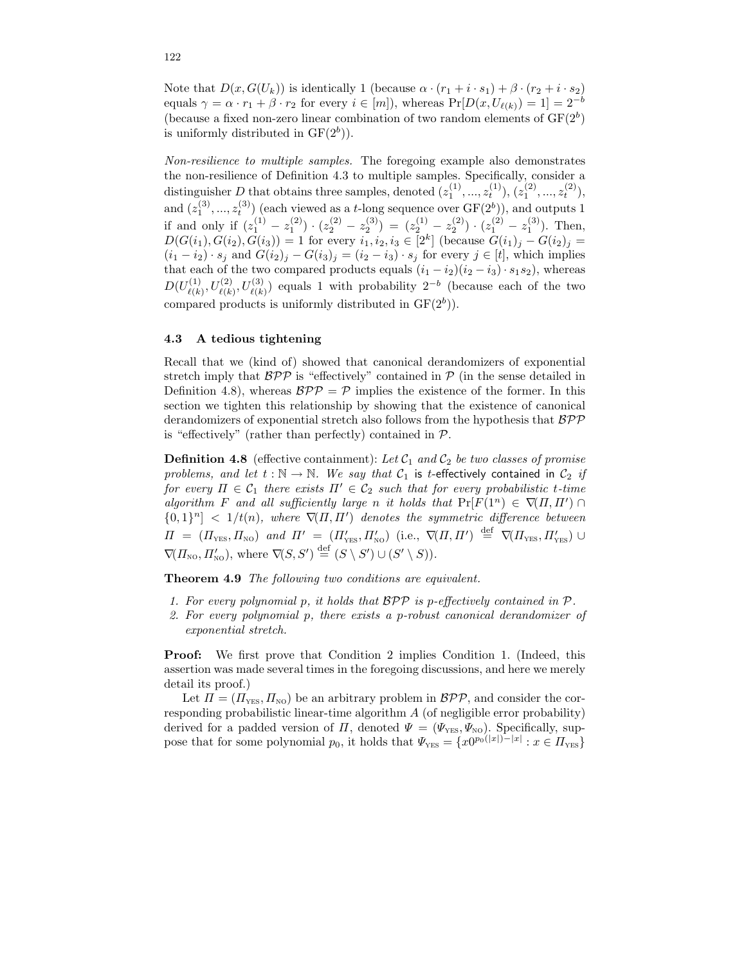Note that  $D(x, G(U_k))$  is identically 1 (because  $\alpha \cdot (r_1 + i \cdot s_1) + \beta \cdot (r_2 + i \cdot s_2)$ ) equals  $\gamma = \alpha \cdot r_1 + \beta \cdot r_2$  for every  $i \in [m]$ , whereas  $Pr[D(x, U_{\ell(k)}) = 1] = 2^{-b}$ (because a fixed non-zero linear combination of two random elements of  $GF(2<sup>b</sup>)$ is uniformly distributed in  $GF(2<sup>b</sup>)$ .

Non-resilience to multiple samples. The foregoing example also demonstrates the non-resilience of Definition 4.3 to multiple samples. Specifically, consider a distinguisher D that obtains three samples, denoted  $(z_1^{(1)},...,z_t^{(1)}), (z_1^{(2)},...,z_t^{(2)}),$ and  $(z_1^{(3)},...,z_t^{(3)})$  (each viewed as a t-long sequence over  $GF(2^b)$ ), and outputs 1 if and only if  $(z_1^{(1)} - z_1^{(2)}) \cdot (z_2^{(2)} - z_2^{(3)}) = (z_2^{(1)} - z_2^{(2)}) \cdot (z_1^{(2)} - z_1^{(3)})$ . Then,  $D(G(i_1), G(i_2), G(i_3)) = 1$  for every  $i_1, i_2, i_3 \in [2^k]$  (because  $G(i_1)_j - G(i_2)_j =$  $(i_1 - i_2) \cdot s_j$  and  $G(i_2)_j - G(i_3)_j = (i_2 - i_3) \cdot s_j$  for every  $j \in [t]$ , which implies that each of the two compared products equals  $(i_1 - i_2)(i_2 - i_3) \cdot s_1 s_2$ , whereas  $D(U^{(1)}_{\ell \ell k}$  $U^{(1)}_{\ell(k)}, U^{(2)}_{\ell(k)}, U^{(3)}_{\ell(k)}$  equals 1 with probability  $2^{-b}$  (because each of the two compared products is uniformly distributed in  $GF(2<sup>b</sup>)$ .

## 4.3 A tedious tightening

Recall that we (kind of) showed that canonical derandomizers of exponential stretch imply that  $BPP$  is "effectively" contained in  $P$  (in the sense detailed in Definition 4.8), whereas  $\mathcal{BPP} = \mathcal{P}$  implies the existence of the former. In this section we tighten this relationship by showing that the existence of canonical derandomizers of exponential stretch also follows from the hypothesis that  $BPP$ is "effectively" (rather than perfectly) contained in  $P$ .

**Definition 4.8** (effective containment): Let  $C_1$  and  $C_2$  be two classes of promise problems, and let  $t : \mathbb{N} \to \mathbb{N}$ . We say that  $C_1$  is t-effectively contained in  $C_2$  if for every  $\Pi \in \mathcal{C}_1$  there exists  $\Pi' \in \mathcal{C}_2$  such that for every probabilistic t-time algorithm F and all sufficiently large n it holds that  $Pr[F(1^n) \in \nabla(\Pi, \Pi') \cap$  ${0,1}<sup>n</sup> < 1/t(n)$ , where  $\nabla(\Pi,\Pi')$  denotes the symmetric difference between  $\Pi = (I_{\text{YES}}, H_{\text{NO}})$  and  $\Pi' = (H'_{\text{YES}}, H'_{\text{NO}})$  (i.e.,  $\nabla (H, H') \stackrel{\text{def}}{=} \nabla (H_{\text{YES}}, H'_{\text{YES}}) \cup$  $\nabla(\Pi_{\text{NO}}, \Pi'_{\text{NO}}), \text{ where } \nabla(S, S') \stackrel{\text{def}}{=} (S \setminus S') \cup (S' \setminus S)).$ 

Theorem 4.9 The following two conditions are equivalent.

- 1. For every polynomial p, it holds that  $BPP$  is p-effectively contained in  $P$ .
- 2. For every polynomial p, there exists a p-robust canonical derandomizer of exponential stretch.

Proof: We first prove that Condition 2 implies Condition 1. (Indeed, this assertion was made several times in the foregoing discussions, and here we merely detail its proof.)

Let  $\Pi = (\Pi_{\text{YES}}, \Pi_{\text{NO}})$  be an arbitrary problem in  $\mathcal{BPP}$ , and consider the corresponding probabilistic linear-time algorithm  $A$  (of negligible error probability) derived for a padded version of  $\Pi$ , denoted  $\Psi = (\Psi_{\text{YES}}, \Psi_{\text{NO}})$ . Specifically, suppose that for some polynomial  $p_0$ , it holds that  $\Psi_{\text{YES}} = \{x0^{p_0(|x|)-|x|} : x \in \Pi_{\text{YES}}\}$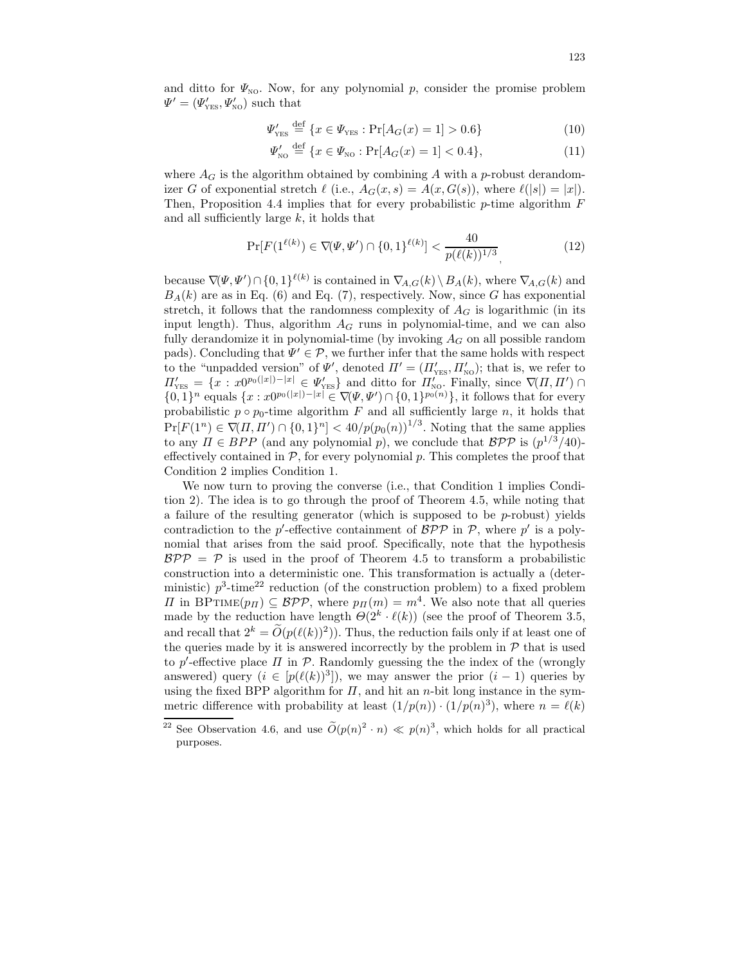and ditto for  $\Psi_{\text{NO}}$ . Now, for any polynomial p, consider the promise problem  $\Psi' = (\Psi'_{\text{YES}}, \Psi'_{\text{NO}})$  such that

$$
\Psi_{\rm YES}' \stackrel{\text{def}}{=} \{ x \in \Psi_{\rm YES} : \Pr[A_G(x) = 1] > 0.6 \}
$$
 (10)

$$
\Psi'_{\text{NO}} \stackrel{\text{def}}{=} \{ x \in \Psi_{\text{NO}} : \Pr[A_G(x) = 1] < 0.4 \},\tag{11}
$$

where  $A_G$  is the algorithm obtained by combining A with a p-robust derandomizer G of exponential stretch  $\ell$  (i.e.,  $A_G(x, s) = A(x, G(s))$ , where  $\ell(|s|) = |x|$ ). Then, Proposition 4.4 implies that for every probabilistic  $p$ -time algorithm  $F$ and all sufficiently large k, it holds that

$$
\Pr[F(1^{\ell(k)}) \in \nabla(\Psi, \Psi') \cap \{0, 1\}^{\ell(k)}] < \frac{40}{p(\ell(k))^{1/3}},\tag{12}
$$

because  $\nabla(\Psi, \Psi') \cap \{0, 1\}^{\ell(k)}$  is contained in  $\nabla_{A,G}(k) \setminus B_A(k)$ , where  $\nabla_{A,G}(k)$  and  $B_A(k)$  are as in Eq. (6) and Eq. (7), respectively. Now, since G has exponential stretch, it follows that the randomness complexity of  $A_G$  is logarithmic (in its input length). Thus, algorithm  $A_G$  runs in polynomial-time, and we can also fully derandomize it in polynomial-time (by invoking  $A_G$  on all possible random pads). Concluding that  $\Psi' \in \mathcal{P}$ , we further infer that the same holds with respect to the "unpadded version" of  $\Psi'$ , denoted  $\Pi' = (\Pi'_{\text{YES}}, \Pi'_{\text{NO}})$ ; that is, we refer to  $\Pi'_{\text{YES}} = \{x : x0^{p_0(|x|)}-|x| \in \Psi'_{\text{YES}}\}$  and ditto for  $\Pi'_{\text{NO}}$ . Finally, since  $\nabla(\Pi, \Pi') \cap$ {0, 1}<sup>n</sup> equals {x : x0<sup>p<sub>0</sub>(|x|)−|x|</sup> ∈  $\nabla(\Psi, \Psi') \cap \{0, 1\}^{p_0(n)}\}$ , it follows that for every probabilistic  $p \circ p_0$ -time algorithm  $\overline{F}$  and all sufficiently large n, it holds that  $Pr[F(1^n) \in \nabla(\Pi, \Pi') \cap \{0, 1\}^n] < 40/p(p_0(n))^{1/3}$ . Noting that the same applies to any  $\Pi \in BPP$  (and any polynomial p), we conclude that  $BPP$  is  $(p^{1/3}/40)$ effectively contained in  $P$ , for every polynomial  $p$ . This completes the proof that Condition 2 implies Condition 1.

We now turn to proving the converse (i.e., that Condition 1 implies Condition 2). The idea is to go through the proof of Theorem 4.5, while noting that a failure of the resulting generator (which is supposed to be  $p$ -robust) yields contradiction to the  $p'$ -effective containment of  $\mathcal{BPP}$  in  $\mathcal{P}$ , where  $p'$  is a polynomial that arises from the said proof. Specifically, note that the hypothesis  $BPP = P$  is used in the proof of Theorem 4.5 to transform a probabilistic construction into a deterministic one. This transformation is actually a (deterministic)  $p^3$ -time<sup>22</sup> reduction (of the construction problem) to a fixed problem  $\Pi$  in BPTIME $(p_{\Pi}) \subseteq BPP$ , where  $p_{\Pi}(m) = m^4$ . We also note that all queries made by the reduction have length  $\Theta(2^k \cdot \ell(k))$  (see the proof of Theorem 3.5, and recall that  $2^k = \tilde{O}(p(\ell(k))^2)$ . Thus, the reduction fails only if at least one of the queries made by it is answered incorrectly by the problem in  $P$  that is used to p'-effective place  $\Pi$  in  $P$ . Randomly guessing the the index of the (wrongly answered) query  $(i \in [p(\ell(k))^3])$ , we may answer the prior  $(i-1)$  queries by using the fixed BPP algorithm for  $\Pi$ , and hit an *n*-bit long instance in the symmetric difference with probability at least  $(1/p(n)) \cdot (1/p(n)^3)$ , where  $n = \ell(k)$ 

<sup>&</sup>lt;sup>22</sup> See Observation 4.6, and use  $\tilde{O}(p(n)^2 \cdot n) \ll p(n)^3$ , which holds for all practical purposes.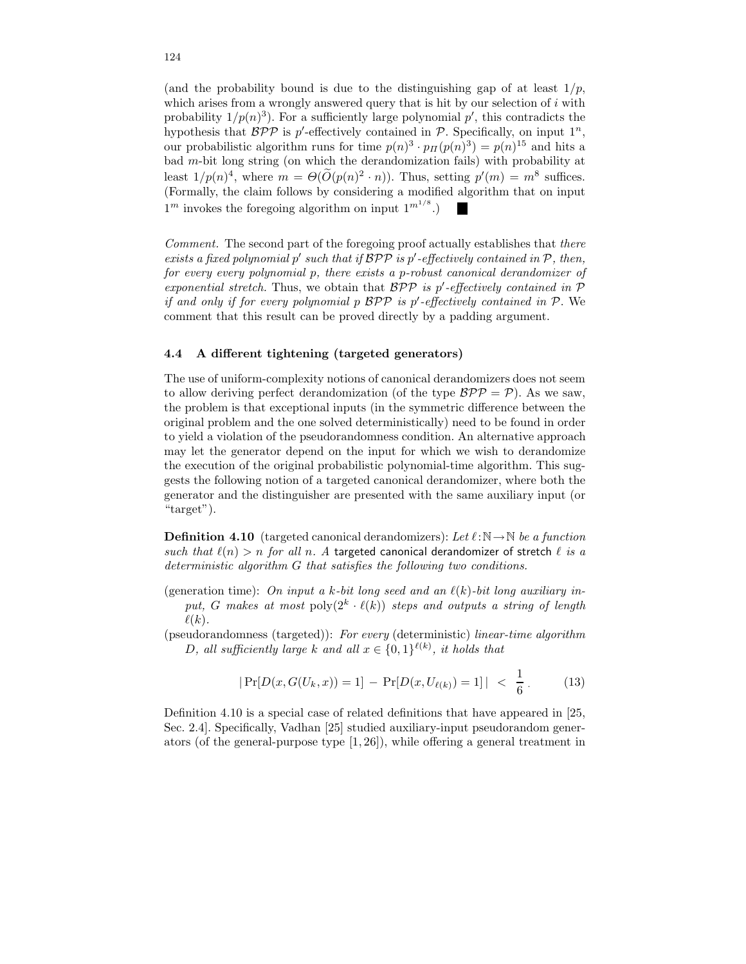(and the probability bound is due to the distinguishing gap of at least  $1/p$ , which arises from a wrongly answered query that is hit by our selection of  $i$  with probability  $1/p(n)^3$ ). For a sufficiently large polynomial  $p'$ , this contradicts the hypothesis that  $BPP$  is p'-effectively contained in P. Specifically, on input  $1^n$ , our probabilistic algorithm runs for time  $p(n)^3 \cdot p_{\Pi}(p(n)^3) = p(n)^{15}$  and hits a bad m-bit long string (on which the derandomization fails) with probability at least  $1/p(n)^4$ , where  $m = \Theta(O(p(n)^2 \cdot n))$ . Thus, setting  $p'(m) = m^8$  suffices. (Formally, the claim follows by considering a modified algorithm that on input  $1<sup>m</sup>$  invokes the foregoing algorithm on input  $1<sup>{m<sup>1/8</sup>}</sup>$ .)

Comment. The second part of the foregoing proof actually establishes that there exists a fixed polynomial  $p'$  such that if  $\mathcal{BPP}$  is  $p'$ -effectively contained in  $\mathcal{P}$ , then, for every every polynomial p, there exists a p-robust canonical derandomizer of exponential stretch. Thus, we obtain that  $BPP$  is p'-effectively contained in  $P$ if and only if for every polynomial  $p$   $\mathcal{BPP}$  is  $p'$ -effectively contained in  $\mathcal{P}$ . We comment that this result can be proved directly by a padding argument.

# 4.4 A different tightening (targeted generators)

The use of uniform-complexity notions of canonical derandomizers does not seem to allow deriving perfect derandomization (of the type  $BPP = P$ ). As we saw, the problem is that exceptional inputs (in the symmetric difference between the original problem and the one solved deterministically) need to be found in order to yield a violation of the pseudorandomness condition. An alternative approach may let the generator depend on the input for which we wish to derandomize the execution of the original probabilistic polynomial-time algorithm. This suggests the following notion of a targeted canonical derandomizer, where both the generator and the distinguisher are presented with the same auxiliary input (or "target").

**Definition 4.10** (targeted canonical derandomizers): Let  $\ell : \mathbb{N} \to \mathbb{N}$  be a function such that  $\ell(n) > n$  for all n. A targeted canonical derandomizer of stretch  $\ell$  is a deterministic algorithm G that satisfies the following two conditions.

(generation time): On input a k-bit long seed and an  $\ell(k)$ -bit long auxiliary input, G makes at most  $\text{poly}(2^k \cdot \ell(k))$  steps and outputs a string of length  $\ell(k)$ .

(pseudorandomness (targeted)): For every (deterministic) linear-time algorithm D, all sufficiently large k and all  $x \in \{0,1\}^{\ell(k)}$ , it holds that

$$
|\Pr[D(x, G(U_k, x)) = 1] - \Pr[D(x, U_{\ell(k)}) = 1]| < \frac{1}{6} \,. \tag{13}
$$

Definition 4.10 is a special case of related definitions that have appeared in [25, Sec. 2.4]. Specifically, Vadhan [25] studied auxiliary-input pseudorandom generators (of the general-purpose type  $[1, 26]$ ), while offering a general treatment in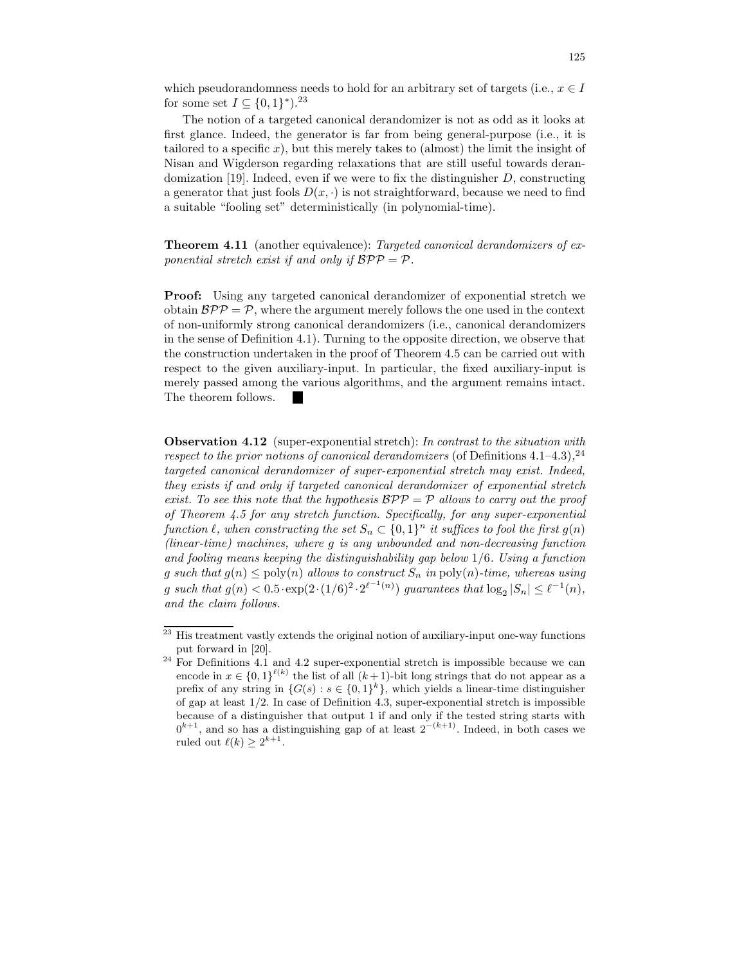which pseudorandomness needs to hold for an arbitrary set of targets (i.e.,  $x \in I$ for some set  $I \subseteq \{0,1\}^*$ ).<sup>23</sup>

The notion of a targeted canonical derandomizer is not as odd as it looks at first glance. Indeed, the generator is far from being general-purpose (i.e., it is tailored to a specific x), but this merely takes to (almost) the limit the insight of Nisan and Wigderson regarding relaxations that are still useful towards derandomization [19]. Indeed, even if we were to fix the distinguisher  $D$ , constructing a generator that just fools  $D(x, \cdot)$  is not straightforward, because we need to find a suitable "fooling set" deterministically (in polynomial-time).

Theorem 4.11 (another equivalence): Targeted canonical derandomizers of exponential stretch exist if and only if  $BPP = P$ .

Proof: Using any targeted canonical derandomizer of exponential stretch we obtain  $BPP = P$ , where the argument merely follows the one used in the context of non-uniformly strong canonical derandomizers (i.e., canonical derandomizers in the sense of Definition 4.1). Turning to the opposite direction, we observe that the construction undertaken in the proof of Theorem 4.5 can be carried out with respect to the given auxiliary-input. In particular, the fixed auxiliary-input is merely passed among the various algorithms, and the argument remains intact. The theorem follows.

Observation 4.12 (super-exponential stretch): In contrast to the situation with respect to the prior notions of canonical derandomizers (of Definitions 4.1–4.3),<sup>24</sup> targeted canonical derandomizer of super-exponential stretch may exist. Indeed, they exists if and only if targeted canonical derandomizer of exponential stretch exist. To see this note that the hypothesis  $BPP = P$  allows to carry out the proof of Theorem 4.5 for any stretch function. Specifically, for any super-exponential function  $\ell$ , when constructing the set  $S_n \subset \{0,1\}^n$  it suffices to fool the first  $g(n)$ (linear-time) machines, where g is any unbounded and non-decreasing function and fooling means keeping the distinguishability gap below 1/6. Using a function g such that  $g(n) \leq \text{poly}(n)$  allows to construct  $S_n$  in  $\text{poly}(n)$ -time, whereas using g such that  $g(n) < 0.5 \cdot \exp(2 \cdot (1/6)^2 \cdot 2^{\ell^{-1}(n)})$  guarantees that  $\log_2 |S_n| \leq \ell^{-1}(n)$ , and the claim follows.

<sup>23</sup> His treatment vastly extends the original notion of auxiliary-input one-way functions put forward in [20].

<sup>&</sup>lt;sup>24</sup> For Definitions 4.1 and 4.2 super-exponential stretch is impossible because we can encode in  $x \in \{0,1\}^{\ell(k)}$  the list of all  $(k+1)$ -bit long strings that do not appear as a prefix of any string in  $\{G(s) : s \in \{0,1\}^k\}$ , which yields a linear-time distinguisher of gap at least  $1/2$ . In case of Definition 4.3, super-exponential stretch is impossible because of a distinguisher that output 1 if and only if the tested string starts with  $0^{k+1}$ , and so has a distinguishing gap of at least  $2^{-(k+1)}$ . Indeed, in both cases we ruled out  $\ell(k) \geq 2^{k+1}$ .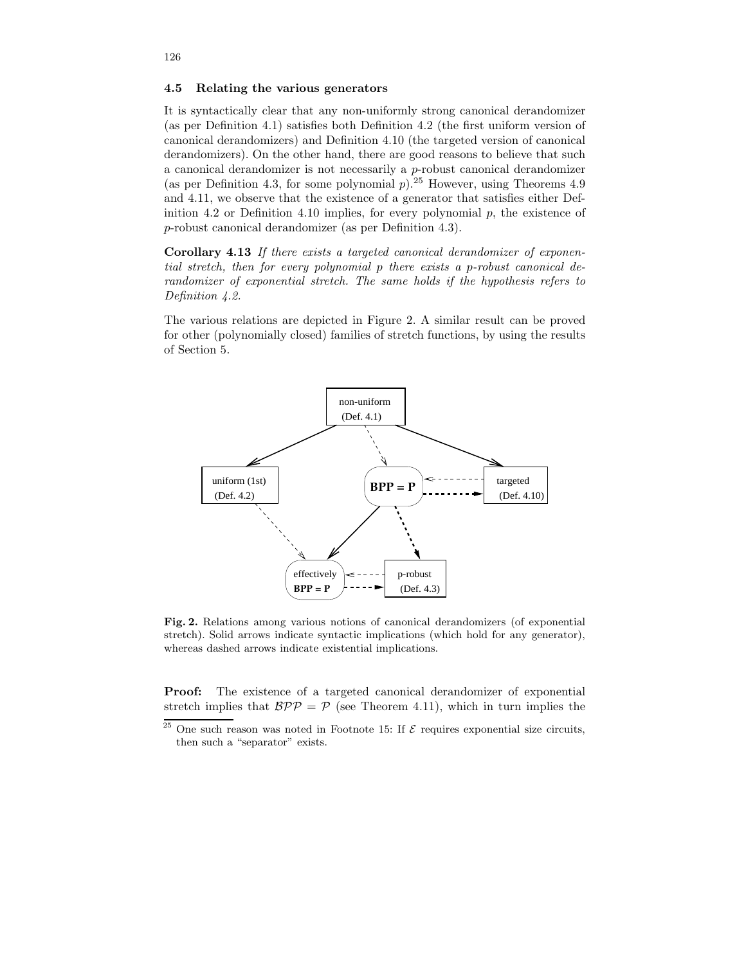It is syntactically clear that any non-uniformly strong canonical derandomizer (as per Definition 4.1) satisfies both Definition 4.2 (the first uniform version of canonical derandomizers) and Definition 4.10 (the targeted version of canonical derandomizers). On the other hand, there are good reasons to believe that such a canonical derandomizer is not necessarily a  $p$ -robust canonical derandomizer (as per Definition 4.3, for some polynomial  $p$ ).<sup>25</sup> However, using Theorems 4.9 and 4.11, we observe that the existence of a generator that satisfies either Definition 4.2 or Definition 4.10 implies, for every polynomial  $p$ , the existence of p-robust canonical derandomizer (as per Definition 4.3).

Corollary 4.13 If there exists a targeted canonical derandomizer of exponential stretch, then for every polynomial p there exists a p-robust canonical derandomizer of exponential stretch. The same holds if the hypothesis refers to Definition 4.2.

The various relations are depicted in Figure 2. A similar result can be proved for other (polynomially closed) families of stretch functions, by using the results of Section 5.



Fig. 2. Relations among various notions of canonical derandomizers (of exponential stretch). Solid arrows indicate syntactic implications (which hold for any generator), whereas dashed arrows indicate existential implications.

Proof: The existence of a targeted canonical derandomizer of exponential stretch implies that  $BPP = P$  (see Theorem 4.11), which in turn implies the

 $\frac{25}{25}$  One such reason was noted in Footnote 15: If  $\mathcal E$  requires exponential size circuits, then such a "separator" exists.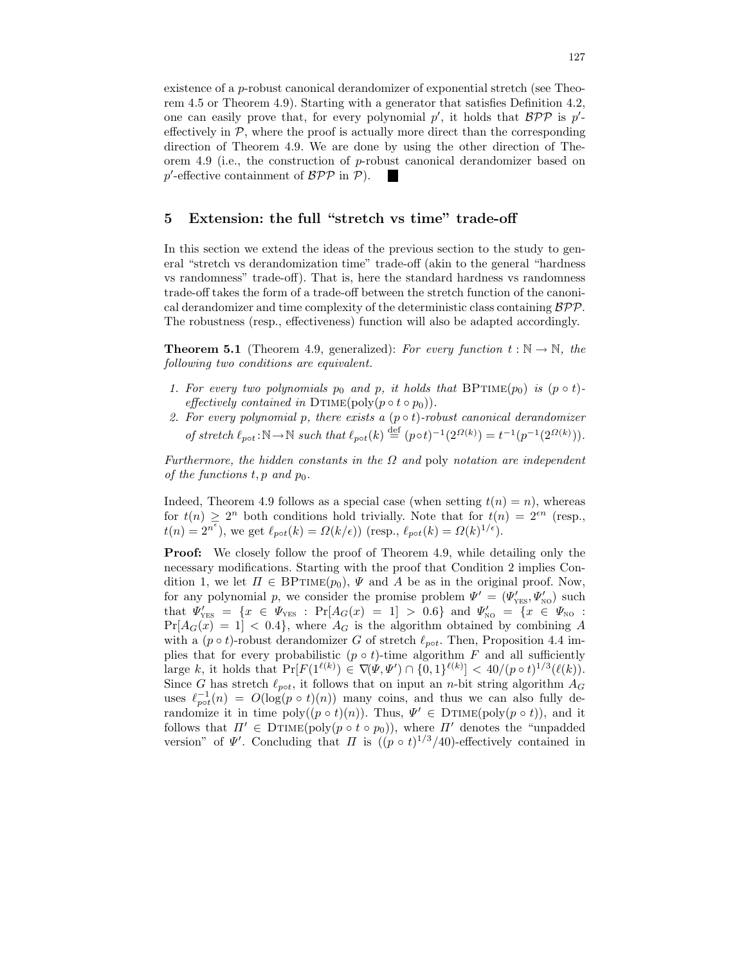existence of a p-robust canonical derandomizer of exponential stretch (see Theorem 4.5 or Theorem 4.9). Starting with a generator that satisfies Definition 4.2, one can easily prove that, for every polynomial  $p'$ , it holds that  $BPP$  is  $p'$ effectively in  $P$ , where the proof is actually more direct than the corresponding direction of Theorem 4.9. We are done by using the other direction of Theorem 4.9 (i.e., the construction of p-robust canonical derandomizer based on  $p'$ -effective containment of  $\mathcal{BPP}$  in  $\mathcal{P}$ ). 

# 5 Extension: the full "stretch vs time" trade-off

In this section we extend the ideas of the previous section to the study to general "stretch vs derandomization time" trade-off (akin to the general "hardness vs randomness" trade-off). That is, here the standard hardness vs randomness trade-off takes the form of a trade-off between the stretch function of the canonical derandomizer and time complexity of the deterministic class containing  $\beta \mathcal{P} \mathcal{P}$ . The robustness (resp., effectiveness) function will also be adapted accordingly.

**Theorem 5.1** (Theorem 4.9, generalized): For every function  $t : \mathbb{N} \to \mathbb{N}$ , the following two conditions are equivalent.

- 1. For every two polynomials  $p_0$  and p, it holds that BPTIME $(p_0)$  is  $(p \circ t)$ effectively contained in DTIME(poly( $p \circ t \circ p_0$ )).
- 2. For every polynomial p, there exists a  $(p \circ t)$ -robust canonical derandomizer of stretch  $\ell_{pot} : \mathbb{N} \to \mathbb{N}$  such that  $\ell_{pot}(k) \stackrel{\text{def}}{=} (p \circ t)^{-1} (2^{\Omega(k)}) = t^{-1} (p^{-1} (2^{\Omega(k)})).$

Furthermore, the hidden constants in the  $\Omega$  and poly notation are independent of the functions  $t, p$  and  $p_0$ .

Indeed, Theorem 4.9 follows as a special case (when setting  $t(n) = n$ ), whereas for  $t(n) \geq 2^n$  both conditions hold trivially. Note that for  $t(n) = 2^{\epsilon n}$  (resp.,  $t(n) = 2^{n^{\epsilon}}$ , we get  $\ell_{pot}(k) = \Omega(k/\epsilon)$  (resp.,  $\ell_{pot}(k) = \Omega(k)^{1/\epsilon}$ ).

**Proof:** We closely follow the proof of Theorem 4.9, while detailing only the necessary modifications. Starting with the proof that Condition 2 implies Condition 1, we let  $\Pi \in \text{BPTIME}(p_0)$ ,  $\Psi$  and A be as in the original proof. Now, for any polynomial p, we consider the promise problem  $\Psi' = (\Psi'_{\text{YES}}, \Psi'_{\text{NO}})$  such that  $\Psi'_{\text{YES}} = \{x \in \Psi_{\text{YES}} : \Pr[A_G(x) = 1] > 0.6\}$  and  $\Psi'_{\text{NO}} = \{x \in \Psi_{\text{NO}} : \Psi_{\text{F}} = 0.6\}$  $Pr[A_G(x) = 1] < 0.4$ , where  $A_G$  is the algorithm obtained by combining A with a ( $p \circ t$ )-robust derandomizer G of stretch  $\ell_{pot}$ . Then, Proposition 4.4 implies that for every probabilistic  $(p \circ t)$ -time algorithm F and all sufficiently large k, it holds that  $Pr[F(1^{\ell(k)}) \in \nabla(\Psi, \Psi') \cap \{0, 1\}^{\ell(k)}] < 40/(p \circ t)^{1/3}(\ell(k)).$ Since G has stretch  $\ell_{pot}$ , it follows that on input an n-bit string algorithm  $A_G$ uses  $\ell_{pot}^{-1}(n) = O(\log(p \circ t)(n))$  many coins, and thus we can also fully derandomize it in time  $\text{poly}((p \circ t)(n))$ . Thus,  $\Psi' \in \text{DTIME}(\text{poly}(p \circ t))$ , and it follows that  $\Pi' \in \text{DTIME}(\text{poly}(p \circ t \circ p_0)),$  where  $\Pi'$  denotes the "unpadded" version" of  $\Psi'$ . Concluding that  $\Pi$  is  $((p \circ t)^{1/3}/40)$ -effectively contained in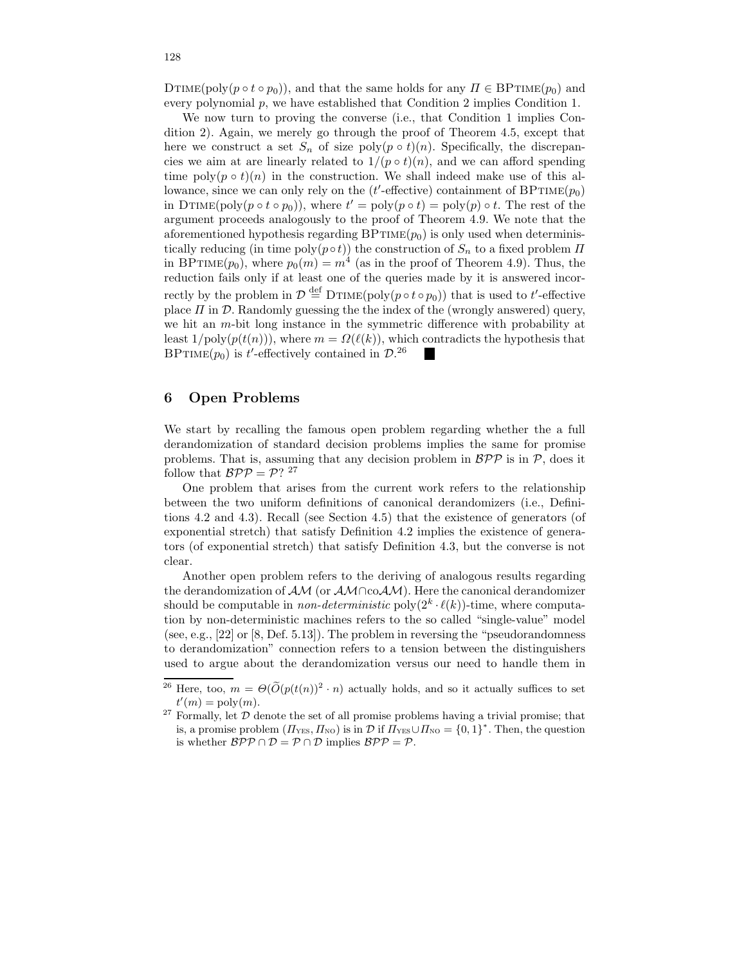DTIME(poly( $p \circ t \circ p_0$ )), and that the same holds for any  $\Pi \in \text{BPTIME}(p_0)$  and every polynomial p, we have established that Condition 2 implies Condition 1.

We now turn to proving the converse (i.e., that Condition 1 implies Condition 2). Again, we merely go through the proof of Theorem 4.5, except that here we construct a set  $S_n$  of size poly $(p \circ t)(n)$ . Specifically, the discrepancies we aim at are linearly related to  $1/(p \circ t)(n)$ , and we can afford spending time  $\text{poly}(p \circ t)(n)$  in the construction. We shall indeed make use of this allowance, since we can only rely on the  $(t'$ -effective) containment of  $BPTIME(p_0)$ in DTIME(poly( $p \circ t \circ p_0$ )), where  $t' = \text{poly}(p \circ t) = \text{poly}(p) \circ t$ . The rest of the argument proceeds analogously to the proof of Theorem 4.9. We note that the aforementioned hypothesis regarding  $BPTIME(p_0)$  is only used when deterministically reducing (in time  $poly(p \circ t)$ ) the construction of  $S_n$  to a fixed problem  $\Pi$ in BPTIME $(p_0)$ , where  $p_0(m) = m^4$  (as in the proof of Theorem 4.9). Thus, the reduction fails only if at least one of the queries made by it is answered incorrectly by the problem in  $\mathcal{D} \stackrel{\text{def}}{=} \text{DTIME}(\text{poly}(p \circ t \circ p_0))$  that is used to t'-effective place  $\Pi$  in  $\mathcal D$ . Randomly guessing the the index of the (wrongly answered) query, we hit an m-bit long instance in the symmetric difference with probability at least  $1/\text{poly}(p(t(n)))$ , where  $m = \Omega(\ell(k))$ , which contradicts the hypothesis that BPTIME( $p_0$ ) is t'-effectively contained in  $\mathcal{D}^{26}$ 

# 6 Open Problems

We start by recalling the famous open problem regarding whether the a full derandomization of standard decision problems implies the same for promise problems. That is, assuming that any decision problem in  $B\mathcal{PP}$  is in  $\mathcal{P}$ , does it follow that  $\mathcal{BPP} = \mathcal{P}$ ? <sup>27</sup>

One problem that arises from the current work refers to the relationship between the two uniform definitions of canonical derandomizers (i.e., Definitions 4.2 and 4.3). Recall (see Section 4.5) that the existence of generators (of exponential stretch) that satisfy Definition 4.2 implies the existence of generators (of exponential stretch) that satisfy Definition 4.3, but the converse is not clear.

Another open problem refers to the deriving of analogous results regarding the derandomization of  $\mathcal{AM}$  (or  $\mathcal{AM} \cap co \mathcal{AM}$ ). Here the canonical derandomizer should be computable in *non-deterministic* poly $(2^k \cdot \ell(k))$ -time, where computation by non-deterministic machines refers to the so called "single-value" model (see, e.g., [22] or [8, Def. 5.13]). The problem in reversing the "pseudorandomness to derandomization" connection refers to a tension between the distinguishers used to argue about the derandomization versus our need to handle them in

<sup>&</sup>lt;sup>26</sup> Here, too,  $m = \Theta(\widetilde{O}(p(t(n))^{2} \cdot n))$  actually holds, and so it actually suffices to set  $t'(m) = \text{poly}(m).$ 

 $27$  Formally, let  $D$  denote the set of all promise problems having a trivial promise; that is, a promise problem  $(\Pi_{\text{YES}}, \Pi_{\text{NO}})$  is in  $\mathcal{D}$  if  $\Pi_{\text{YES}} \cup \Pi_{\text{NO}} = \{0, 1\}^*$ . Then, the question is whether  $\mathcal{BPP} \cap \mathcal{D} = \mathcal{P} \cap \mathcal{D}$  implies  $\mathcal{BPP} = \mathcal{P}$ .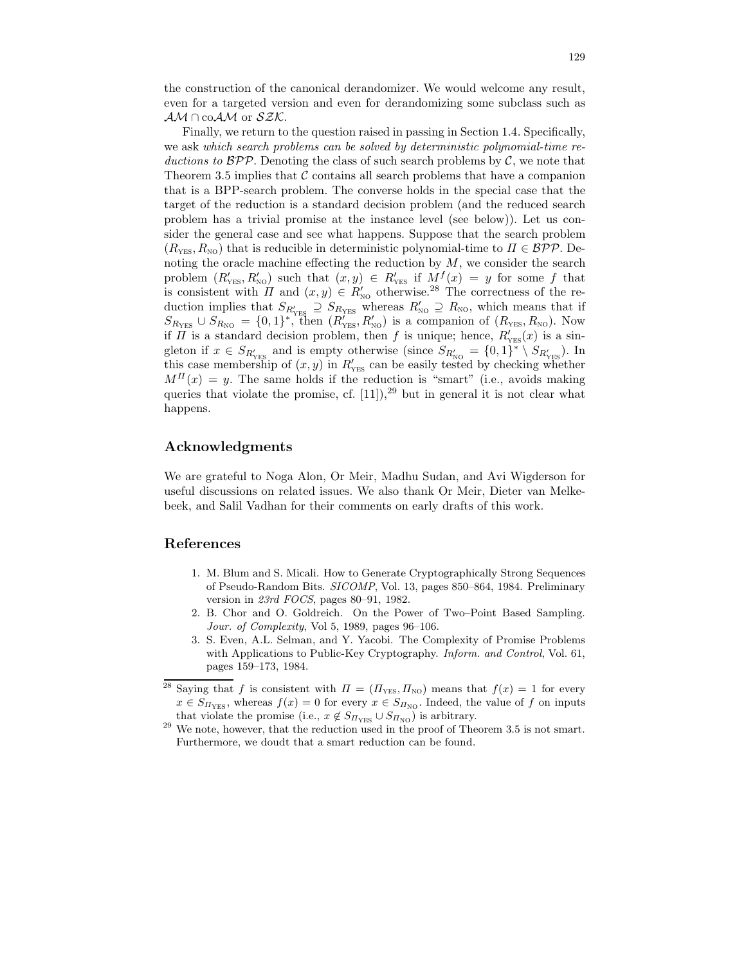the construction of the canonical derandomizer. We would welcome any result, even for a targeted version and even for derandomizing some subclass such as  $AM \cap coAM$  or  $SZK$ .

Finally, we return to the question raised in passing in Section 1.4. Specifically, we ask which search problems can be solved by deterministic polynomial-time reductions to  $BPP$ . Denoting the class of such search problems by  $C$ , we note that Theorem 3.5 implies that  $\mathcal C$  contains all search problems that have a companion that is a BPP-search problem. The converse holds in the special case that the target of the reduction is a standard decision problem (and the reduced search problem has a trivial promise at the instance level (see below)). Let us consider the general case and see what happens. Suppose that the search problem  $(R_{\text{YES}}, R_{\text{NO}})$  that is reducible in deterministic polynomial-time to  $\Pi \in \mathcal{BPP}$ . Denoting the oracle machine effecting the reduction by  $M$ , we consider the search problem  $(R'_{\text{YES}}, R'_{\text{NO}})$  such that  $(x, y) \in R'_{\text{YES}}$  if  $M^f(x) = y$  for some f that is consistent with  $\Pi$  and  $(x, y) \in R'_{\text{NO}}$  otherwise.<sup>28</sup> The correctness of the reduction implies that  $S_{R'_{\text{YES}}} \supseteq S_{R_{\text{YES}}}$  whereas  $R'_{\text{NO}} \supseteq R_{\text{NO}}$ , which means that if  $S_{R_{\text{YES}}} \cup S_{R_{\text{NO}}} = \{0,1\}^*$ , then  $(R'_{\text{YES}}, R'_{\text{NO}})$  is a companion of  $(R_{\text{YES}}, R_{\text{NO}})$ . Now if  $\Pi$  is a standard decision problem, then f is unique; hence,  $R'_{\text{YES}}(x)$  is a singleton if  $x \in S_{R'_{\text{YES}}}$  and is empty otherwise (since  $S_{R'_{\text{NO}}} = \{0,1\}^* \setminus S_{R'_{\text{YES}}}\$ ). In this case membership of  $(x, y)$  in  $R'_{YFS}$  can be easily tested by checking whether  $M^{II}(x) = y$ . The same holds if the reduction is "smart" (i.e., avoids making queries that violate the promise, cf.  $[11]$ ,<sup>29</sup> but in general it is not clear what happens.

# Acknowledgments

We are grateful to Noga Alon, Or Meir, Madhu Sudan, and Avi Wigderson for useful discussions on related issues. We also thank Or Meir, Dieter van Melkebeek, and Salil Vadhan for their comments on early drafts of this work.

# References

- 1. M. Blum and S. Micali. How to Generate Cryptographically Strong Sequences of Pseudo-Random Bits. SICOMP, Vol. 13, pages 850–864, 1984. Preliminary version in 23rd FOCS, pages 80–91, 1982.
- 2. B. Chor and O. Goldreich. On the Power of Two–Point Based Sampling. Jour. of Complexity, Vol 5, 1989, pages 96–106.
- 3. S. Even, A.L. Selman, and Y. Yacobi. The Complexity of Promise Problems with Applications to Public-Key Cryptography. Inform. and Control, Vol. 61, pages 159–173, 1984.
- <sup>28</sup> Saying that f is consistent with  $\Pi = (H_{\text{YES}}, H_{\text{NO}})$  means that  $f(x) = 1$  for every  $x \in S_{\Pi_{\text{YES}}}$ , whereas  $f(x) = 0$  for every  $x \in S_{\Pi_{\text{NO}}}$ . Indeed, the value of f on inputs that violate the promise (i.e.,  $x \notin S_{\Pi_{\text{YES}}} \cup S_{\Pi_{\text{NO}}}$ ) is arbitrary.
- $29$  We note, however, that the reduction used in the proof of Theorem 3.5 is not smart. Furthermore, we doudt that a smart reduction can be found.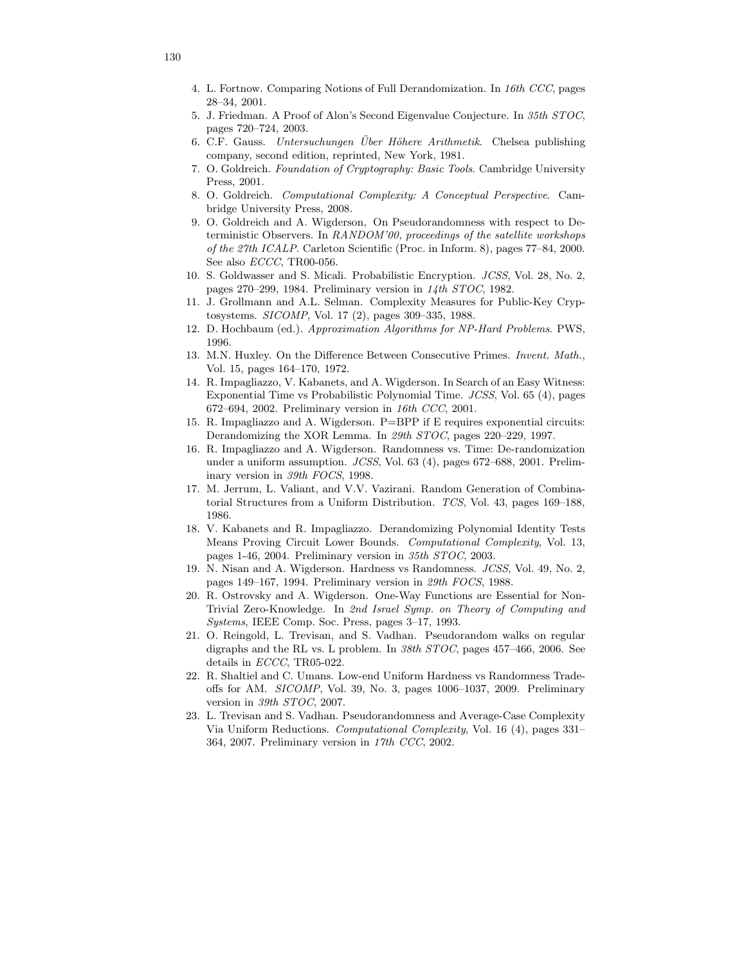- 4. L. Fortnow. Comparing Notions of Full Derandomization. In 16th CCC, pages 28–34, 2001.
- 5. J. Friedman. A Proof of Alon's Second Eigenvalue Conjecture. In 35th STOC, pages 720–724, 2003.
- 6. C.F. Gauss. Untersuchungen Über Höhere Arithmetik. Chelsea publishing company, second edition, reprinted, New York, 1981.
- 7. O. Goldreich. Foundation of Cryptography: Basic Tools. Cambridge University Press, 2001.
- 8. O. Goldreich. Computational Complexity: A Conceptual Perspective. Cambridge University Press, 2008.
- 9. O. Goldreich and A. Wigderson, On Pseudorandomness with respect to Deterministic Observers. In RANDOM'00, proceedings of the satellite workshops of the 27th ICALP. Carleton Scientific (Proc. in Inform. 8), pages 77–84, 2000. See also ECCC, TR00-056.
- 10. S. Goldwasser and S. Micali. Probabilistic Encryption. JCSS, Vol. 28, No. 2, pages 270–299, 1984. Preliminary version in 14th STOC, 1982.
- 11. J. Grollmann and A.L. Selman. Complexity Measures for Public-Key Cryptosystems. SICOMP, Vol. 17 (2), pages 309–335, 1988.
- 12. D. Hochbaum (ed.). Approximation Algorithms for NP-Hard Problems. PWS, 1996.
- 13. M.N. Huxley. On the Difference Between Consecutive Primes. Invent. Math., Vol. 15, pages 164–170, 1972.
- 14. R. Impagliazzo, V. Kabanets, and A. Wigderson. In Search of an Easy Witness: Exponential Time vs Probabilistic Polynomial Time. JCSS, Vol. 65 (4), pages 672–694, 2002. Preliminary version in 16th CCC, 2001.
- 15. R. Impagliazzo and A. Wigderson. P=BPP if E requires exponential circuits: Derandomizing the XOR Lemma. In 29th STOC, pages 220–229, 1997.
- 16. R. Impagliazzo and A. Wigderson. Randomness vs. Time: De-randomization under a uniform assumption. JCSS, Vol. 63 (4), pages 672–688, 2001. Preliminary version in 39th FOCS, 1998.
- 17. M. Jerrum, L. Valiant, and V.V. Vazirani. Random Generation of Combinatorial Structures from a Uniform Distribution. TCS, Vol. 43, pages 169–188, 1986.
- 18. V. Kabanets and R. Impagliazzo. Derandomizing Polynomial Identity Tests Means Proving Circuit Lower Bounds. Computational Complexity, Vol. 13, pages 1-46, 2004. Preliminary version in 35th STOC, 2003.
- 19. N. Nisan and A. Wigderson. Hardness vs Randomness. JCSS, Vol. 49, No. 2, pages 149–167, 1994. Preliminary version in 29th FOCS, 1988.
- 20. R. Ostrovsky and A. Wigderson. One-Way Functions are Essential for Non-Trivial Zero-Knowledge. In 2nd Israel Symp. on Theory of Computing and Systems, IEEE Comp. Soc. Press, pages 3–17, 1993.
- 21. O. Reingold, L. Trevisan, and S. Vadhan. Pseudorandom walks on regular digraphs and the RL vs. L problem. In  $38th$  STOC, pages 457-466, 2006. See details in ECCC, TR05-022.
- 22. R. Shaltiel and C. Umans. Low-end Uniform Hardness vs Randomness Tradeoffs for AM. SICOMP, Vol. 39, No. 3, pages 1006–1037, 2009. Preliminary version in 39th STOC, 2007.
- 23. L. Trevisan and S. Vadhan. Pseudorandomness and Average-Case Complexity Via Uniform Reductions. Computational Complexity, Vol. 16 (4), pages 331– 364, 2007. Preliminary version in 17th CCC, 2002.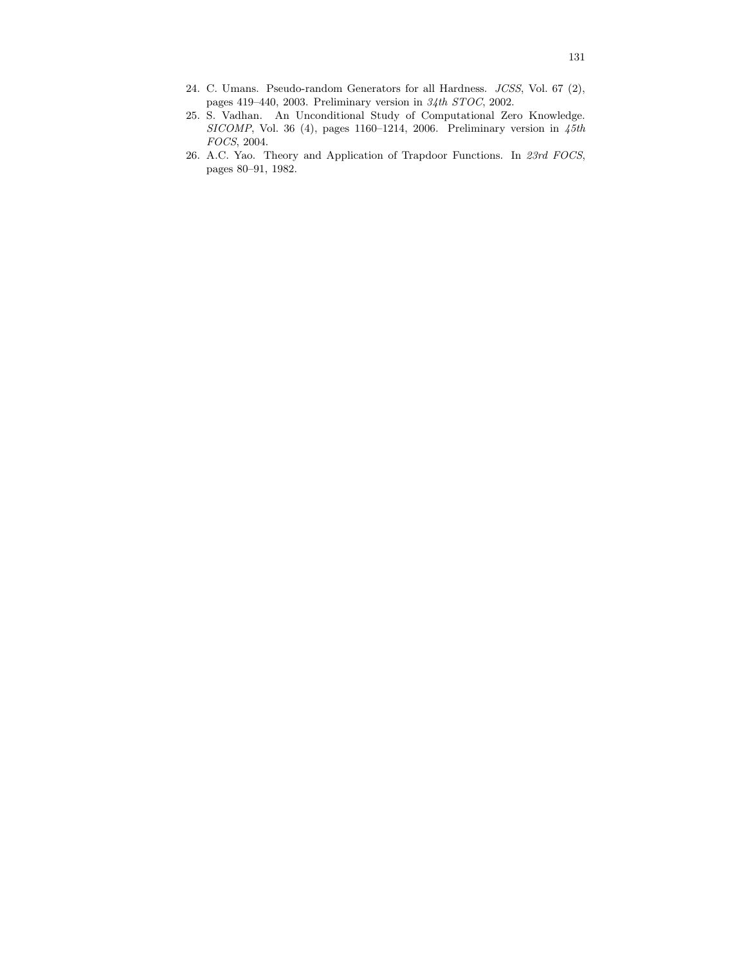- 24. C. Umans. Pseudo-random Generators for all Hardness. JCSS, Vol. 67 (2), pages 419–440, 2003. Preliminary version in 34th STOC, 2002.
- 25. S. Vadhan. An Unconditional Study of Computational Zero Knowledge. SICOMP, Vol. 36 (4), pages 1160-1214, 2006. Preliminary version in  $45th$ FOCS, 2004.
- 26. A.C. Yao. Theory and Application of Trapdoor Functions. In 23rd FOCS, pages 80–91, 1982.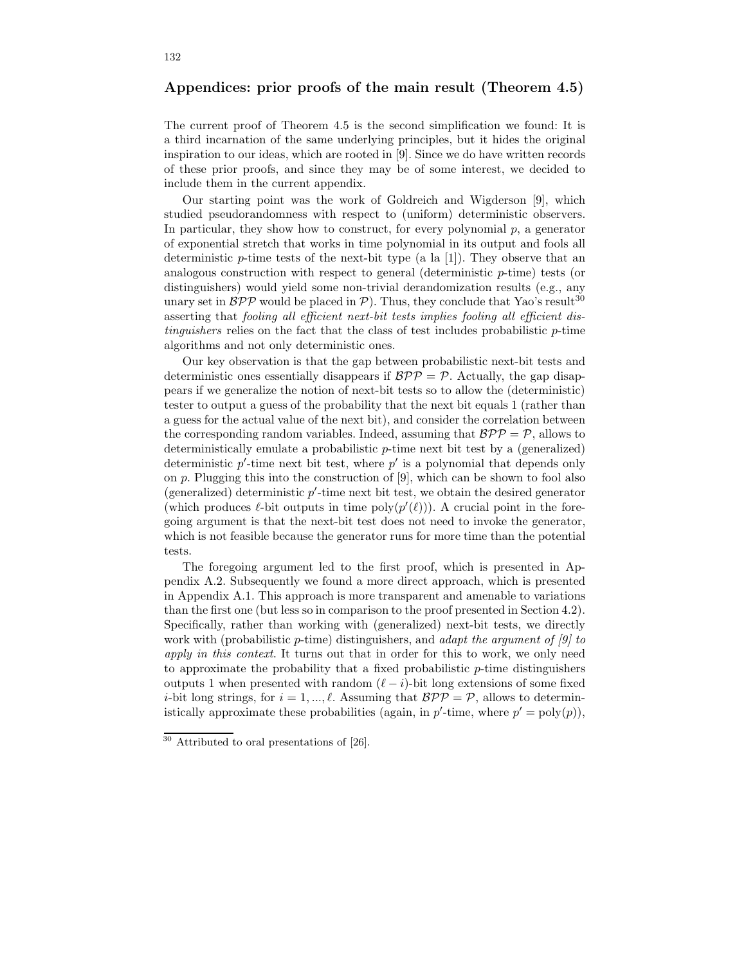# Appendices: prior proofs of the main result (Theorem 4.5)

The current proof of Theorem 4.5 is the second simplification we found: It is a third incarnation of the same underlying principles, but it hides the original inspiration to our ideas, which are rooted in [9]. Since we do have written records of these prior proofs, and since they may be of some interest, we decided to include them in the current appendix.

Our starting point was the work of Goldreich and Wigderson [9], which studied pseudorandomness with respect to (uniform) deterministic observers. In particular, they show how to construct, for every polynomial  $p$ , a generator of exponential stretch that works in time polynomial in its output and fools all deterministic  $p$ -time tests of the next-bit type (a la [1]). They observe that an analogous construction with respect to general (deterministic  $p$ -time) tests (or distinguishers) would yield some non-trivial derandomization results (e.g., any unary set in  $BPP$  would be placed in  $P$ ). Thus, they conclude that Yao's result<sup>30</sup> asserting that fooling all efficient next-bit tests implies fooling all efficient distinguishers relies on the fact that the class of test includes probabilistic p-time algorithms and not only deterministic ones.

Our key observation is that the gap between probabilistic next-bit tests and deterministic ones essentially disappears if  $BPP = P$ . Actually, the gap disappears if we generalize the notion of next-bit tests so to allow the (deterministic) tester to output a guess of the probability that the next bit equals 1 (rather than a guess for the actual value of the next bit), and consider the correlation between the corresponding random variables. Indeed, assuming that  $BPP = P$ , allows to deterministically emulate a probabilistic p-time next bit test by a (generalized) deterministic  $p'$ -time next bit test, where  $p'$  is a polynomial that depends only on p. Plugging this into the construction of [9], which can be shown to fool also (generalized) deterministic p ′ -time next bit test, we obtain the desired generator (which produces  $\ell$ -bit outputs in time poly $(p'(\ell))$ ). A crucial point in the foregoing argument is that the next-bit test does not need to invoke the generator, which is not feasible because the generator runs for more time than the potential tests.

The foregoing argument led to the first proof, which is presented in Appendix A.2. Subsequently we found a more direct approach, which is presented in Appendix A.1. This approach is more transparent and amenable to variations than the first one (but less so in comparison to the proof presented in Section 4.2). Specifically, rather than working with (generalized) next-bit tests, we directly work with (probabilistic p-time) distinguishers, and adapt the argument of  $[9]$  to apply in this context. It turns out that in order for this to work, we only need to approximate the probability that a fixed probabilistic  $p$ -time distinguishers outputs 1 when presented with random  $(\ell - i)$ -bit long extensions of some fixed *i*-bit long strings, for  $i = 1, ..., \ell$ . Assuming that  $BPP = P$ , allows to deterministically approximate these probabilities (again, in  $p'$ -time, where  $p' = \text{poly}(p)$ ),

 $30$  Attributed to oral presentations of [26].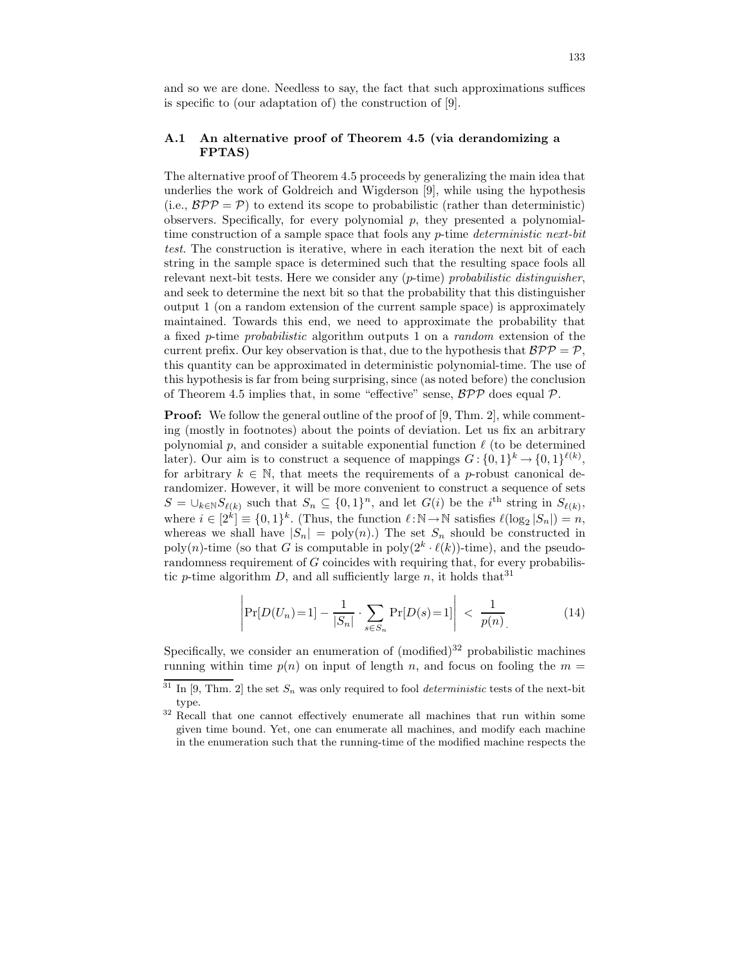and so we are done. Needless to say, the fact that such approximations suffices is specific to (our adaptation of) the construction of [9].

# A.1 An alternative proof of Theorem 4.5 (via derandomizing a FPTAS)

The alternative proof of Theorem 4.5 proceeds by generalizing the main idea that underlies the work of Goldreich and Wigderson [9], while using the hypothesis (i.e.,  $BPP = P$ ) to extend its scope to probabilistic (rather than deterministic) observers. Specifically, for every polynomial  $p$ , they presented a polynomialtime construction of a sample space that fools any  $p$ -time *deterministic next-bit* test. The construction is iterative, where in each iteration the next bit of each string in the sample space is determined such that the resulting space fools all relevant next-bit tests. Here we consider any  $(p$ -time) probabilistic distinguisher, and seek to determine the next bit so that the probability that this distinguisher output 1 (on a random extension of the current sample space) is approximately maintained. Towards this end, we need to approximate the probability that a fixed p-time probabilistic algorithm outputs 1 on a random extension of the current prefix. Our key observation is that, due to the hypothesis that  $BPP = P$ . this quantity can be approximated in deterministic polynomial-time. The use of this hypothesis is far from being surprising, since (as noted before) the conclusion of Theorem 4.5 implies that, in some "effective" sense,  $\mathcal{BPP}$  does equal  $\mathcal{P}$ .

**Proof:** We follow the general outline of the proof of [9, Thm. 2], while commenting (mostly in footnotes) about the points of deviation. Let us fix an arbitrary polynomial  $p$ , and consider a suitable exponential function  $\ell$  (to be determined later). Our aim is to construct a sequence of mappings  $G: \{0,1\}^k \to \{0,1\}^{\ell(k)}$ , for arbitrary  $k \in \mathbb{N}$ , that meets the requirements of a p-robust canonical derandomizer. However, it will be more convenient to construct a sequence of sets  $S = \bigcup_{k \in \mathbb{N}} S_{\ell(k)}$  such that  $S_n \subseteq \{0,1\}^n$ , and let  $G(i)$  be the i<sup>th</sup> string in  $S_{\ell(k)}$ , where  $i \in [2^k] \equiv \{0,1\}^k$ . (Thus, the function  $\ell : \mathbb{N} \to \mathbb{N}$  satisfies  $\ell(\log_2 |S_n|) = n$ , whereas we shall have  $|S_n| = \text{poly}(n)$ . The set  $S_n$  should be constructed in poly(n)-time (so that G is computable in  $\text{poly}(2^k \cdot \ell(k))$ -time), and the pseudorandomness requirement of G coincides with requiring that, for every probabilistic p-time algorithm D, and all sufficiently large n, it holds that  $31$ 

$$
\left| \Pr[D(U_n) = 1] - \frac{1}{|S_n|} \cdot \sum_{s \in S_n} \Pr[D(s) = 1] \right| < \frac{1}{p(n)} \tag{14}
$$

Specifically, we consider an enumeration of  $(modified)^{32}$  probabilistic machines running within time  $p(n)$  on input of length n, and focus on fooling the  $m =$ 

<sup>&</sup>lt;sup>31</sup> In [9, Thm. 2] the set  $S_n$  was only required to fool *deterministic* tests of the next-bit type.

<sup>&</sup>lt;sup>32</sup> Recall that one cannot effectively enumerate all machines that run within some given time bound. Yet, one can enumerate all machines, and modify each machine in the enumeration such that the running-time of the modified machine respects the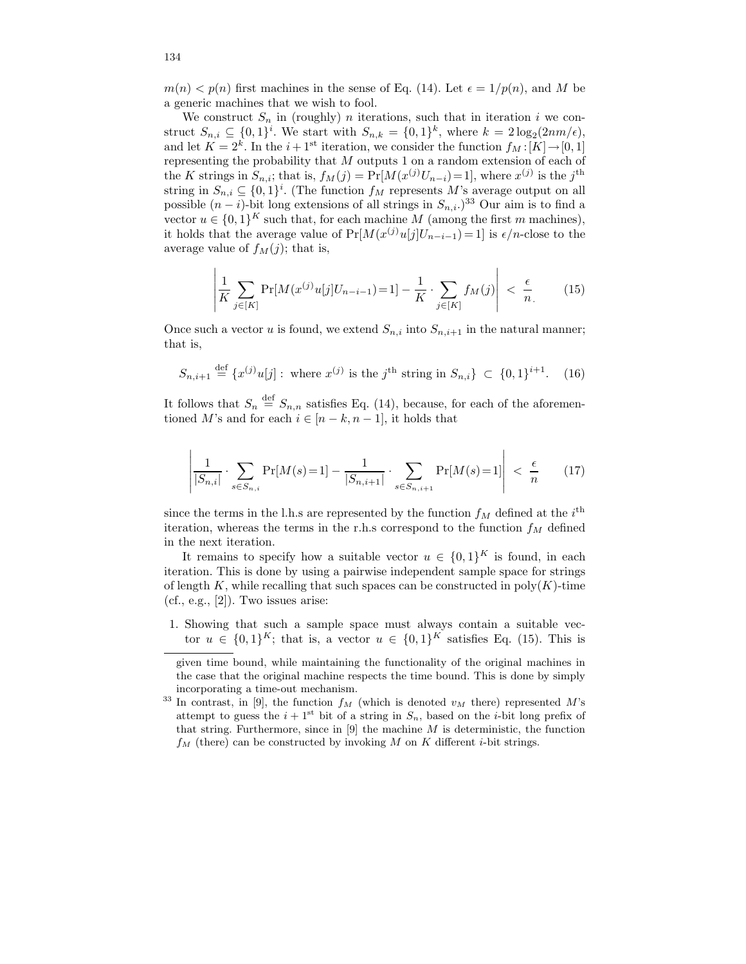$m(n) < p(n)$  first machines in the sense of Eq. (14). Let  $\epsilon = 1/p(n)$ , and M be a generic machines that we wish to fool.

We construct  $S_n$  in (roughly) *n* iterations, such that in iteration *i* we construct  $S_{n,i} \subseteq \{0,1\}^i$ . We start with  $S_{n,k} = \{0,1\}^k$ , where  $k = 2\log_2(2nm/\epsilon)$ , and let  $K = 2<sup>k</sup>$ . In the  $i + 1<sup>st</sup>$  iteration, we consider the function  $f_M : [K] \to [0, 1]$ representing the probability that M outputs 1 on a random extension of each of the K strings in  $S_{n,i}$ ; that is,  $f_M(j) = Pr[M(x^{(j)}U_{n-i})=1]$ , where  $x^{(j)}$  is the j<sup>th</sup> string in  $S_{n,i} \subseteq \{0,1\}^i$ . (The function  $f_M$  represents  $M$ 's average output on all possible  $(n - i)$ -bit long extensions of all strings in  $S_{n,i}$ .)<sup>33</sup> Our aim is to find a vector  $u \in \{0,1\}^K$  such that, for each machine M (among the first m machines), it holds that the average value of  $Pr[M(x^{(j)}u[j]U_{n-i-1})=1]$  is  $\epsilon/n$ -close to the average value of  $f_M(j)$ ; that is,

$$
\left| \frac{1}{K} \sum_{j \in [K]} \Pr[M(x^{(j)} u[j] U_{n-i-1}) = 1] - \frac{1}{K} \cdot \sum_{j \in [K]} f_M(j) \right| < \frac{\epsilon}{n} \tag{15}
$$

Once such a vector u is found, we extend  $S_{n,i}$  into  $S_{n,i+1}$  in the natural manner; that is,

$$
S_{n,i+1} \stackrel{\text{def}}{=} \{x^{(j)}u[j]: \text{ where } x^{(j)} \text{ is the } j^{\text{th}} \text{ string in } S_{n,i}\} \subset \{0,1\}^{i+1}.\tag{16}
$$

It follows that  $S_n \stackrel{\text{def}}{=} S_{n,n}$  satisfies Eq. (14), because, for each of the aforementioned M's and for each  $i \in [n-k, n-1]$ , it holds that

$$
\left| \frac{1}{|S_{n,i}|} \cdot \sum_{s \in S_{n,i}} \Pr[M(s) = 1] - \frac{1}{|S_{n,i+1}|} \cdot \sum_{s \in S_{n,i+1}} \Pr[M(s) = 1] \right| < \frac{\epsilon}{n} \tag{17}
$$

since the terms in the l.h.s are represented by the function  $f_M$  defined at the  $i^{\text{th}}$ iteration, whereas the terms in the r.h.s correspond to the function  $f_M$  defined in the next iteration.

It remains to specify how a suitable vector  $u \in \{0,1\}^K$  is found, in each iteration. This is done by using a pairwise independent sample space for strings of length K, while recalling that such spaces can be constructed in  $poly(K)$ -time  $(cf., e.g., [2])$ . Two issues arise:

1. Showing that such a sample space must always contain a suitable vector  $u \in \{0,1\}^K$ ; that is, a vector  $u \in \{0,1\}^K$  satisfies Eq. (15). This is

given time bound, while maintaining the functionality of the original machines in the case that the original machine respects the time bound. This is done by simply incorporating a time-out mechanism.

<sup>&</sup>lt;sup>33</sup> In contrast, in [9], the function  $f_M$  (which is denoted  $v_M$  there) represented M's attempt to guess the  $i+1^{st}$  bit of a string in  $S_n$ , based on the *i*-bit long prefix of that string. Furthermore, since in [9] the machine  $M$  is deterministic, the function  $f_M$  (there) can be constructed by invoking M on K different *i*-bit strings.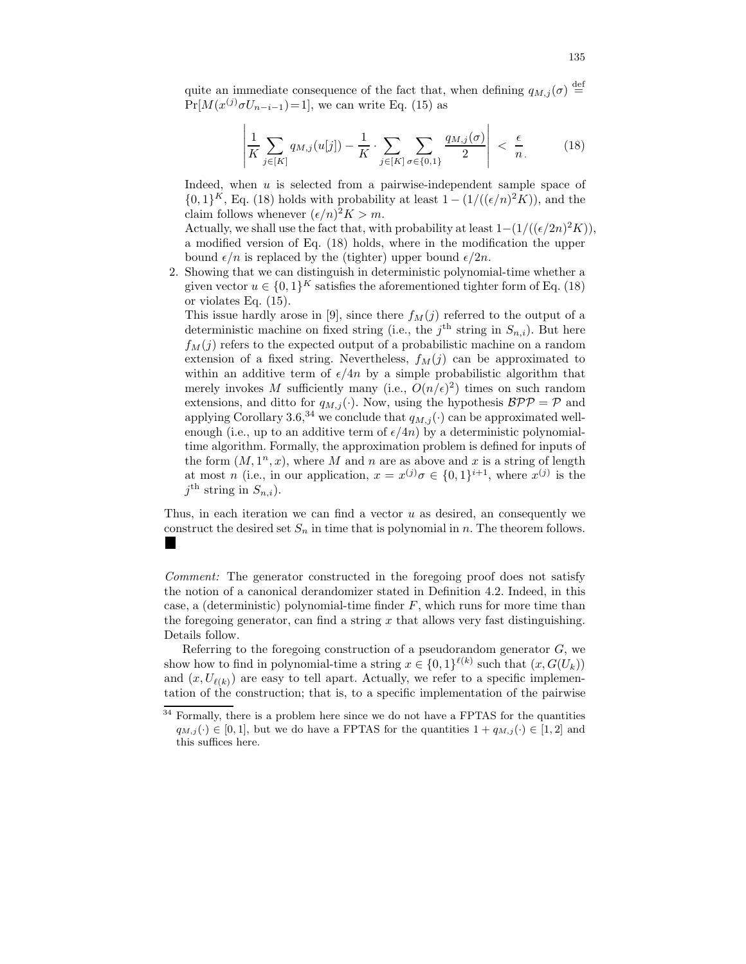quite an immediate consequence of the fact that, when defining  $q_{M,j}(\sigma) \stackrel{\text{def}}{=}$  $Pr[M(x^{(j)}\sigma U_{n-i-1})=1],$  we can write Eq. (15) as

$$
\left| \frac{1}{K} \sum_{j \in [K]} q_{M,j}(u[j]) - \frac{1}{K} \cdot \sum_{j \in [K]} \sum_{\sigma \in \{0,1\}} \frac{q_{M,j}(\sigma)}{2} \right| < \frac{\epsilon}{n} \tag{18}
$$

Indeed, when  $u$  is selected from a pairwise-independent sample space of  $\{0,1\}^K$ , Eq. (18) holds with probability at least  $1 - (1/((\epsilon/n)^2 K))$ , and the claim follows whenever  $(\epsilon/n)^2 K > m$ .

Actually, we shall use the fact that, with probability at least  $1-(1/((\epsilon/2n)^2K))$ , a modified version of Eq. (18) holds, where in the modification the upper bound  $\epsilon/n$  is replaced by the (tighter) upper bound  $\epsilon/2n$ .

2. Showing that we can distinguish in deterministic polynomial-time whether a given vector  $u \in \{0,1\}^K$  satisfies the aforementioned tighter form of Eq. (18) or violates Eq. (15).

This issue hardly arose in [9], since there  $f_M(j)$  referred to the output of a deterministic machine on fixed string (i.e., the  $j<sup>th</sup>$  string in  $S_{n,i}$ ). But here  $f_M(j)$  refers to the expected output of a probabilistic machine on a random extension of a fixed string. Nevertheless,  $f_M(j)$  can be approximated to within an additive term of  $\epsilon/4n$  by a simple probabilistic algorithm that merely invokes M sufficiently many (i.e.,  $O(n/\epsilon)^2$ ) times on such random extensions, and ditto for  $q_{M,i}(\cdot)$ . Now, using the hypothesis  $\mathcal{BPP} = \mathcal{P}$  and applying Corollary 3.6,<sup>34</sup> we conclude that  $q_{M,j}(\cdot)$  can be approximated wellenough (i.e., up to an additive term of  $\epsilon/4n$ ) by a deterministic polynomialtime algorithm. Formally, the approximation problem is defined for inputs of the form  $(M, 1^n, x)$ , where M and n are as above and x is a string of length at most *n* (i.e., in our application,  $x = x^{(j)}\sigma \in \{0,1\}^{i+1}$ , where  $x^{(j)}$  is the  $j^{\text{th}}$  string in  $S_{n,i}$ ).

Thus, in each iteration we can find a vector  $u$  as desired, an consequently we construct the desired set  $S_n$  in time that is polynomial in n. The theorem follows. **I** 

Comment: The generator constructed in the foregoing proof does not satisfy the notion of a canonical derandomizer stated in Definition 4.2. Indeed, in this case, a (deterministic) polynomial-time finder  $F$ , which runs for more time than the foregoing generator, can find a string  $x$  that allows very fast distinguishing. Details follow.

Referring to the foregoing construction of a pseudorandom generator  $G$ , we show how to find in polynomial-time a string  $x \in \{0,1\}^{\ell(k)}$  such that  $(x, G(U_k))$ and  $(x, U_{\ell(k)})$  are easy to tell apart. Actually, we refer to a specific implementation of the construction; that is, to a specific implementation of the pairwise

<sup>&</sup>lt;sup>34</sup> Formally, there is a problem here since we do not have a FPTAS for the quantities  $q_{M,j}(\cdot) \in [0,1]$ , but we do have a FPTAS for the quantities  $1 + q_{M,j}(\cdot) \in [1,2]$  and this suffices here.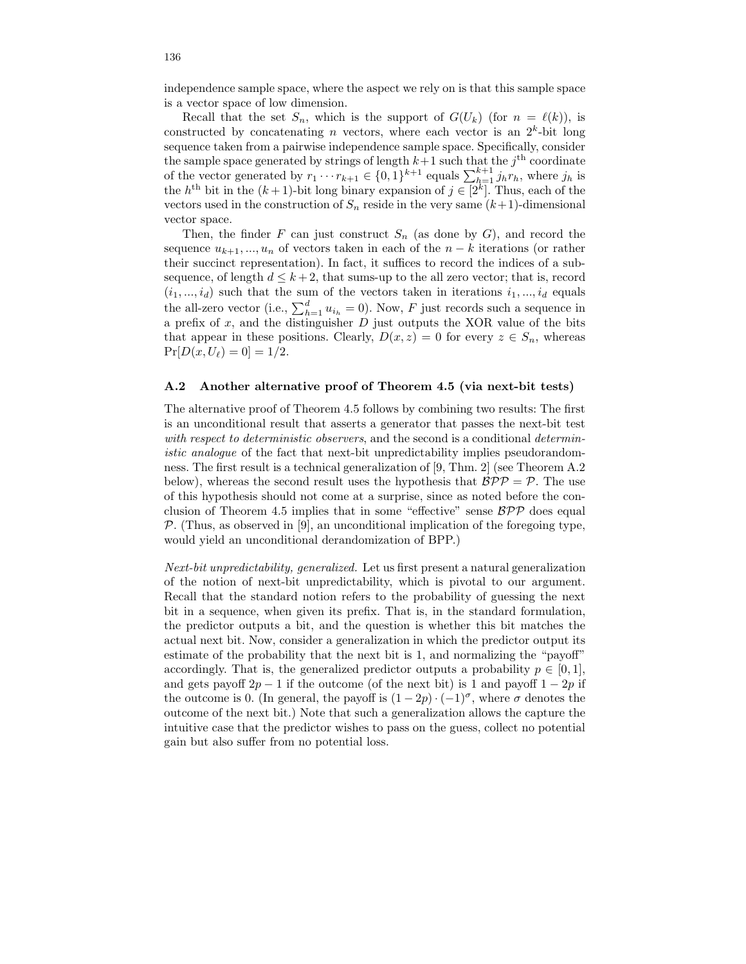independence sample space, where the aspect we rely on is that this sample space is a vector space of low dimension.

Recall that the set  $S_n$ , which is the support of  $G(U_k)$  (for  $n = \ell(k)$ ), is constructed by concatenating *n* vectors, where each vector is an  $2<sup>k</sup>$ -bit long sequence taken from a pairwise independence sample space. Specifically, consider the sample space generated by strings of length  $k+1$  such that the  $j<sup>th</sup>$  coordinate of the vector generated by  $r_1 \cdots r_{k+1} \in \{0, 1\}^{k+1}$  equals  $\sum_{h=1}^{k+1} j_h r_h$ , where  $j_h$  is the  $h^{\text{th}}$  bit in the  $(k+1)$ -bit long binary expansion of  $j \in [2^k]$ . Thus, each of the vectors used in the construction of  $S_n$  reside in the very same  $(k+1)$ -dimensional vector space.

Then, the finder F can just construct  $S_n$  (as done by G), and record the sequence  $u_{k+1},...,u_n$  of vectors taken in each of the  $n-k$  iterations (or rather their succinct representation). In fact, it suffices to record the indices of a subsequence, of length  $d \leq k+2$ , that sums-up to the all zero vector; that is, record  $(i_1, ..., i_d)$  such that the sum of the vectors taken in iterations  $i_1, ..., i_d$  equals the all-zero vector (i.e.,  $\sum_{h=1}^{d} u_{i_h} = 0$ ). Now, F just records such a sequence in a prefix of  $x$ , and the distinguisher  $D$  just outputs the XOR value of the bits that appear in these positions. Clearly,  $D(x, z) = 0$  for every  $z \in S_n$ , whereas  $Pr[D(x, U_{\ell}) = 0] = 1/2.$ 

## A.2 Another alternative proof of Theorem 4.5 (via next-bit tests)

The alternative proof of Theorem 4.5 follows by combining two results: The first is an unconditional result that asserts a generator that passes the next-bit test with respect to deterministic observers, and the second is a conditional deterministic analogue of the fact that next-bit unpredictability implies pseudorandomness. The first result is a technical generalization of [9, Thm. 2] (see Theorem A.2 below), whereas the second result uses the hypothesis that  $BPP = P$ . The use of this hypothesis should not come at a surprise, since as noted before the conclusion of Theorem 4.5 implies that in some "effective" sense  $BPP$  does equal  $\mathcal P$ . (Thus, as observed in [9], an unconditional implication of the foregoing type, would yield an unconditional derandomization of BPP.)

Next-bit unpredictability, generalized. Let us first present a natural generalization of the notion of next-bit unpredictability, which is pivotal to our argument. Recall that the standard notion refers to the probability of guessing the next bit in a sequence, when given its prefix. That is, in the standard formulation, the predictor outputs a bit, and the question is whether this bit matches the actual next bit. Now, consider a generalization in which the predictor output its estimate of the probability that the next bit is 1, and normalizing the "payoff" accordingly. That is, the generalized predictor outputs a probability  $p \in [0, 1]$ , and gets payoff  $2p - 1$  if the outcome (of the next bit) is 1 and payoff  $1 - 2p$  if the outcome is 0. (In general, the payoff is  $(1-2p) \cdot (-1)^{\sigma}$ , where  $\sigma$  denotes the outcome of the next bit.) Note that such a generalization allows the capture the intuitive case that the predictor wishes to pass on the guess, collect no potential gain but also suffer from no potential loss.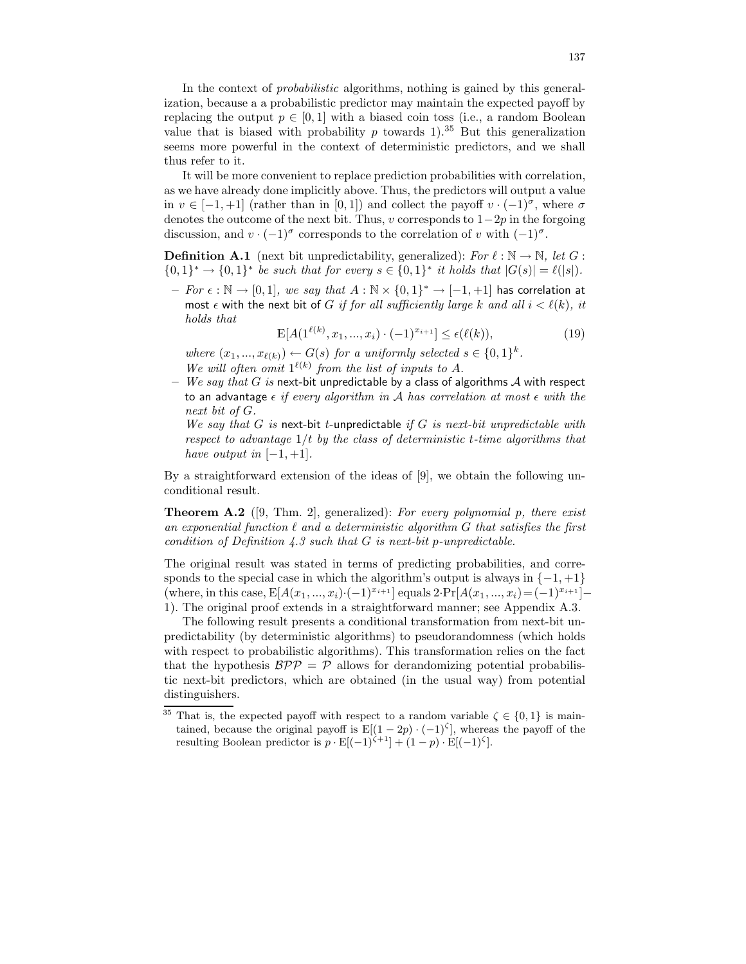In the context of probabilistic algorithms, nothing is gained by this generalization, because a a probabilistic predictor may maintain the expected payoff by replacing the output  $p \in [0, 1]$  with a biased coin toss (i.e., a random Boolean value that is biased with probability p towards 1).<sup>35</sup> But this generalization seems more powerful in the context of deterministic predictors, and we shall thus refer to it.

It will be more convenient to replace prediction probabilities with correlation, as we have already done implicitly above. Thus, the predictors will output a value in  $v \in [-1, +1]$  (rather than in [0, 1]) and collect the payoff  $v \cdot (-1)^{\sigma}$ , where  $\sigma$ denotes the outcome of the next bit. Thus, v corresponds to  $1-2p$  in the forgoing discussion, and  $v \cdot (-1)^\sigma$  corresponds to the correlation of v with  $(-1)^\sigma$ .

**Definition A.1** (next bit unpredictability, generalized): For  $\ell : \mathbb{N} \to \mathbb{N}$ , let G: {0, 1}<sup>\*</sup> → {0, 1}<sup>\*</sup> *be such that for every s* ∈ {0, 1}<sup>\*</sup> *it holds that*  $|G(s)| = \ell(|s|)$ *.* 

 $-$  For ε :  $\mathbb{N}$  → [0, 1], we say that  $A : \mathbb{N} \times \{0, 1\}^*$  → [-1, +1] has correlation at most  $\epsilon$  with the next bit of G if for all sufficiently large k and all  $i < \ell(k)$ , it holds that

$$
\mathcal{E}[A(1^{\ell(k)}, x_1, ..., x_i) \cdot (-1)^{x_{i+1}}] \le \epsilon(\ell(k)),\tag{19}
$$

where  $(x_1, ..., x_{\ell(k)}) \leftarrow G(s)$  for a uniformly selected  $s \in \{0, 1\}^k$ . We will often omit  $1^{\ell(k)}$  from the list of inputs to A.

– We say that G is next-bit unpredictable by a class of algorithms  $A$  with respect to an advantage  $\epsilon$  if every algorithm in A has correlation at most  $\epsilon$  with the next bit of G.

We say that G is next-bit t-unpredictable if G is next-bit unpredictable with respect to advantage  $1/t$  by the class of deterministic t-time algorithms that have output in  $[-1, +1]$ .

By a straightforward extension of the ideas of [9], we obtain the following unconditional result.

**Theorem A.2** ([9, Thm. 2], generalized): For every polynomial p, there exist an exponential function  $\ell$  and a deterministic algorithm G that satisfies the first condition of Definition 4.3 such that  $G$  is next-bit p-unpredictable.

The original result was stated in terms of predicting probabilities, and corresponds to the special case in which the algorithm's output is always in  $\{-1, +1\}$ (where, in this case,  $E[A(x_1, ..., x_i) \cdot (-1)^{x_{i+1}}]$  equals  $2 \cdot \Pr[A(x_1, ..., x_i) = (-1)^{x_{i+1}}]$ – 1). The original proof extends in a straightforward manner; see Appendix A.3.

The following result presents a conditional transformation from next-bit unpredictability (by deterministic algorithms) to pseudorandomness (which holds with respect to probabilistic algorithms). This transformation relies on the fact that the hypothesis  $BPP = P$  allows for derandomizing potential probabilistic next-bit predictors, which are obtained (in the usual way) from potential distinguishers.

<sup>&</sup>lt;sup>35</sup> That is, the expected payoff with respect to a random variable  $\zeta \in \{0,1\}$  is maintained, because the original payoff is  $E[(1 - 2p) \cdot (-1)^{\zeta}]$ , whereas the payoff of the resulting Boolean predictor is  $p \cdot \mathbf{E}[(-1)^{\zeta+1}] + (1-p) \cdot \mathbf{E}[(-1)^{\zeta}].$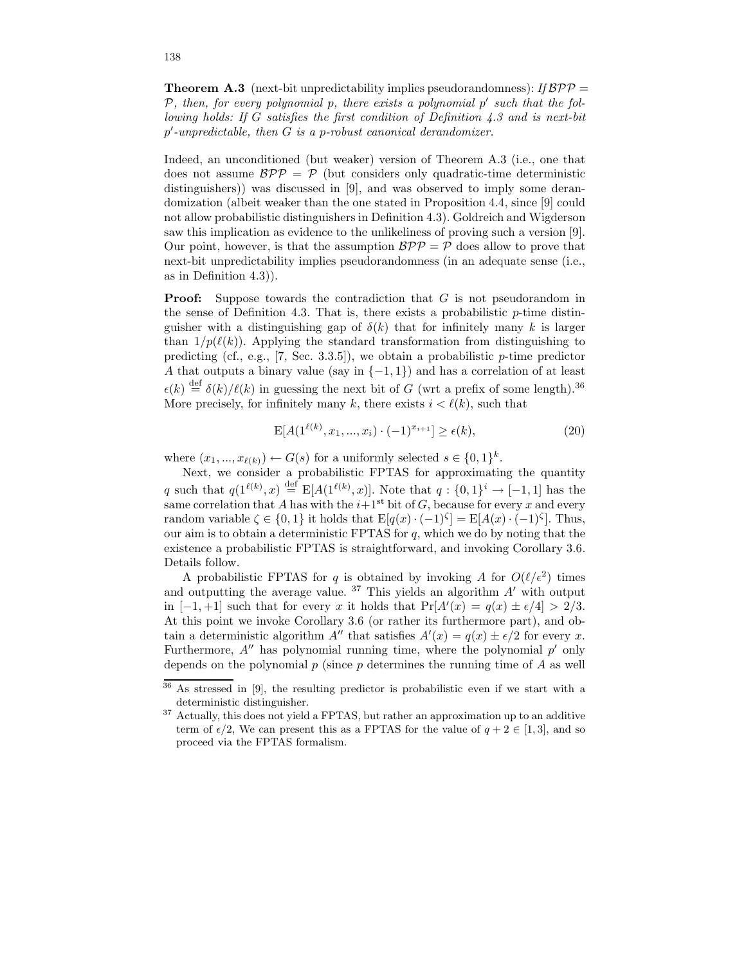**Theorem A.3** (next-bit unpredictability implies pseudorandomness): If  $BPP =$  $P$ , then, for every polynomial  $p$ , there exists a polynomial  $p'$  such that the following holds: If G satisfies the first condition of Definition 4.3 and is next-bit p'-unpredictable, then G is a p-robust canonical derandomizer.

Indeed, an unconditioned (but weaker) version of Theorem A.3 (i.e., one that does not assume  $BPP = P$  (but considers only quadratic-time deterministic distinguishers)) was discussed in [9], and was observed to imply some derandomization (albeit weaker than the one stated in Proposition 4.4, since [9] could not allow probabilistic distinguishers in Definition 4.3). Goldreich and Wigderson saw this implication as evidence to the unlikeliness of proving such a version [9]. Our point, however, is that the assumption  $BPP = P$  does allow to prove that next-bit unpredictability implies pseudorandomness (in an adequate sense (i.e., as in Definition 4.3)).

**Proof:** Suppose towards the contradiction that G is not pseudorandom in the sense of Definition 4.3. That is, there exists a probabilistic  $p$ -time distinguisher with a distinguishing gap of  $\delta(k)$  that for infinitely many k is larger than  $1/p(\ell(k))$ . Applying the standard transformation from distinguishing to predicting (cf., e.g., [7, Sec. 3.3.5]), we obtain a probabilistic  $p$ -time predictor A that outputs a binary value (say in  $\{-1,1\}$ ) and has a correlation of at least  $\epsilon(k) \stackrel{\text{def}}{=} \delta(k)/\ell(k)$  in guessing the next bit of G (wrt a prefix of some length).<sup>36</sup> More precisely, for infinitely many k, there exists  $i \leq \ell(k)$ , such that

$$
E[A(1^{\ell(k)}, x_1, ..., x_i) \cdot (-1)^{x_{i+1}}] \ge \epsilon(k),\tag{20}
$$

where  $(x_1, ..., x_{\ell(k)}) \leftarrow G(s)$  for a uniformly selected  $s \in \{0, 1\}^k$ .

Next, we consider a probabilistic FPTAS for approximating the quantity q such that  $q(1^{\ell(k)}, x) \stackrel{\text{def}}{=} E[A(1^{\ell(k)}, x)]$ . Note that  $q: \{0, 1\}^i \to [-1, 1]$  has the same correlation that A has with the  $i+1$ <sup>st</sup> bit of G, because for every x and every random variable  $\zeta \in \{0,1\}$  it holds that  $\mathbb{E}[q(x) \cdot (-1)^{\zeta}] = \mathbb{E}[A(x) \cdot (-1)^{\zeta}]$ . Thus, our aim is to obtain a deterministic FPTAS for  $q$ , which we do by noting that the existence a probabilistic FPTAS is straightforward, and invoking Corollary 3.6. Details follow.

A probabilistic FPTAS for q is obtained by invoking A for  $O(\ell/\epsilon^2)$  times and outputting the average value.  $37$  This yields an algorithm  $A'$  with output in [-1,+1] such that for every x it holds that  $Pr[A'(x) = q(x) \pm \epsilon/4] > 2/3$ . At this point we invoke Corollary 3.6 (or rather its furthermore part), and obtain a deterministic algorithm  $A''$  that satisfies  $A'(x) = q(x) \pm \epsilon/2$  for every x. Furthermore,  $A''$  has polynomial running time, where the polynomial  $p'$  only depends on the polynomial  $p$  (since  $p$  determines the running time of  $A$  as well

<sup>36</sup> As stressed in [9], the resulting predictor is probabilistic even if we start with a deterministic distinguisher.

<sup>&</sup>lt;sup>37</sup> Actually, this does not yield a FPTAS, but rather an approximation up to an additive term of  $\epsilon/2$ , We can present this as a FPTAS for the value of  $q + 2 \in [1, 3]$ , and so proceed via the FPTAS formalism.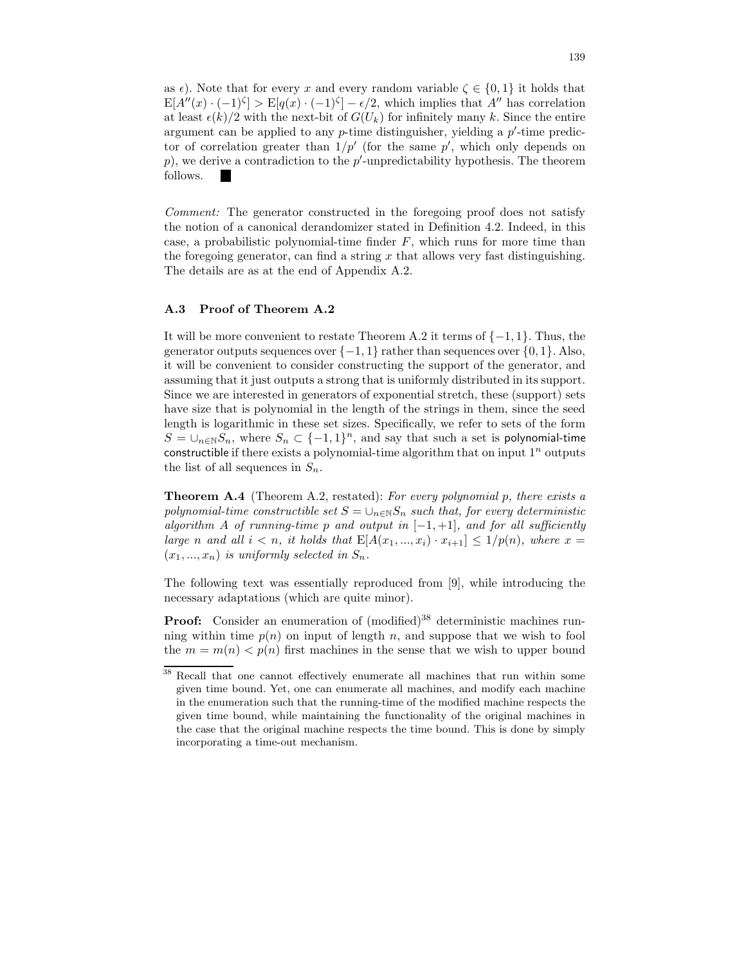as  $\epsilon$ ). Note that for every x and every random variable  $\zeta \in \{0,1\}$  it holds that  $E[A''(x) \cdot (-1)^{\zeta}] > E[q(x) \cdot (-1)^{\zeta}] - \epsilon/2$ , which implies that A'' has correlation at least  $\epsilon(k)/2$  with the next-bit of  $G(U_k)$  for infinitely many k. Since the entire argument can be applied to any  $p$ -time distinguisher, yielding a  $p'$ -time predictor of correlation greater than  $1/p'$  (for the same  $p'$ , which only depends on  $p$ ), we derive a contradiction to the  $p'$ -unpredictability hypothesis. The theorem follows.

Comment: The generator constructed in the foregoing proof does not satisfy the notion of a canonical derandomizer stated in Definition 4.2. Indeed, in this case, a probabilistic polynomial-time finder  $F$ , which runs for more time than the foregoing generator, can find a string  $x$  that allows very fast distinguishing. The details are as at the end of Appendix A.2.

## A.3 Proof of Theorem A.2

It will be more convenient to restate Theorem A.2 it terms of  $\{-1, 1\}$ . Thus, the generator outputs sequences over  $\{-1, 1\}$  rather than sequences over  $\{0, 1\}$ . Also, it will be convenient to consider constructing the support of the generator, and assuming that it just outputs a strong that is uniformly distributed in its support. Since we are interested in generators of exponential stretch, these (support) sets have size that is polynomial in the length of the strings in them, since the seed length is logarithmic in these set sizes. Specifically, we refer to sets of the form  $S = \bigcup_{n \in \mathbb{N}} S_n$ , where  $S_n \subset \{-1,1\}^n$ , and say that such a set is polynomial-time constructible if there exists a polynomial-time algorithm that on input  $1^n$  outputs the list of all sequences in  $S_n$ .

**Theorem A.4** (Theorem A.2, restated): For every polynomial p, there exists a polynomial-time constructible set  $S = \bigcup_{n \in \mathbb{N}} S_n$  such that, for every deterministic algorithm A of running-time p and output in  $[-1, +1]$ , and for all sufficiently large n and all  $i < n$ , it holds that  $E[A(x_1,...,x_i) \cdot x_{i+1}] \leq 1/p(n)$ , where  $x =$  $(x_1, ..., x_n)$  is uniformly selected in  $S_n$ .

The following text was essentially reproduced from [9], while introducing the necessary adaptations (which are quite minor).

Proof: Consider an enumeration of (modified)<sup>38</sup> deterministic machines running within time  $p(n)$  on input of length n, and suppose that we wish to fool the  $m = m(n) < p(n)$  first machines in the sense that we wish to upper bound

 $\overline{38}$  Recall that one cannot effectively enumerate all machines that run within some given time bound. Yet, one can enumerate all machines, and modify each machine in the enumeration such that the running-time of the modified machine respects the given time bound, while maintaining the functionality of the original machines in the case that the original machine respects the time bound. This is done by simply incorporating a time-out mechanism.